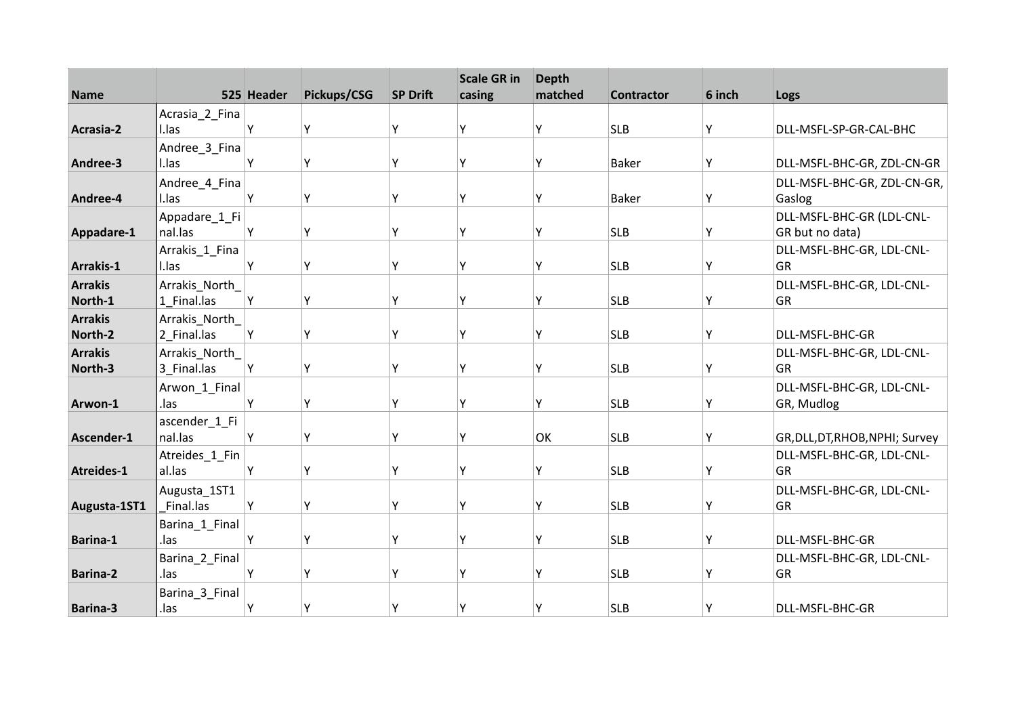|                           |                              | 525 Header | Pickups/CSG | <b>SP Drift</b> | <b>Scale GR in</b> | <b>Depth</b><br>matched |                   | 6 inch |                                              |
|---------------------------|------------------------------|------------|-------------|-----------------|--------------------|-------------------------|-------------------|--------|----------------------------------------------|
| <b>Name</b>               |                              |            |             |                 | casing             |                         | <b>Contractor</b> |        | Logs                                         |
| Acrasia-2                 | Acrasia_2_Fina<br>I.las      | Υ          | Υ           | Υ               | ٧                  | Υ                       | <b>SLB</b>        | Υ      | DLL-MSFL-SP-GR-CAL-BHC                       |
|                           | Andree_3_Fina                |            |             |                 |                    |                         |                   |        |                                              |
| Andree-3                  | I.las                        | Y          | Υ           | Υ               | γ                  | Υ                       | <b>Baker</b>      | Υ      | DLL-MSFL-BHC-GR, ZDL-CN-GR                   |
| Andree-4                  | Andree_4_Fina<br>I.las       | Υ          | Υ           | Y               | ٧                  | Υ                       | <b>Baker</b>      | Υ      | DLL-MSFL-BHC-GR, ZDL-CN-GR,<br>Gaslog        |
| Appadare-1                | Appadare_1_Fi<br>nal.las     | Υ          | Υ           | Υ               | ٧                  | Υ                       | <b>SLB</b>        | Υ      | DLL-MSFL-BHC-GR (LDL-CNL-<br>GR but no data) |
| Arrakis-1                 | Arrakis_1_Fina<br>I.las      | Y          | Υ           | Υ               | ٧                  | Υ                       | <b>SLB</b>        | Υ      | DLL-MSFL-BHC-GR, LDL-CNL-<br>GR              |
| <b>Arrakis</b><br>North-1 | Arrakis_North<br>1 Final.las | Y          | Y           | γ               | ۷                  | Y                       | <b>SLB</b>        | Υ      | DLL-MSFL-BHC-GR, LDL-CNL-<br>GR              |
| <b>Arrakis</b><br>North-2 | Arrakis North<br>2 Final.las | Υ          | Υ           | Y               | v                  | Υ                       | <b>SLB</b>        | Y      | DLL-MSFL-BHC-GR                              |
| <b>Arrakis</b><br>North-3 | Arrakis_North<br>3_Final.las | Y          | Υ           | Υ               | γ                  | Υ                       | <b>SLB</b>        | Y      | DLL-MSFL-BHC-GR, LDL-CNL-<br>GR              |
| Arwon-1                   | Arwon_1_Final<br>.las        | Y          | Υ           | Y               | ۷                  | Υ                       | <b>SLB</b>        | Y      | DLL-MSFL-BHC-GR, LDL-CNL-<br>GR, Mudlog      |
| Ascender-1                | ascender_1_Fi<br>nal.las     | Υ          | Υ           | Υ               | v                  | OK                      | <b>SLB</b>        | Υ      | GR, DLL, DT, RHOB, NPHI; Survey              |
| Atreides-1                | Atreides_1_Fin<br>al.las     | Υ          | Υ           | Υ               | ٧                  | Y                       | <b>SLB</b>        | Υ      | DLL-MSFL-BHC-GR, LDL-CNL-<br>GR              |
| Augusta-1ST1              | Augusta 1ST1<br>Final.las    | Υ          | Υ           | Y               | ۷                  | Υ                       | <b>SLB</b>        | Υ      | DLL-MSFL-BHC-GR, LDL-CNL-<br>GR              |
| Barina-1                  | Barina_1_Final<br>.las       | Υ          | Υ           | Υ               | ۷                  | Υ                       | <b>SLB</b>        | Υ      | DLL-MSFL-BHC-GR                              |
| <b>Barina-2</b>           | Barina_2_Final<br>.las       | Υ          | Y           | γ               | ۷                  | Υ                       | <b>SLB</b>        | Υ      | DLL-MSFL-BHC-GR, LDL-CNL-<br>GR              |
| <b>Barina-3</b>           | Barina_3_Final<br>.las       | Υ          | Υ           | γ               | γ                  | Υ                       | <b>SLB</b>        | Y      | DLL-MSFL-BHC-GR                              |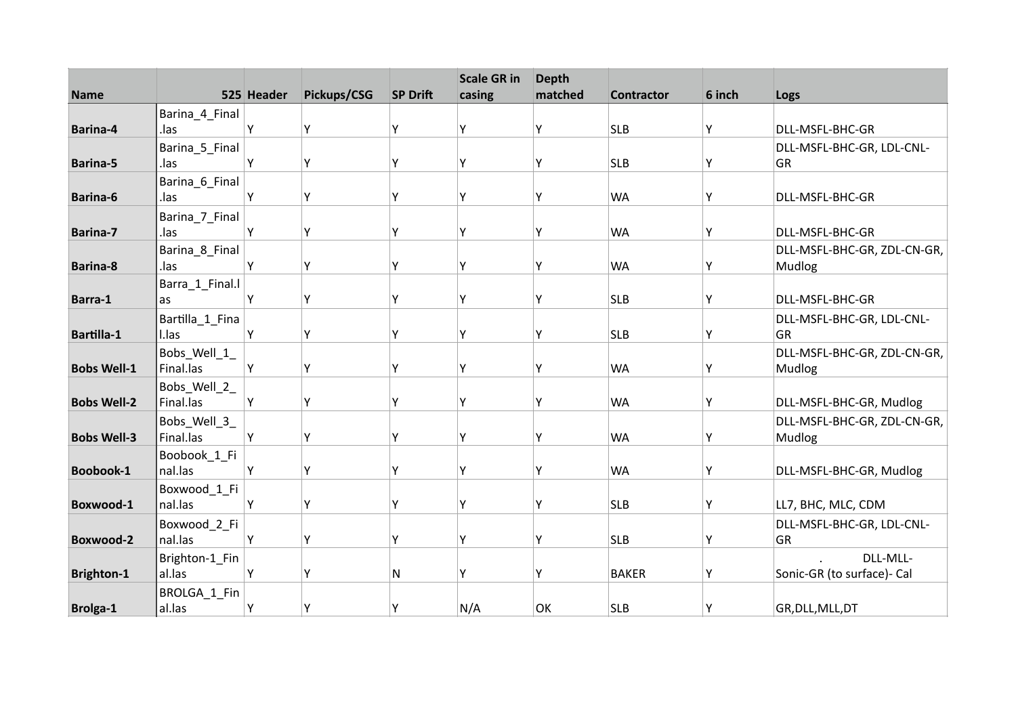| <b>Name</b>        |                         | 525 Header | Pickups/CSG | <b>SP Drift</b> | <b>Scale GR in</b><br>casing | <b>Depth</b><br>matched | <b>Contractor</b> | 6 inch | Logs                        |
|--------------------|-------------------------|------------|-------------|-----------------|------------------------------|-------------------------|-------------------|--------|-----------------------------|
|                    | Barina_4_Final          |            |             |                 |                              |                         |                   |        |                             |
| Barina-4           | .las                    | Υ          | Y           | Y               | ۷                            | Υ                       | <b>SLB</b>        | Υ      | DLL-MSFL-BHC-GR             |
|                    | Barina_5_Final          |            |             |                 |                              |                         |                   |        | DLL-MSFL-BHC-GR, LDL-CNL-   |
| <b>Barina-5</b>    | .las                    | Υ          | Y           | Υ               | Υ                            | Υ                       | <b>SLB</b>        | Y      | GR                          |
|                    | Barina_6_Final          |            |             |                 |                              |                         |                   |        |                             |
| Barina-6           | .las                    | Υ          | Υ           | Y               | γ                            | Υ                       | <b>WA</b>         | Υ      | DLL-MSFL-BHC-GR             |
|                    | Barina_7_Final          |            |             |                 |                              |                         |                   |        |                             |
| Barina-7           | .las                    | Υ          | Υ           | Y               | ٧                            | Υ                       | <b>WA</b>         | Υ      | DLL-MSFL-BHC-GR             |
|                    | Barina_8_Final          |            |             |                 |                              |                         |                   |        | DLL-MSFL-BHC-GR, ZDL-CN-GR, |
| <b>Barina-8</b>    | .las                    | Υ          | Y           | Υ               | Υ                            | Υ                       | <b>WA</b>         | Υ      | Mudlog                      |
| Barra-1            | Barra_1_Final.l<br>as   | Υ          | Υ           | Y               | Υ                            | Υ                       | <b>SLB</b>        | Υ      | DLL-MSFL-BHC-GR             |
|                    | Bartilla_1_Fina         |            |             |                 |                              |                         |                   |        | DLL-MSFL-BHC-GR, LDL-CNL-   |
| <b>Bartilla-1</b>  | I.las                   | Υ          | Y           | Υ               | ٧                            | Υ                       | <b>SLB</b>        | Υ      | GR                          |
|                    | Bobs_Well_1_            |            |             |                 |                              |                         |                   |        | DLL-MSFL-BHC-GR, ZDL-CN-GR, |
| <b>Bobs Well-1</b> | Final.las               | Y          | Y           | γ               | ٧                            | Υ                       | <b>WA</b>         | Y      | Mudlog                      |
|                    | Bobs_Well_2_            |            |             |                 |                              |                         |                   |        |                             |
| <b>Bobs Well-2</b> | Final.las               | Y          | Υ           | γ               | γ                            | Υ                       | <b>WA</b>         | Υ      | DLL-MSFL-BHC-GR, Mudlog     |
|                    | Bobs_Well_3_            |            |             |                 |                              |                         |                   |        | DLL-MSFL-BHC-GR, ZDL-CN-GR, |
| <b>Bobs Well-3</b> | Final.las               | Y          | Y           | Y               | Υ                            | Υ                       | <b>WA</b>         | Υ      | Mudlog                      |
|                    | Boobook_1_Fi            |            |             |                 | ٧                            |                         |                   |        |                             |
| Boobook-1          | nal.las                 | Y          | Y           | Y               |                              | Υ                       | <b>WA</b>         | Υ      | DLL-MSFL-BHC-GR, Mudlog     |
| Boxwood-1          | Boxwood_1_Fi<br>nal.las | Υ          | Υ           | Υ               | Υ                            | Υ                       | <b>SLB</b>        | Υ      | LL7, BHC, MLC, CDM          |
|                    | Boxwood_2_Fi            |            |             |                 |                              |                         |                   |        | DLL-MSFL-BHC-GR, LDL-CNL-   |
| Boxwood-2          | nal.las                 | Υ          | Υ           | Υ               | ٧                            | Υ                       | <b>SLB</b>        | Υ      | GR                          |
|                    | Brighton-1_Fin          |            |             |                 |                              |                         |                   |        | DLL-MLL-                    |
| <b>Brighton-1</b>  | al.las                  | Y          | Y           | N               | ۷                            | Υ                       | <b>BAKER</b>      | Υ      | Sonic-GR (to surface)- Cal  |
|                    | BROLGA_1_Fin            |            |             |                 |                              |                         |                   |        |                             |
| <b>Brolga-1</b>    | al.las                  | Υ          | Υ           | Υ               | N/A                          | OK                      | <b>SLB</b>        | Υ      | GR, DLL, MLL, DT            |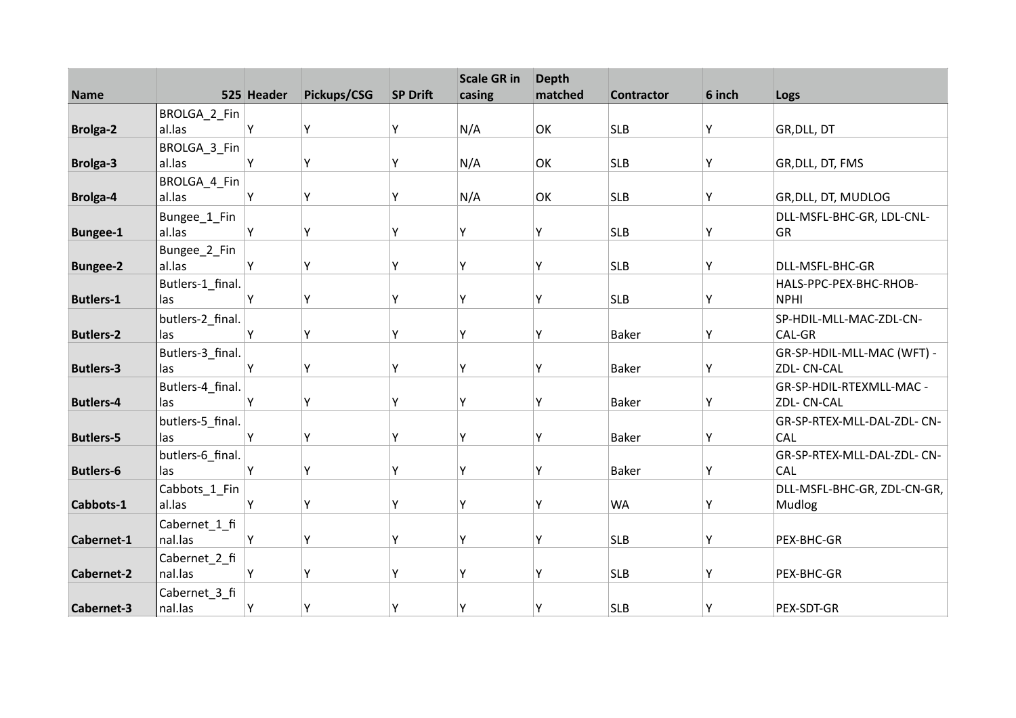| <b>Name</b>       |                          | 525 Header | Pickups/CSG | <b>SP Drift</b> | <b>Scale GR in</b><br>casing | <b>Depth</b><br>matched | <b>Contractor</b> | 6 inch | Logs                        |
|-------------------|--------------------------|------------|-------------|-----------------|------------------------------|-------------------------|-------------------|--------|-----------------------------|
|                   | BROLGA_2_Fin             |            |             |                 |                              |                         |                   |        |                             |
| <b>Brolga-2</b>   | al.las                   | Υ          | Υ           | Y               | N/A                          | OK                      | <b>SLB</b>        | Υ      | GR, DLL, DT                 |
|                   | BROLGA_3_Fin             |            |             |                 |                              |                         |                   |        |                             |
| <b>Brolga-3</b>   | al.las                   | Y          | Υ           | Υ               | N/A                          | OK                      | <b>SLB</b>        | Y      | GR, DLL, DT, FMS            |
|                   | BROLGA_4_Fin             |            |             |                 |                              |                         |                   |        |                             |
| <b>Brolga-4</b>   | al.las                   | Y          | Υ           | Y               | N/A                          | OK                      | <b>SLB</b>        | Υ      | GR, DLL, DT, MUDLOG         |
|                   | Bungee_1_Fin             |            |             |                 |                              |                         |                   |        | DLL-MSFL-BHC-GR, LDL-CNL-   |
| <b>Bungee-1</b>   | al.las                   | Υ          | Υ           | Y               | Υ                            | Υ                       | <b>SLB</b>        | Υ      | GR                          |
|                   | Bungee_2_Fin             |            |             |                 |                              |                         |                   |        |                             |
| <b>Bungee-2</b>   | al.las                   | Y          | Y           | Υ               | γ                            | Υ                       | <b>SLB</b>        | Y      | DLL-MSFL-BHC-GR             |
|                   | Butlers-1_final.         |            |             |                 |                              |                         |                   |        | HALS-PPC-PEX-BHC-RHOB-      |
| <b>Butlers-1</b>  | las                      | Υ          | Υ           | Y               | Υ                            | Υ                       | <b>SLB</b>        | Y      | <b>NPHI</b>                 |
|                   | butlers-2_final.         |            |             |                 |                              |                         |                   |        | SP-HDIL-MLL-MAC-ZDL-CN-     |
| <b>Butlers-2</b>  | las                      | Υ          | Υ           | Y               | Υ                            | Υ                       | <b>Baker</b>      | Υ      | CAL-GR                      |
|                   | Butlers-3_final.         |            |             |                 |                              |                         |                   |        | GR-SP-HDIL-MLL-MAC (WFT) -  |
| <b>Butlers-3</b>  | las                      | Y          | Υ           | Υ               | Υ                            | Υ                       | <b>Baker</b>      | Υ      | ZDL- CN-CAL                 |
|                   | Butlers-4_final.         |            |             |                 |                              |                         |                   |        | GR-SP-HDIL-RTEXMLL-MAC -    |
| <b>Butlers-4</b>  | las                      | Y          | Υ           | Y               | Υ                            | Υ                       | <b>Baker</b>      | Υ      | ZDL- CN-CAL                 |
|                   | butlers-5_final.         |            |             |                 |                              |                         |                   |        | GR-SP-RTEX-MLL-DAL-ZDL- CN- |
| <b>Butlers-5</b>  | las                      | Y          | Υ           | Y               | γ                            | ٧                       | <b>Baker</b>      | Y      | <b>CAL</b>                  |
|                   | butlers-6_final.         |            |             |                 |                              |                         |                   |        | GR-SP-RTEX-MLL-DAL-ZDL- CN- |
| <b>Butlers-6</b>  | las                      | Υ          | Y           | γ               | γ                            | Υ                       | <b>Baker</b>      | Υ      | CAL                         |
|                   | Cabbots_1_Fin            |            |             |                 |                              |                         |                   |        | DLL-MSFL-BHC-GR, ZDL-CN-GR, |
| Cabbots-1         | al.las                   | Υ          | Υ           | γ               | Υ                            | Υ                       | <b>WA</b>         | Υ      | Mudlog                      |
|                   | Cabernet_1_fi            |            |             |                 |                              |                         |                   |        |                             |
| Cabernet-1        | nal.las                  | Y          | Υ           | Y               | Υ                            | Υ                       | <b>SLB</b>        | Y      | PEX-BHC-GR                  |
|                   | Cabernet_2_fi            |            |             |                 |                              |                         |                   |        |                             |
| <b>Cabernet-2</b> | nal.las                  | Υ          | Υ           | Υ               | Y                            | Υ                       | <b>SLB</b>        | Y      | PEX-BHC-GR                  |
| Cabernet-3        | Cabernet_3_fi<br>nal.las | Υ          | Υ           | Υ               | Υ                            | Υ                       | <b>SLB</b>        | Y      | PEX-SDT-GR                  |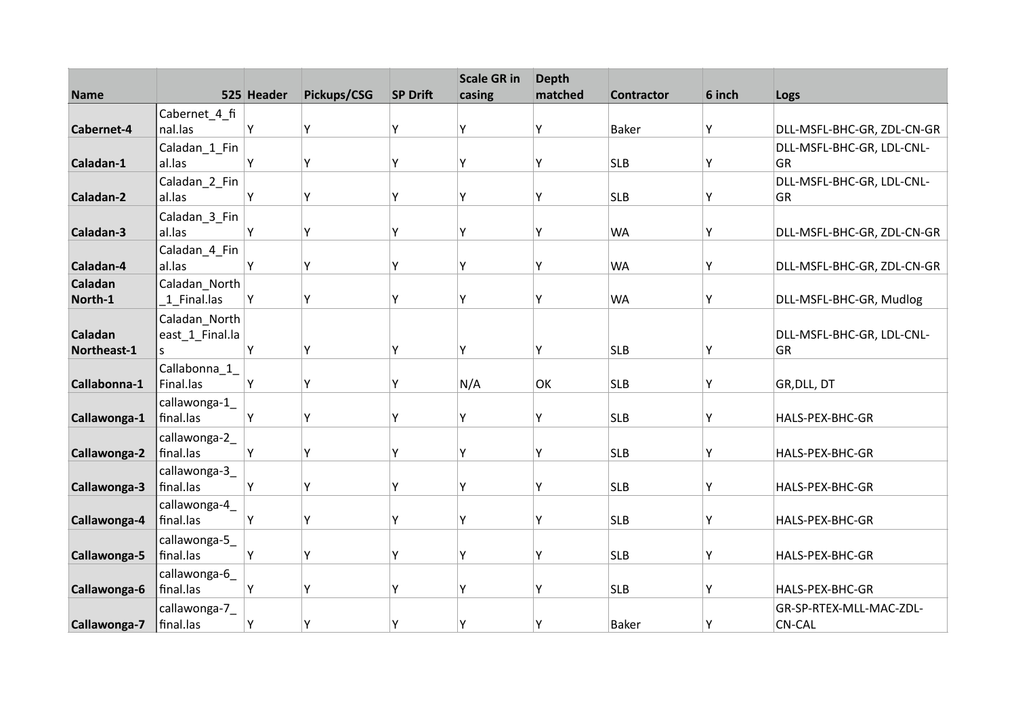|              |                 |            |             |                 | <b>Scale GR in</b> | <b>Depth</b> |                   |        |                            |
|--------------|-----------------|------------|-------------|-----------------|--------------------|--------------|-------------------|--------|----------------------------|
| <b>Name</b>  |                 | 525 Header | Pickups/CSG | <b>SP Drift</b> | casing             | matched      | <b>Contractor</b> | 6 inch | Logs                       |
|              | Cabernet 4 fi   |            |             |                 |                    |              |                   |        |                            |
| Cabernet-4   | nal.las         | Y          | Y           | Y               | Ý                  | Y            | <b>Baker</b>      | Υ      | DLL-MSFL-BHC-GR, ZDL-CN-GR |
|              | Caladan_1_Fin   |            |             |                 |                    |              |                   |        | DLL-MSFL-BHC-GR, LDL-CNL-  |
| Caladan-1    | al.las          | Υ          | Υ           | Y               | Υ                  | Υ            | <b>SLB</b>        | Υ      | GR                         |
|              | Caladan_2_Fin   |            |             |                 |                    |              |                   |        | DLL-MSFL-BHC-GR, LDL-CNL-  |
| Caladan-2    | al.las          | Υ          | Υ           | Y               | Y                  | Υ            | <b>SLB</b>        | Y      | GR                         |
|              | Caladan_3_Fin   |            |             |                 |                    |              |                   |        |                            |
| Caladan-3    | al.las          | Y          | Y           | γ               | γ                  | γ            | <b>WA</b>         | Υ      | DLL-MSFL-BHC-GR, ZDL-CN-GR |
|              | Caladan_4_Fin   |            |             |                 |                    |              |                   |        |                            |
| Caladan-4    | al.las          | Y          | Υ           | Υ               | ٧                  | Υ            | <b>WA</b>         | Υ      | DLL-MSFL-BHC-GR, ZDL-CN-GR |
| Caladan      | Caladan_North   |            |             |                 |                    |              |                   |        |                            |
| North-1      | 1 Final.las     | Υ          | Y           | Υ               | Υ                  | Υ            | <b>WA</b>         | Υ      | DLL-MSFL-BHC-GR, Mudlog    |
|              | Caladan_North   |            |             |                 |                    |              |                   |        |                            |
| Caladan      | east_1_Final.la |            |             |                 |                    |              |                   |        | DLL-MSFL-BHC-GR, LDL-CNL-  |
| Northeast-1  | S.              | Y          | Υ           | Y               | Y                  | Υ            | <b>SLB</b>        | Y      | <b>GR</b>                  |
|              | Callabonna_1_   |            |             |                 |                    |              |                   |        |                            |
| Callabonna-1 | Final.las       | Y          | Υ           | Υ               | N/A                | OK           | <b>SLB</b>        | Y      | GR, DLL, DT                |
|              | callawonga-1    |            |             |                 |                    |              |                   |        |                            |
| Callawonga-1 | final.las       | Υ          | Y           | Υ               | γ                  | Υ            | <b>SLB</b>        | Y      | HALS-PEX-BHC-GR            |
|              | callawonga-2_   |            |             |                 |                    |              |                   |        |                            |
| Callawonga-2 | final.las       | Υ          | Υ           | Y               | ٧                  | γ            | <b>SLB</b>        | Y      | HALS-PEX-BHC-GR            |
|              | callawonga-3    |            |             |                 |                    |              |                   |        |                            |
| Callawonga-3 | final.las       | Υ          | Υ           | Υ               | Υ                  | γ            | <b>SLB</b>        | Y      | HALS-PEX-BHC-GR            |
|              | callawonga-4_   |            |             |                 |                    |              |                   |        |                            |
| Callawonga-4 | final.las       | Y          | Υ           | Y               | Y                  | Υ            | <b>SLB</b>        | Υ      | HALS-PEX-BHC-GR            |
|              | callawonga-5    |            |             |                 |                    |              |                   |        |                            |
| Callawonga-5 | final.las       | Y          | Υ           | Υ               | γ                  | Υ            | <b>SLB</b>        | Υ      | HALS-PEX-BHC-GR            |
|              | callawonga-6_   |            |             |                 |                    |              |                   |        |                            |
| Callawonga-6 | final.las       | Υ          | Y           | Υ               | ٧                  | Ý            | <b>SLB</b>        | Υ      | HALS-PEX-BHC-GR            |
|              | callawonga-7_   |            |             |                 |                    |              |                   |        | GR-SP-RTEX-MLL-MAC-ZDL-    |
|              |                 |            |             |                 |                    |              |                   |        |                            |
| Callawonga-7 | final.las       | Υ          | Y           | Υ               | Υ                  | γ            | <b>Baker</b>      | Y      | <b>CN-CAL</b>              |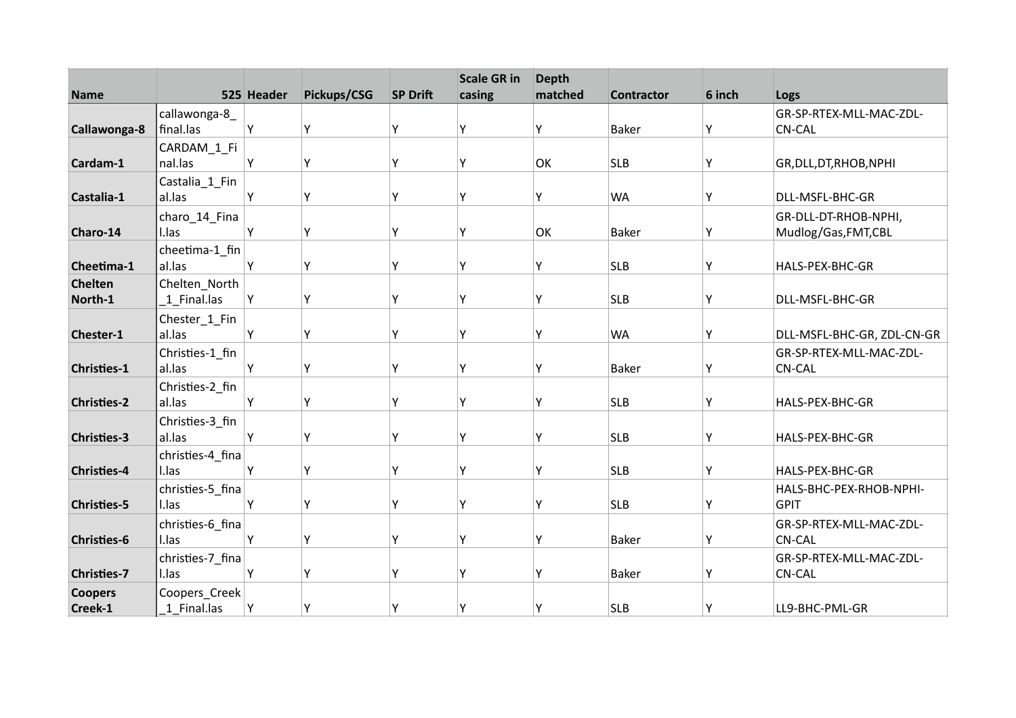| <b>Name</b>        |                           | 525 Header | Pickups/CSG | <b>SP Drift</b> | <b>Scale GR in</b><br>casing | <b>Depth</b><br>matched | <b>Contractor</b> | 6 inch | Logs                                         |
|--------------------|---------------------------|------------|-------------|-----------------|------------------------------|-------------------------|-------------------|--------|----------------------------------------------|
|                    | callawonga-8              |            |             |                 |                              |                         |                   |        | GR-SP-RTEX-MLL-MAC-ZDL-                      |
| Callawonga-8       | final.las                 | Υ          | Υ           | Y               | ۷                            | Υ                       | <b>Baker</b>      | Υ      | <b>CN-CAL</b>                                |
|                    | CARDAM_1_Fi               |            |             |                 |                              |                         |                   |        |                                              |
| Cardam-1           | nal.las                   | Υ          | Y           | Υ               | ٧                            | OK                      | <b>SLB</b>        | Υ      | GR, DLL, DT, RHOB, NPHI                      |
|                    | Castalia_1_Fin            |            |             |                 |                              |                         |                   |        |                                              |
| Castalia-1         | al.las                    | Υ          | Υ           | Υ               | γ                            | Υ                       | <b>WA</b>         | Υ      | DLL-MSFL-BHC-GR                              |
| Charo-14           | charo_14_Fina<br>I.las    | Υ          | Υ           | Y               | ٧                            | OK                      | <b>Baker</b>      | Υ      | GR-DLL-DT-RHOB-NPHI,<br>Mudlog/Gas, FMT, CBL |
|                    | cheetima-1_fin            |            |             |                 |                              |                         |                   |        |                                              |
| Cheetima-1         | al.las                    | Υ          | Y           | Y               | Y                            | Υ                       | <b>SLB</b>        | Υ      | HALS-PEX-BHC-GR                              |
| <b>Chelten</b>     | Chelten_North             |            |             |                 |                              |                         |                   |        |                                              |
| North-1            | 1 Final.las               | Υ          | Υ           | γ               | Υ                            | Υ                       | <b>SLB</b>        | Υ      | DLL-MSFL-BHC-GR                              |
| Chester-1          | Chester_1_Fin<br>al.las   | Y          | Y           | Y               | ٧                            | Υ                       | <b>WA</b>         | Υ      | DLL-MSFL-BHC-GR, ZDL-CN-GR                   |
|                    | Christies-1_fin           |            |             |                 |                              |                         |                   |        | GR-SP-RTEX-MLL-MAC-ZDL-                      |
| <b>Christies-1</b> | al.las                    | Υ          | Y           | γ               | ٧                            | Υ                       | <b>Baker</b>      | Y      | <b>CN-CAL</b>                                |
|                    | Christies-2_fin           |            |             |                 |                              |                         |                   |        |                                              |
| <b>Christies-2</b> | al.las                    | Y          | Υ           | γ               | Υ                            | Υ                       | <b>SLB</b>        | Y      | HALS-PEX-BHC-GR                              |
|                    | Christies-3_fin           |            |             |                 |                              |                         |                   |        |                                              |
| <b>Christies-3</b> | al.las                    | Y          | Y           | Υ               | ٧                            | Υ                       | <b>SLB</b>        | Υ      | HALS-PEX-BHC-GR                              |
| <b>Christies-4</b> | christies-4_fina<br>I.las | Υ          | Y           | Υ               | ٧                            | Υ                       | <b>SLB</b>        | Y      | HALS-PEX-BHC-GR                              |
|                    | christies-5 fina          |            |             |                 |                              |                         |                   |        | HALS-BHC-PEX-RHOB-NPHI-                      |
| <b>Christies-5</b> | I.las                     | Υ          | Υ           | γ               | γ                            | Υ                       | <b>SLB</b>        | Υ      | <b>GPIT</b>                                  |
|                    | christies-6_fina          |            |             |                 |                              |                         |                   |        | GR-SP-RTEX-MLL-MAC-ZDL-                      |
| <b>Christies-6</b> | I.las                     | Y          | Υ           | Υ               | ٧                            | Υ                       | <b>Baker</b>      | Υ      | <b>CN-CAL</b>                                |
| <b>Christies-7</b> | christies-7_fina<br>I.las | Υ          | Y           | Υ               | ٧                            | Y                       | <b>Baker</b>      | Υ      | GR-SP-RTEX-MLL-MAC-ZDL-<br><b>CN-CAL</b>     |
| <b>Coopers</b>     | Coopers_Creek             |            |             |                 |                              |                         |                   |        |                                              |
| Creek-1            | 1 Final.las               | Υ          | Y           | Υ               | γ                            | Υ                       | <b>SLB</b>        | Y      | LL9-BHC-PML-GR                               |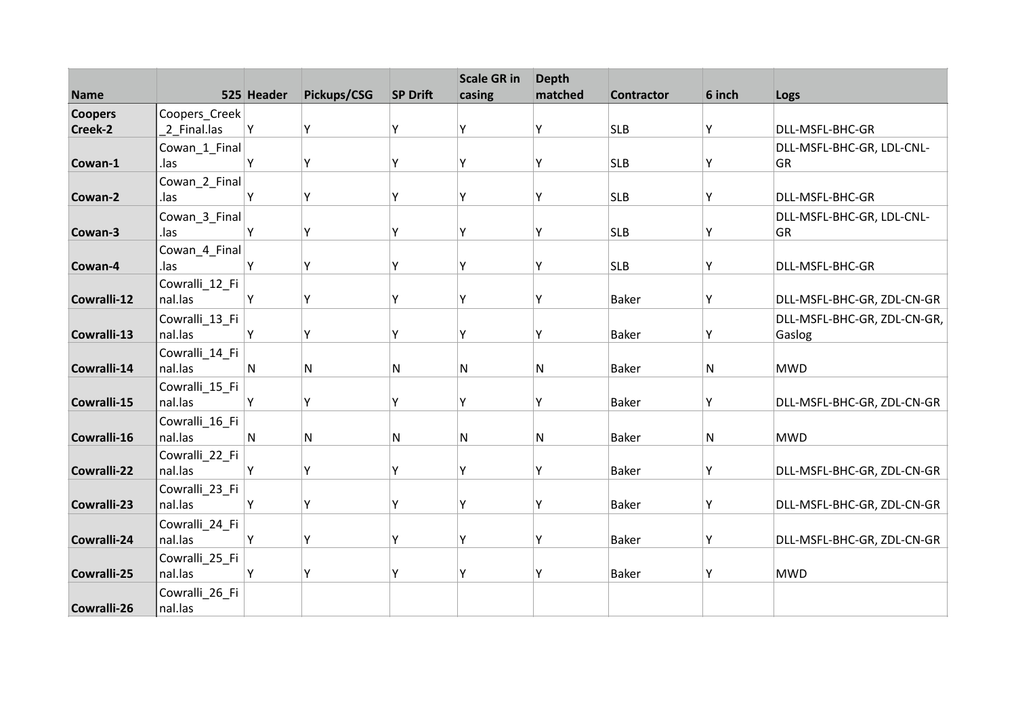| <b>Name</b>    |                           | 525 Header   | Pickups/CSG  | <b>SP Drift</b> | <b>Scale GR in</b><br>casing | <b>Depth</b><br>matched | <b>Contractor</b> | 6 inch | Logs                        |
|----------------|---------------------------|--------------|--------------|-----------------|------------------------------|-------------------------|-------------------|--------|-----------------------------|
| <b>Coopers</b> | Coopers_Creek             |              |              |                 |                              |                         |                   |        |                             |
| Creek-2        | 2 Final.las               | Υ            | Υ            | Y               | Υ                            | Υ                       | <b>SLB</b>        | Y      | DLL-MSFL-BHC-GR             |
|                | Cowan_1_Final             |              |              |                 |                              |                         |                   |        | DLL-MSFL-BHC-GR, LDL-CNL-   |
| Cowan-1        | .las                      | Υ            | Υ            | Y               | Y                            | Υ                       | <b>SLB</b>        | Υ      | <b>GR</b>                   |
|                | Cowan_2_Final             |              |              |                 |                              |                         |                   |        |                             |
| Cowan-2        | .las                      | Υ            | Υ            | Υ               | γ                            | Υ                       | <b>SLB</b>        | Υ      | DLL-MSFL-BHC-GR             |
|                | Cowan_3_Final             |              |              |                 |                              |                         |                   |        | DLL-MSFL-BHC-GR, LDL-CNL-   |
| Cowan-3        | .las                      | Υ            | Υ            | Y               | γ                            | Υ                       | <b>SLB</b>        | Υ      | <b>GR</b>                   |
|                | Cowan_4_Final             |              |              |                 |                              |                         |                   |        |                             |
| Cowan-4        | .las                      | Y            | Υ            | Y               | Y                            | Y                       | <b>SLB</b>        | Υ      | DLL-MSFL-BHC-GR             |
|                | Cowralli_12_Fi            |              |              |                 |                              |                         |                   |        |                             |
| Cowralli-12    | nal.las                   | Υ            | Υ            | Υ               | Υ                            | Υ                       | <b>Baker</b>      | Υ      | DLL-MSFL-BHC-GR, ZDL-CN-GR  |
|                | Cowralli_13_Fi            |              |              |                 |                              |                         |                   |        | DLL-MSFL-BHC-GR, ZDL-CN-GR, |
| Cowralli-13    | nal.las                   | Υ            | Υ            | Y               | γ                            | Y                       | <b>Baker</b>      | Y      | Gaslog                      |
|                | Cowralli_14_Fi            |              |              |                 |                              |                         |                   |        |                             |
| Cowralli-14    | nal.las                   | $\mathsf{N}$ | $\mathsf{N}$ | N               | N                            | N                       | <b>Baker</b>      | N      | <b>MWD</b>                  |
| Cowralli-15    | Cowralli_15_Fi<br>nal.las | Υ            | Υ            | Υ               | Υ                            | Υ                       | <b>Baker</b>      | Y      | DLL-MSFL-BHC-GR, ZDL-CN-GR  |
|                |                           |              |              |                 |                              |                         |                   |        |                             |
| Cowralli-16    | Cowralli_16_Fi<br>nal.las | N            | ${\sf N}$    | N               | N                            | N                       | <b>Baker</b>      | N      | <b>MWD</b>                  |
|                | Cowralli_22_Fi            |              |              |                 |                              |                         |                   |        |                             |
| Cowralli-22    | nal.las                   | Υ            | Υ            | Υ               | Y                            | Υ                       | <b>Baker</b>      | Υ      | DLL-MSFL-BHC-GR, ZDL-CN-GR  |
|                | Cowralli_23_Fi            |              |              |                 |                              |                         |                   |        |                             |
| Cowralli-23    | nal.las                   | Υ            | Υ            | Υ               | Υ                            | Υ                       | <b>Baker</b>      | Υ      | DLL-MSFL-BHC-GR, ZDL-CN-GR  |
|                | Cowralli_24_Fi            |              |              |                 |                              |                         |                   |        |                             |
| Cowralli-24    | nal.las                   | Υ            | Υ            | Υ               | Υ                            | Υ                       | <b>Baker</b>      | Υ      | DLL-MSFL-BHC-GR, ZDL-CN-GR  |
|                | Cowralli_25_Fi            |              |              |                 |                              |                         |                   |        |                             |
| Cowralli-25    | nal.las                   | Y            | Y            | Y               | Y                            | Y                       | <b>Baker</b>      | Υ      | <b>MWD</b>                  |
|                | Cowralli_26_Fi            |              |              |                 |                              |                         |                   |        |                             |
| Cowralli-26    | nal.las                   |              |              |                 |                              |                         |                   |        |                             |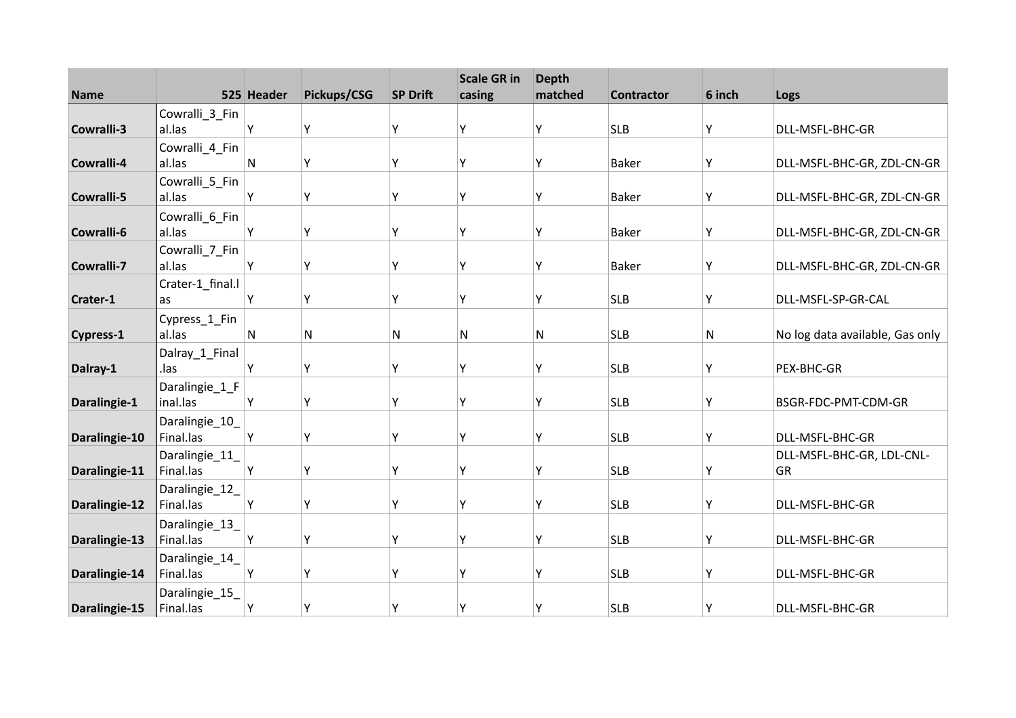| <b>Name</b>      |                             | 525 Header   | Pickups/CSG | <b>SP Drift</b> | <b>Scale GR in</b><br>casing | <b>Depth</b><br>matched | <b>Contractor</b> | 6 inch | Logs                            |
|------------------|-----------------------------|--------------|-------------|-----------------|------------------------------|-------------------------|-------------------|--------|---------------------------------|
|                  |                             |              |             |                 |                              |                         |                   |        |                                 |
| Cowralli-3       | Cowralli_3_Fin<br>al.las    | Υ            | Υ           | Y               | ۷                            | Υ                       | <b>SLB</b>        | Υ      | DLL-MSFL-BHC-GR                 |
|                  | Cowralli_4_Fin              |              |             |                 |                              |                         |                   |        |                                 |
| Cowralli-4       | al.las                      | $\mathsf{N}$ | Y           | Υ               | ٧                            | Υ                       | <b>Baker</b>      | Υ      | DLL-MSFL-BHC-GR, ZDL-CN-GR      |
|                  | Cowralli_5_Fin              |              |             |                 |                              |                         |                   |        |                                 |
| Cowralli-5       | al.las                      | Υ            | Υ           | Y               | γ                            | Υ                       | <b>Baker</b>      | Υ      | DLL-MSFL-BHC-GR, ZDL-CN-GR      |
|                  | Cowralli 6 Fin              |              |             |                 |                              |                         |                   |        |                                 |
| Cowralli-6       | al.las                      | Υ            | Υ           | Y               | ٧                            | Υ                       | <b>Baker</b>      | Υ      | DLL-MSFL-BHC-GR, ZDL-CN-GR      |
|                  | Cowralli_7_Fin              |              |             |                 |                              |                         |                   |        |                                 |
| Cowralli-7       | al.las                      | Y            | Y           | Υ               | Υ                            | Υ                       | <b>Baker</b>      | Υ      | DLL-MSFL-BHC-GR, ZDL-CN-GR      |
|                  | Crater-1 final.l            |              |             |                 |                              |                         |                   |        |                                 |
| Crater-1         | as                          | Υ            | Υ           | γ               | γ                            | Υ                       | <b>SLB</b>        | Υ      | DLL-MSFL-SP-GR-CAL              |
|                  | Cypress_1_Fin               |              |             |                 |                              |                         |                   |        |                                 |
| <b>Cypress-1</b> | al.las                      | N            | N           | N               | N                            | N                       | <b>SLB</b>        | N      | No log data available, Gas only |
|                  | Dalray_1_Final              |              |             |                 |                              |                         |                   |        |                                 |
| Dalray-1         | .las                        | Υ            | Y           | Υ               | ٧                            | Υ                       | <b>SLB</b>        | Y      | PEX-BHC-GR                      |
|                  | Daralingie_1_F<br>inal.las  | Υ            | Υ           | Υ               | γ                            | Υ                       | <b>SLB</b>        | Y      | BSGR-FDC-PMT-CDM-GR             |
| Daralingie-1     |                             |              |             |                 |                              |                         |                   |        |                                 |
| Daralingie-10    | Daralingie_10_<br>Final.las | Υ            | Υ           | Y               | ۷                            | Υ                       | <b>SLB</b>        | Υ      | DLL-MSFL-BHC-GR                 |
|                  | Daralingie_11_              |              |             |                 |                              |                         |                   |        | DLL-MSFL-BHC-GR, LDL-CNL-       |
| Daralingie-11    | Final.las                   | Y            | Υ           | Y               | ٧                            | Υ                       | <b>SLB</b>        | Y      | GR                              |
|                  | Daralingie_12_              |              |             |                 |                              |                         |                   |        |                                 |
| Daralingie-12    | Final.las                   | Υ            | Υ           | Υ               | γ                            | Υ                       | <b>SLB</b>        | Υ      | DLL-MSFL-BHC-GR                 |
|                  | Daralingie_13_              |              |             |                 |                              |                         |                   |        |                                 |
| Daralingie-13    | Final.las                   | Υ            | Υ           | Υ               | ٧                            | Υ                       | <b>SLB</b>        | Υ      | DLL-MSFL-BHC-GR                 |
|                  | Daralingie_14_              |              |             |                 |                              |                         |                   |        |                                 |
| Daralingie-14    | Final.las                   | Y            | Y           | Υ               | ٧                            | Υ                       | <b>SLB</b>        | Υ      | DLL-MSFL-BHC-GR                 |
|                  | Daralingie_15_              |              |             |                 |                              |                         |                   |        |                                 |
| Daralingie-15    | Final.las                   | Y            | Υ           | Υ               | γ                            | Υ                       | <b>SLB</b>        | Υ      | DLL-MSFL-BHC-GR                 |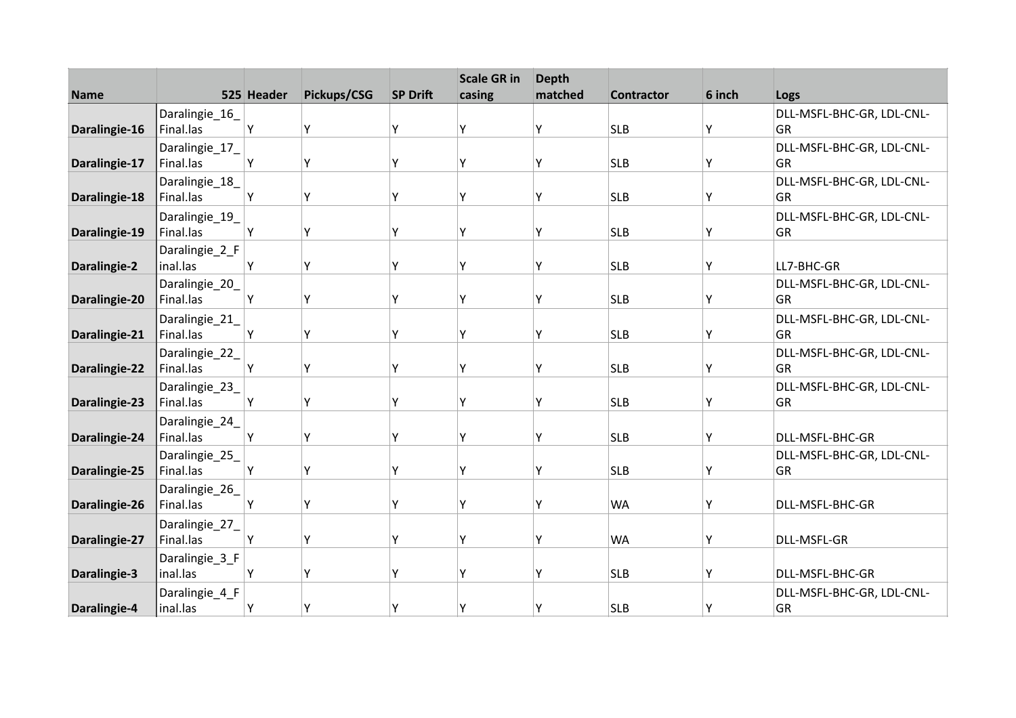|               |                            |            |             |                 | <b>Scale GR in</b> | <b>Depth</b><br>matched |                   |        |                           |
|---------------|----------------------------|------------|-------------|-----------------|--------------------|-------------------------|-------------------|--------|---------------------------|
| <b>Name</b>   |                            | 525 Header | Pickups/CSG | <b>SP Drift</b> | casing             |                         | <b>Contractor</b> | 6 inch | Logs                      |
|               | Daralingie_16              |            |             |                 |                    |                         |                   |        | DLL-MSFL-BHC-GR, LDL-CNL- |
| Daralingie-16 | Final.las                  | Υ          | Υ           | Υ               | Υ                  | Υ                       | <b>SLB</b>        | Υ      | GR                        |
|               | Daralingie_17_             |            |             |                 |                    |                         |                   |        | DLL-MSFL-BHC-GR, LDL-CNL- |
| Daralingie-17 | Final.las                  | Υ          | Υ           | Υ               | Υ                  | Υ                       | <b>SLB</b>        | Υ      | GR                        |
|               | Daralingie_18_             |            |             |                 |                    |                         |                   |        | DLL-MSFL-BHC-GR, LDL-CNL- |
| Daralingie-18 | Final.las                  | Υ          | Υ           | Υ               | Υ                  | Υ                       | <b>SLB</b>        | Υ      | GR                        |
|               | Daralingie_19_             |            |             |                 |                    |                         |                   |        | DLL-MSFL-BHC-GR, LDL-CNL- |
| Daralingie-19 | Final.las                  | Υ          | Υ           | Υ               | Υ                  | Υ                       | <b>SLB</b>        | Υ      | GR                        |
|               | Daralingie_2_F             |            |             |                 |                    |                         |                   |        |                           |
| Daralingie-2  | inal.las                   | Υ          | Υ           | Υ               | Υ                  | Υ                       | <b>SLB</b>        | Y      | LL7-BHC-GR                |
|               | Daralingie_20_             |            |             |                 |                    |                         |                   |        | DLL-MSFL-BHC-GR, LDL-CNL- |
| Daralingie-20 | Final.las                  | Υ          | Υ           | Υ               | Υ                  | Υ                       | <b>SLB</b>        | Υ      | GR                        |
|               | Daralingie_21_             |            |             |                 |                    |                         |                   |        | DLL-MSFL-BHC-GR, LDL-CNL- |
| Daralingie-21 | Final.las                  | Υ          | Υ           | Υ               | γ                  | γ                       | <b>SLB</b>        | Υ      | GR                        |
|               | Daralingie_22_             |            |             |                 |                    |                         |                   |        | DLL-MSFL-BHC-GR, LDL-CNL- |
| Daralingie-22 | Final.las                  | Y          | Υ           | Υ               | Υ                  | γ                       | <b>SLB</b>        | Υ      | GR                        |
|               | Daralingie_23_             |            |             |                 |                    |                         |                   |        | DLL-MSFL-BHC-GR, LDL-CNL- |
| Daralingie-23 | Final.las                  | Υ          | Υ           | Υ               | Υ                  | Υ                       | <b>SLB</b>        | Υ      | GR                        |
|               | Daralingie_24_             |            |             |                 |                    |                         |                   |        |                           |
| Daralingie-24 | Final.las                  | Υ          | Υ           | Υ               | Υ                  | γ                       | <b>SLB</b>        | Y      | DLL-MSFL-BHC-GR           |
|               | Daralingie_25_             |            |             |                 |                    |                         |                   |        | DLL-MSFL-BHC-GR, LDL-CNL- |
| Daralingie-25 | Final.las                  | Υ          | Υ           | Y               | γ                  | γ                       | <b>SLB</b>        | Y      | GR                        |
|               | Daralingie_26_             |            |             |                 |                    |                         |                   |        |                           |
| Daralingie-26 | Final.las                  | Υ          | Υ           | Υ               | Υ                  | Υ                       | <b>WA</b>         | Υ      | DLL-MSFL-BHC-GR           |
|               | Daralingie 27              |            |             |                 |                    |                         |                   |        |                           |
| Daralingie-27 | Final.las                  | Υ          | Υ           | Y               | Υ                  | γ                       | <b>WA</b>         | Y      | <b>DLL-MSFL-GR</b>        |
|               |                            |            |             |                 |                    |                         |                   |        |                           |
| Daralingie-3  | Daralingie_3_F<br>inal.las | Υ          | Y           | γ               | ٧                  | Υ                       | <b>SLB</b>        | Y      | DLL-MSFL-BHC-GR           |
|               |                            |            |             |                 |                    |                         |                   |        |                           |
|               | Daralingie_4_F             |            |             |                 |                    |                         |                   |        | DLL-MSFL-BHC-GR, LDL-CNL- |
| Daralingie-4  | inal.las                   | Υ          | Y           | Υ               | Υ                  | γ                       | <b>SLB</b>        | Υ      | GR                        |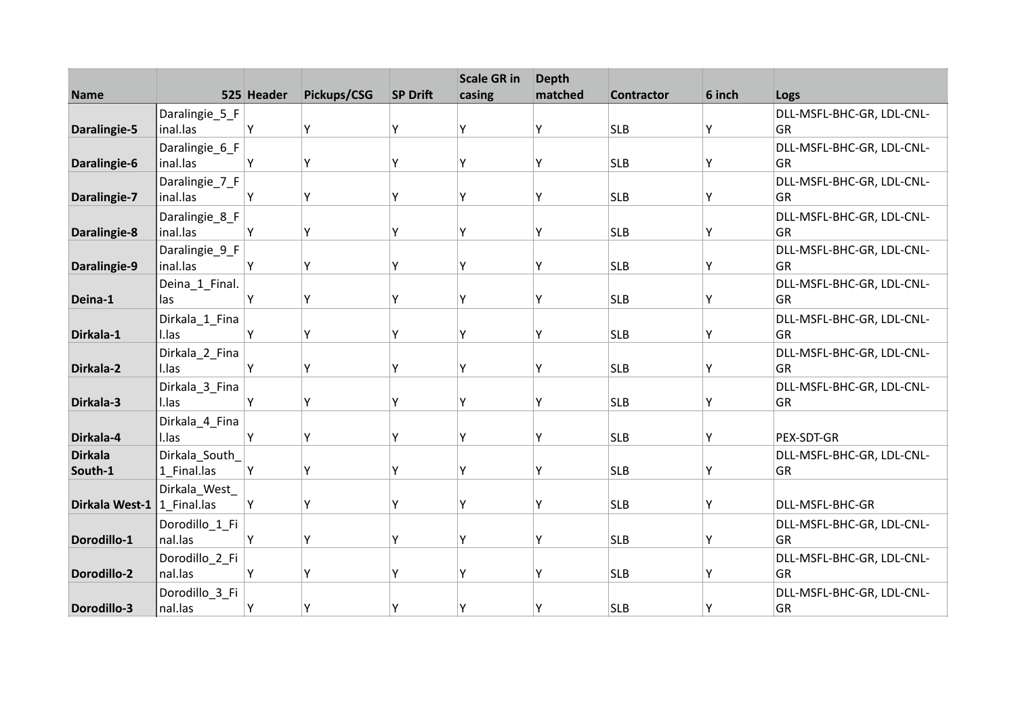|                              |                               |            |             |                 | <b>Scale GR in</b> | <b>Depth</b> |                   |        |                                 |
|------------------------------|-------------------------------|------------|-------------|-----------------|--------------------|--------------|-------------------|--------|---------------------------------|
| <b>Name</b>                  |                               | 525 Header | Pickups/CSG | <b>SP Drift</b> | casing             | matched      | <b>Contractor</b> | 6 inch | Logs                            |
|                              | Daralingie_5_F                |            |             |                 |                    |              |                   |        | DLL-MSFL-BHC-GR, LDL-CNL-       |
| Daralingie-5                 | inal.las                      | Υ          | Υ           | Υ               | Υ                  | Υ            | <b>SLB</b>        | Y      | <b>GR</b>                       |
|                              | Daralingie_6_F                |            |             |                 |                    |              |                   |        | DLL-MSFL-BHC-GR, LDL-CNL-       |
| Daralingie-6                 | inal.las                      | Y          | Υ           | Υ               | Υ                  | γ            | <b>SLB</b>        | Υ      | GR                              |
|                              | Daralingie_7_F                |            |             |                 |                    |              |                   |        | DLL-MSFL-BHC-GR, LDL-CNL-       |
| Daralingie-7                 | inal.las                      | Υ          | Υ           | Υ               | γ                  | Υ            | <b>SLB</b>        | Υ      | <b>GR</b>                       |
|                              | Daralingie_8_F                |            |             |                 |                    |              |                   |        | DLL-MSFL-BHC-GR, LDL-CNL-       |
| Daralingie-8                 | inal.las                      | Υ          | Υ           | Υ               | ٧                  | γ            | <b>SLB</b>        | Υ      | GR                              |
|                              | Daralingie_9_F                |            |             |                 |                    |              |                   |        | DLL-MSFL-BHC-GR, LDL-CNL-       |
| Daralingie-9                 | inal.las                      | Y          | Υ           | Υ               | γ                  | γ            | <b>SLB</b>        | Y      | GR                              |
|                              | Deina_1_Final.                |            |             |                 |                    |              |                   |        | DLL-MSFL-BHC-GR, LDL-CNL-       |
| Deina-1                      | las                           | Υ          | Υ           | Υ               | Υ                  | Υ            | <b>SLB</b>        | Y      | <b>GR</b>                       |
|                              | Dirkala_1_Fina                |            |             |                 |                    |              |                   |        | DLL-MSFL-BHC-GR, LDL-CNL-       |
| Dirkala-1                    | I.las                         | Υ          | Υ           | Υ               | γ                  | Υ            | <b>SLB</b>        | Y      | GR                              |
|                              | Dirkala_2_Fina                |            |             |                 |                    |              |                   |        | DLL-MSFL-BHC-GR, LDL-CNL-       |
| Dirkala-2                    | I.las                         | Υ          | Υ           | Υ               | γ                  | Υ            | <b>SLB</b>        | Υ      | GR                              |
|                              | Dirkala_3_Fina                |            |             |                 |                    |              |                   |        | DLL-MSFL-BHC-GR, LDL-CNL-       |
| Dirkala-3                    | I.las                         | Υ          | Υ           | γ               | Υ                  | Υ            | <b>SLB</b>        | Y      | GR                              |
|                              |                               |            |             |                 |                    |              |                   |        |                                 |
| Dirkala-4                    | Dirkala_4_Fina<br>I.las       | Υ          | Υ           | Υ               | v                  | γ            | <b>SLB</b>        | Y      | PEX-SDT-GR                      |
| <b>Dirkala</b>               |                               |            |             |                 |                    |              |                   |        |                                 |
| South-1                      | Dirkala_South_<br>1 Final.las | Y          | Y           | Υ               | γ                  | Υ            | <b>SLB</b>        | Y      | DLL-MSFL-BHC-GR, LDL-CNL-<br>GR |
|                              |                               |            |             |                 |                    |              |                   |        |                                 |
| Dirkala West-1   1 Final.las | Dirkala_West_                 | Υ          | Υ           | Υ               | γ                  | Υ            | <b>SLB</b>        | Y      | DLL-MSFL-BHC-GR                 |
|                              |                               |            |             |                 |                    |              |                   |        |                                 |
|                              | Dorodillo 1 Fi                |            |             |                 |                    |              |                   |        | DLL-MSFL-BHC-GR, LDL-CNL-       |
| Dorodillo-1                  | nal.las                       | Υ          | Υ           | Y               | Υ                  | γ            | <b>SLB</b>        | Υ      | GR                              |
|                              | Dorodillo_2_Fi                |            |             |                 |                    |              |                   |        | DLL-MSFL-BHC-GR, LDL-CNL-       |
| Dorodillo-2                  | nal.las                       | Y          | Y           | γ               | ٧                  | Υ            | <b>SLB</b>        | Υ      | GR                              |
|                              | Dorodillo_3_Fi                |            |             |                 |                    |              |                   |        | DLL-MSFL-BHC-GR, LDL-CNL-       |
| Dorodillo-3                  | nal.las                       | Y          | Υ           | Υ               | γ                  | Υ            | <b>SLB</b>        | Y      | GR                              |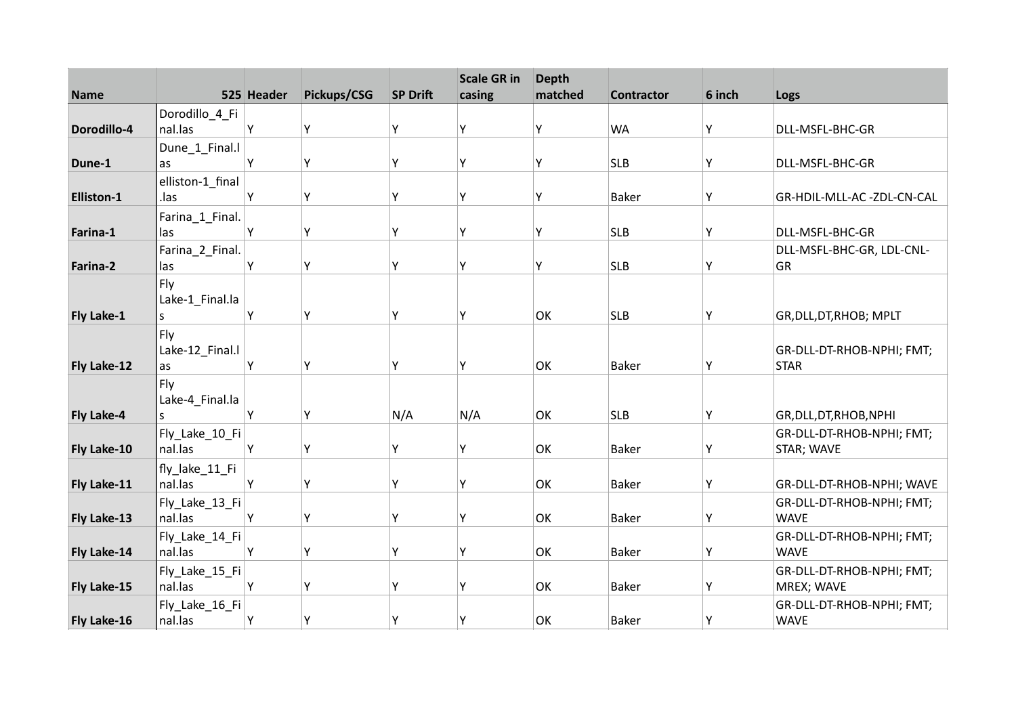| <b>Name</b> |                           | 525 Header | Pickups/CSG | <b>SP Drift</b> | <b>Scale GR in</b><br>casing | <b>Depth</b><br>matched | <b>Contractor</b> | 6 inch | Logs                      |
|-------------|---------------------------|------------|-------------|-----------------|------------------------------|-------------------------|-------------------|--------|---------------------------|
|             | Dorodillo_4_Fi            |            |             |                 |                              |                         |                   |        |                           |
| Dorodillo-4 | nal.las                   | Υ          | Y           | γ               | Υ                            | Υ                       | <b>WA</b>         | Y      | DLL-MSFL-BHC-GR           |
|             | Dune_1_Final.l            |            |             |                 |                              |                         |                   |        |                           |
| Dune-1      | as                        | Υ          | Υ           | Υ               | Υ                            | Υ                       | <b>SLB</b>        | Υ      | DLL-MSFL-BHC-GR           |
|             | elliston-1_final          |            |             |                 |                              |                         |                   |        |                           |
| Elliston-1  | .las                      | Υ          | Υ           | Υ               | Υ                            | Υ                       | <b>Baker</b>      | Υ      | GR-HDIL-MLL-AC-ZDL-CN-CAL |
|             | Farina_1_Final.           |            |             |                 |                              |                         |                   |        |                           |
| Farina-1    | las                       | Υ          | Υ           | Υ               | Υ                            | Υ                       | <b>SLB</b>        | Υ      | DLL-MSFL-BHC-GR           |
|             | Farina_2_Final.           |            |             |                 |                              |                         |                   |        | DLL-MSFL-BHC-GR, LDL-CNL- |
| Farina-2    | las                       | Υ          | Υ           | Υ               | Υ                            | Υ                       | <b>SLB</b>        | Y      | GR                        |
|             | Fly                       |            |             |                 |                              |                         |                   |        |                           |
|             | Lake-1_Final.la           |            |             |                 |                              |                         |                   |        |                           |
| Fly Lake-1  | S                         | γ          | Υ           | Υ               | γ                            | OK                      | <b>SLB</b>        | Υ      | GR, DLL, DT, RHOB; MPLT   |
|             | Fly                       |            |             |                 |                              |                         |                   |        |                           |
|             | Lake-12_Final.l           |            |             |                 |                              |                         |                   |        | GR-DLL-DT-RHOB-NPHI; FMT; |
| Fly Lake-12 | as                        | Υ          | Υ           | Υ               | Υ                            | OK                      | <b>Baker</b>      | Υ      | <b>STAR</b>               |
|             | Fly                       |            |             |                 |                              |                         |                   |        |                           |
|             | Lake-4_Final.la           |            |             |                 |                              |                         |                   |        |                           |
| Fly Lake-4  | S                         | Y          | Y           | N/A             | N/A                          | OK                      | <b>SLB</b>        | Υ      | GR, DLL, DT, RHOB, NPHI   |
|             | Fly_Lake_10_Fi            |            |             |                 |                              |                         |                   |        | GR-DLL-DT-RHOB-NPHI; FMT; |
| Fly Lake-10 | nal.las                   | Υ          | Υ           | Υ               | Υ                            | OK                      | <b>Baker</b>      | Υ      | STAR; WAVE                |
|             | fly_lake_11_Fi            |            |             |                 |                              |                         |                   |        |                           |
| Fly Lake-11 | nal.las                   | Y          | Υ           | γ               | Υ                            | OK                      | <b>Baker</b>      | Υ      | GR-DLL-DT-RHOB-NPHI; WAVE |
|             | Fly_Lake_13_Fi            |            |             |                 |                              |                         |                   |        | GR-DLL-DT-RHOB-NPHI; FMT; |
| Fly Lake-13 | nal.las                   | Υ          | Y           | Υ               | Υ                            | OK                      | <b>Baker</b>      | Υ      | <b>WAVE</b>               |
|             | Fly_Lake_14_Fi<br>nal.las |            |             | Υ               | Υ                            |                         |                   |        | GR-DLL-DT-RHOB-NPHI; FMT; |
| Fly Lake-14 |                           | Υ          | Υ           |                 |                              | OK                      | <b>Baker</b>      | Υ      | <b>WAVE</b>               |
|             | Fly_Lake_15_Fi            |            |             |                 |                              |                         |                   |        | GR-DLL-DT-RHOB-NPHI; FMT; |
| Fly Lake-15 | nal.las                   | Υ          | Υ           | Y               | Y                            | OK                      | Baker             | Υ      | MREX; WAVE                |
|             | Fly_Lake_16_Fi            |            |             |                 |                              |                         |                   |        | GR-DLL-DT-RHOB-NPHI; FMT; |
| Fly Lake-16 | nal.las                   | Υ          | Υ           | Υ               | Υ                            | OK                      | Baker             | Υ      | <b>WAVE</b>               |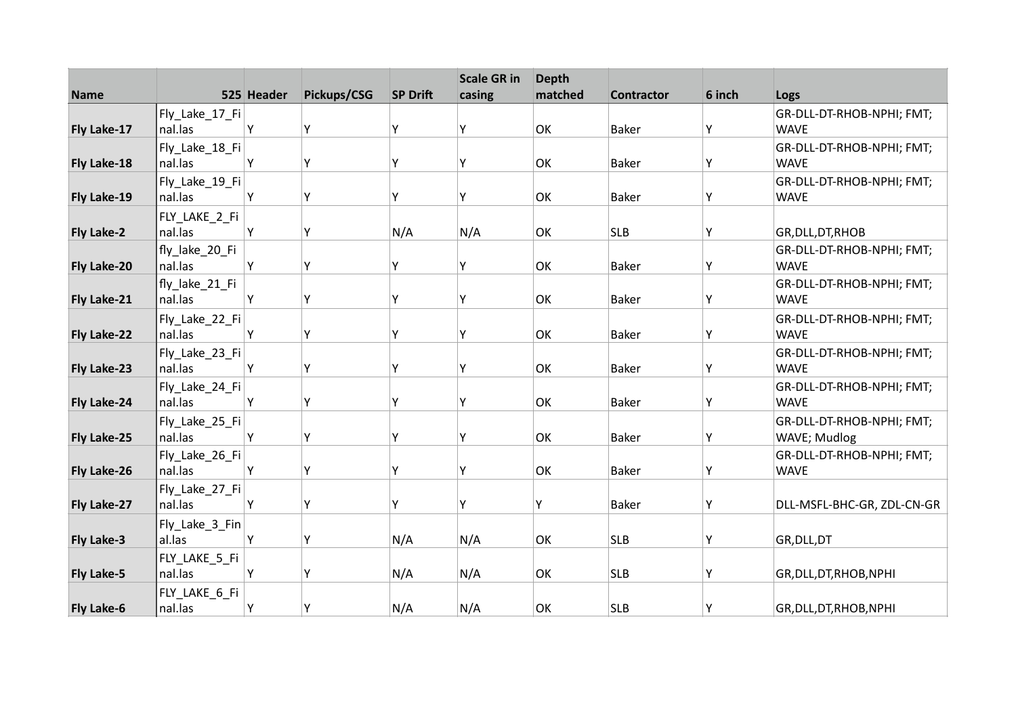| <b>Name</b>       |                           | 525 Header | Pickups/CSG | <b>SP Drift</b> | <b>Scale GR in</b><br>casing | <b>Depth</b><br>matched | <b>Contractor</b> | 6 inch | Logs                                     |
|-------------------|---------------------------|------------|-------------|-----------------|------------------------------|-------------------------|-------------------|--------|------------------------------------------|
|                   |                           |            |             |                 |                              |                         |                   |        |                                          |
| Fly Lake-17       | Fly_Lake_17_Fi<br>nal.las | Υ          | Υ           | Y               | Υ                            | OK                      | <b>Baker</b>      | Y      | GR-DLL-DT-RHOB-NPHI; FMT;<br><b>WAVE</b> |
|                   | Fly_Lake_18_Fi            |            |             |                 |                              |                         |                   |        | GR-DLL-DT-RHOB-NPHI; FMT;                |
| Fly Lake-18       | nal.las                   | Y          | Y           | Υ               | γ                            | OK                      | <b>Baker</b>      | Υ      | <b>WAVE</b>                              |
|                   | Fly_Lake_19_Fi            |            |             |                 |                              |                         |                   |        | GR-DLL-DT-RHOB-NPHI; FMT;                |
| Fly Lake-19       | nal.las                   | Υ          | Υ           | Υ               | Υ                            | OK                      | <b>Baker</b>      | Y      | <b>WAVE</b>                              |
|                   | FLY_LAKE_2_Fi             |            |             |                 |                              |                         |                   |        |                                          |
| <b>Fly Lake-2</b> | nal.las                   | Y          | Υ           | N/A             | N/A                          | OK                      | <b>SLB</b>        | Υ      | GR, DLL, DT, RHOB                        |
|                   | fly_lake_20_Fi            |            |             |                 |                              |                         |                   |        | GR-DLL-DT-RHOB-NPHI; FMT;                |
| Fly Lake-20       | nal.las                   | Y          | Υ           | Υ               | γ                            | OK                      | <b>Baker</b>      | Υ      | <b>WAVE</b>                              |
|                   | fly_lake_21_Fi            |            |             |                 |                              |                         |                   |        | GR-DLL-DT-RHOB-NPHI; FMT;                |
| Fly Lake-21       | nal.las                   | Y          | Υ           | Y               | γ                            | OK                      | <b>Baker</b>      | Υ      | <b>WAVE</b>                              |
|                   | Fly_Lake_22_Fi            |            |             |                 |                              |                         |                   |        | GR-DLL-DT-RHOB-NPHI; FMT;                |
| Fly Lake-22       | nal.las                   | Υ          | Υ           | Y               | γ                            | OK                      | <b>Baker</b>      | Y      | <b>WAVE</b>                              |
|                   | Fly_Lake_23_Fi            |            |             |                 |                              |                         |                   |        | GR-DLL-DT-RHOB-NPHI; FMT;                |
| Fly Lake-23       | nal.las                   | Y          | Υ           | Y               | ٧                            | OK                      | <b>Baker</b>      | Υ      | <b>WAVE</b>                              |
|                   | Fly_Lake_24_Fi            |            |             |                 |                              |                         |                   |        | GR-DLL-DT-RHOB-NPHI; FMT;                |
| Fly Lake-24       | nal.las                   | Υ          | Υ           | Υ               | Υ                            | OK                      | <b>Baker</b>      | Y      | <b>WAVE</b>                              |
|                   | Fly_Lake_25_Fi            |            |             |                 |                              |                         |                   |        | GR-DLL-DT-RHOB-NPHI; FMT;                |
| Fly Lake-25       | nal.las                   | Υ          | Υ           | Υ               | Υ                            | OK                      | <b>Baker</b>      | Υ      | WAVE; Mudlog                             |
|                   | Fly_Lake_26_Fi            |            |             |                 |                              |                         |                   |        | GR-DLL-DT-RHOB-NPHI; FMT;                |
| Fly Lake-26       | nal.las                   | Y          | Y           | Υ               | γ                            | OK                      | <b>Baker</b>      | Υ      | <b>WAVE</b>                              |
|                   | Fly_Lake_27_Fi            |            |             |                 |                              |                         |                   |        |                                          |
| Fly Lake-27       | nal.las                   | Υ          | Υ           | Υ               | Υ                            | Υ                       | <b>Baker</b>      | Υ      | DLL-MSFL-BHC-GR, ZDL-CN-GR               |
|                   | Fly_Lake_3_Fin            |            |             |                 |                              |                         |                   |        |                                          |
| Fly Lake-3        | al.las                    | Υ          | Υ           | N/A             | N/A                          | OK                      | <b>SLB</b>        | Υ      | GR, DLL, DT                              |
|                   | FLY_LAKE_5_Fi             |            |             |                 |                              |                         |                   |        |                                          |
| Fly Lake-5        | nal.las                   | Y          | Y           | N/A             | N/A                          | OK                      | <b>SLB</b>        | Y      | GR, DLL, DT, RHOB, NPHI                  |
|                   | FLY_LAKE_6_Fi             |            |             |                 |                              |                         |                   |        |                                          |
| Fly Lake-6        | nal.las                   | Υ          | Υ           | N/A             | N/A                          | OK                      | <b>SLB</b>        | Y      | GR, DLL, DT, RHOB, NPHI                  |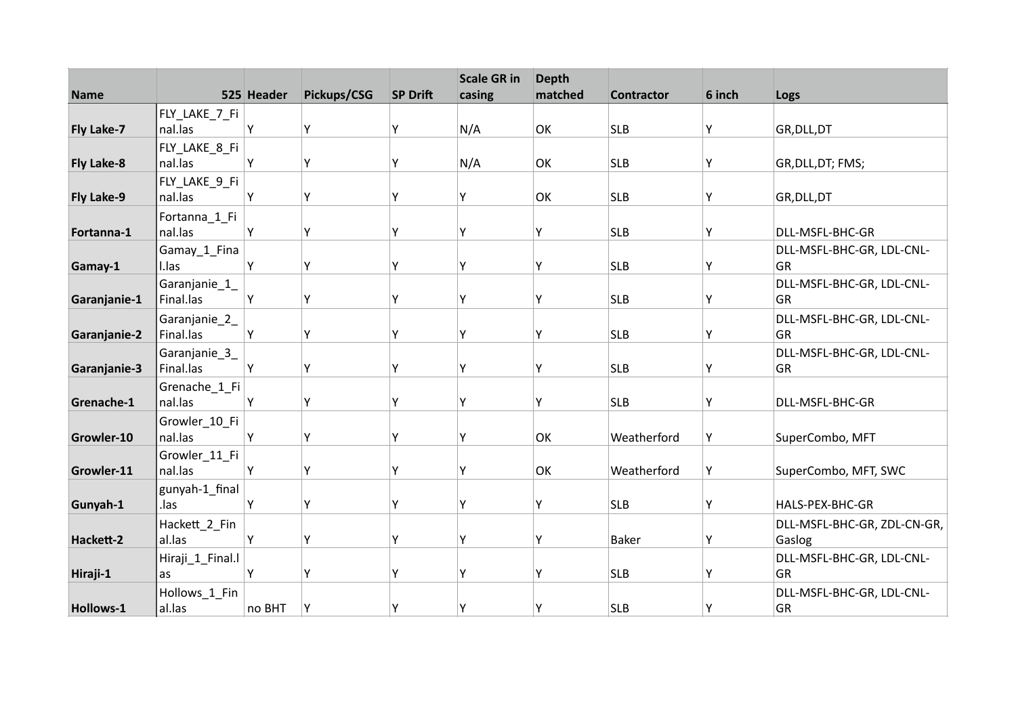| <b>Name</b>       |                            | 525 Header | Pickups/CSG | <b>SP Drift</b> | <b>Scale GR in</b><br>casing | <b>Depth</b><br>matched | <b>Contractor</b> | 6 inch | Logs                            |
|-------------------|----------------------------|------------|-------------|-----------------|------------------------------|-------------------------|-------------------|--------|---------------------------------|
|                   | FLY_LAKE_7_Fi              |            |             |                 |                              |                         |                   |        |                                 |
| Fly Lake-7        | nal.las                    | Υ          | Υ           | Y               | N/A                          | OK                      | <b>SLB</b>        | Υ      | GR, DLL, DT                     |
|                   | FLY_LAKE_8_Fi              |            |             |                 |                              |                         |                   |        |                                 |
| <b>Fly Lake-8</b> | nal.las                    | Υ          | Υ           | Υ               | N/A                          | OK                      | <b>SLB</b>        | Y      | GR, DLL, DT; FMS;               |
|                   | FLY_LAKE_9_Fi              |            |             |                 |                              |                         |                   |        |                                 |
| Fly Lake-9        | nal.las                    | Y          | Υ           | Υ               | Υ                            | OK                      | <b>SLB</b>        | Υ      | GR, DLL, DT                     |
|                   | Fortanna_1_Fi              |            |             |                 |                              |                         |                   |        |                                 |
| Fortanna-1        | nal.las                    | Υ          | Υ           | Y               | Υ                            | Υ                       | <b>SLB</b>        | Υ      | DLL-MSFL-BHC-GR                 |
|                   | Gamay_1_Fina               |            |             |                 |                              |                         |                   |        | DLL-MSFL-BHC-GR, LDL-CNL-       |
| Gamay-1           | I.las                      | Υ          | Υ           | Y               | Y                            | Υ                       | <b>SLB</b>        | Υ      | GR                              |
|                   | Garanjanie_1_              |            |             |                 |                              |                         |                   |        | DLL-MSFL-BHC-GR, LDL-CNL-       |
| Garanjanie-1      | Final.las                  | Υ          | Υ           | Y               | Υ                            | Υ                       | <b>SLB</b>        | Υ      | GR                              |
|                   | Garanjanie_2_              |            |             |                 |                              |                         |                   |        | DLL-MSFL-BHC-GR, LDL-CNL-       |
| Garanjanie-2      | Final.las                  | Υ          | Υ           | Y               | Υ                            | Υ                       | <b>SLB</b>        | Υ      | GR                              |
|                   | Garanjanie_3_<br>Final.las | Υ          | Y           | Y               | γ                            | Υ                       | <b>SLB</b>        | Y      | DLL-MSFL-BHC-GR, LDL-CNL-<br>GR |
| Garanjanie-3      |                            |            |             |                 |                              |                         |                   |        |                                 |
| Grenache-1        | Grenache_1_Fi<br>nal.las   | Υ          | Υ           | Y               | Υ                            | Υ                       | <b>SLB</b>        | Y      | DLL-MSFL-BHC-GR                 |
|                   | Growler_10_Fi              |            |             |                 |                              |                         |                   |        |                                 |
| Growler-10        | nal.las                    | Υ          | Υ           | Y               | Υ                            | OK                      | Weatherford       | Υ      | SuperCombo, MFT                 |
|                   | Growler_11_Fi              |            |             |                 |                              |                         |                   |        |                                 |
| Growler-11        | nal.las                    | Υ          | Υ           | Υ               | γ                            | OK                      | Weatherford       | Υ      | SuperCombo, MFT, SWC            |
|                   | gunyah-1_final             |            |             |                 |                              |                         |                   |        |                                 |
| Gunyah-1          | .las                       | Υ          | Υ           | Υ               | Υ                            | Υ                       | <b>SLB</b>        | Υ      | HALS-PEX-BHC-GR                 |
|                   | Hackett_2_Fin              |            |             |                 |                              |                         |                   |        | DLL-MSFL-BHC-GR, ZDL-CN-GR,     |
| Hackett-2         | al.las                     | Υ          | Υ           | Y               | Υ                            | Υ                       | <b>Baker</b>      | Υ      | Gaslog                          |
|                   | Hiraji_1_Final.l           |            |             |                 |                              |                         |                   |        | DLL-MSFL-BHC-GR, LDL-CNL-       |
| Hiraji-1          | as                         | Υ          | Y           | Υ               | γ                            | Υ                       | <b>SLB</b>        | Υ      | GR                              |
|                   | Hollows_1_Fin              |            |             |                 |                              |                         |                   |        | DLL-MSFL-BHC-GR, LDL-CNL-       |
| Hollows-1         | al.las                     | no BHT     | Y           | Υ               | Υ                            | Υ                       | <b>SLB</b>        | Υ      | GR                              |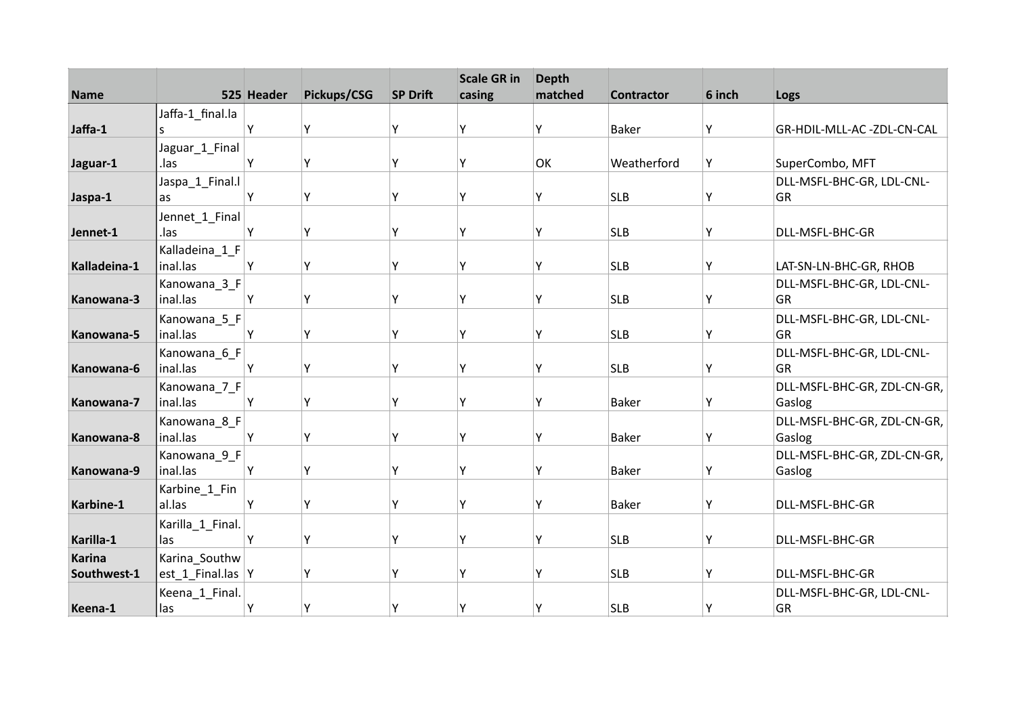| <b>Name</b>   |                          | 525 Header | Pickups/CSG | <b>SP Drift</b> | <b>Scale GR in</b><br>casing | <b>Depth</b><br>matched | <b>Contractor</b> | 6 inch | Logs                                  |
|---------------|--------------------------|------------|-------------|-----------------|------------------------------|-------------------------|-------------------|--------|---------------------------------------|
|               | Jaffa-1_final.la         |            |             |                 |                              |                         |                   |        |                                       |
| Jaffa-1       | S                        | Υ          | Υ           | Υ               | Υ                            | γ                       | <b>Baker</b>      | Y      | GR-HDIL-MLL-AC -ZDL-CN-CAL            |
|               | Jaguar_1_Final           |            |             |                 |                              |                         |                   |        |                                       |
| Jaguar-1      | .las                     | Υ          | Υ           | Υ               | Υ                            | OK                      | Weatherford       | Υ      | SuperCombo, MFT                       |
|               | Jaspa_1_Final.l          |            |             |                 |                              |                         |                   |        | DLL-MSFL-BHC-GR, LDL-CNL-             |
| Jaspa-1       | as                       | Υ          | Υ           | Υ               | Υ                            | Υ                       | <b>SLB</b>        | Υ      | GR                                    |
|               | Jennet_1_Final           |            |             |                 |                              |                         |                   |        |                                       |
| Jennet-1      | .las                     | Υ          | Υ           | Y               | γ                            | Υ                       | <b>SLB</b>        | Υ      | DLL-MSFL-BHC-GR                       |
|               | Kalladeina_1_F           |            |             |                 |                              |                         |                   |        |                                       |
| Kalladeina-1  | inal.las                 | Y          | Υ           | Υ               | Y                            | Υ                       | <b>SLB</b>        | Υ      | LAT-SN-LN-BHC-GR, RHOB                |
|               | Kanowana_3_F             |            |             |                 |                              |                         |                   |        | DLL-MSFL-BHC-GR, LDL-CNL-             |
| Kanowana-3    | inal.las                 | Υ          | Υ           | Y               | Υ                            | Υ                       | <b>SLB</b>        | Υ      | GR                                    |
|               | Kanowana_5_F             |            |             |                 |                              |                         |                   |        | DLL-MSFL-BHC-GR, LDL-CNL-             |
| Kanowana-5    | inal.las                 | Υ          | Υ           |                 | ٧                            | γ                       | <b>SLB</b>        | Υ      | GR                                    |
|               | Kanowana_6_F<br>inal.las | Υ          |             | Υ               | Υ                            | γ                       | <b>SLB</b>        |        | DLL-MSFL-BHC-GR, LDL-CNL-<br>GR       |
| Kanowana-6    |                          |            | Υ           |                 |                              |                         |                   | Y      |                                       |
| Kanowana-7    | Kanowana_7_F<br>inal.las | Υ          | Υ           | Υ               | Υ                            | Υ                       | <b>Baker</b>      | Y      | DLL-MSFL-BHC-GR, ZDL-CN-GR,<br>Gaslog |
|               |                          |            |             |                 |                              |                         |                   |        |                                       |
| Kanowana-8    | Kanowana_8_F<br>inal.las | Y          | Υ           | Υ               | Y                            | Υ                       | <b>Baker</b>      | Υ      | DLL-MSFL-BHC-GR, ZDL-CN-GR,<br>Gaslog |
|               | Kanowana_9_F             |            |             |                 |                              |                         |                   |        | DLL-MSFL-BHC-GR, ZDL-CN-GR,           |
| Kanowana-9    | inal.las                 | Y          | Υ           | Υ               | Υ                            | Υ                       | <b>Baker</b>      | Y      | Gaslog                                |
|               | Karbine_1_Fin            |            |             |                 |                              |                         |                   |        |                                       |
| Karbine-1     | al.las                   | Υ          | Υ           | Υ               | Υ                            | Υ                       | <b>Baker</b>      | Y      | DLL-MSFL-BHC-GR                       |
|               | Karilla_1_Final.         |            |             |                 |                              |                         |                   |        |                                       |
| Karilla-1     | las                      | Υ          | Υ           | Υ               | Y                            | Υ                       | <b>SLB</b>        | Υ      | DLL-MSFL-BHC-GR                       |
| <b>Karina</b> | Karina_Southw            |            |             |                 |                              |                         |                   |        |                                       |
| Southwest-1   | est_1_Final.las  Y       |            | Υ           | γ               | ٧                            | Υ                       | <b>SLB</b>        | Υ      | DLL-MSFL-BHC-GR                       |
|               | Keena_1_Final.           |            |             |                 |                              |                         |                   |        | DLL-MSFL-BHC-GR, LDL-CNL-             |
| Keena-1       | las                      | Y          | Y           | Υ               | Υ                            | Υ                       | <b>SLB</b>        | Υ      | GR                                    |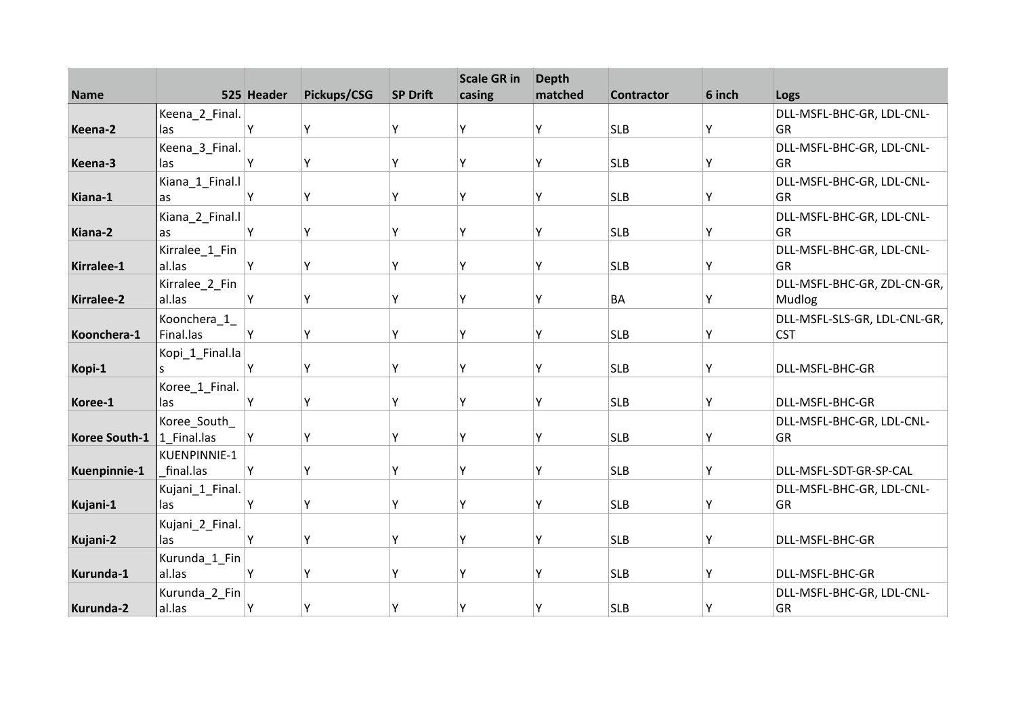|               |                 |            |             |                 | <b>Scale GR in</b> | <b>Depth</b> |                   |        |                              |
|---------------|-----------------|------------|-------------|-----------------|--------------------|--------------|-------------------|--------|------------------------------|
| <b>Name</b>   |                 | 525 Header | Pickups/CSG | <b>SP Drift</b> | casing             | matched      | <b>Contractor</b> | 6 inch | Logs                         |
|               | Keena_2_Final.  |            |             |                 |                    |              |                   |        | DLL-MSFL-BHC-GR, LDL-CNL-    |
| Keena-2       | las             | Υ          | Υ           | Υ               | Υ                  | Υ            | <b>SLB</b>        | Y      | <b>GR</b>                    |
|               | Keena_3_Final.  |            |             |                 |                    |              |                   |        | DLL-MSFL-BHC-GR, LDL-CNL-    |
| Keena-3       | las             | Υ          | Υ           | Υ               | Υ                  | Υ            | <b>SLB</b>        | Υ      | GR                           |
|               | Kiana_1_Final.l |            |             |                 |                    |              |                   |        | DLL-MSFL-BHC-GR, LDL-CNL-    |
| Kiana-1       | as              | Υ          | Υ           | Υ               | γ                  | Υ            | <b>SLB</b>        | Υ      | <b>GR</b>                    |
|               | Kiana_2_Final.l |            |             |                 |                    |              |                   |        | DLL-MSFL-BHC-GR, LDL-CNL-    |
| Kiana-2       | as              | Υ          | Υ           | Υ               | ٧                  | γ            | <b>SLB</b>        | Υ      | GR                           |
|               | Kirralee_1_Fin  |            |             |                 |                    |              |                   |        | DLL-MSFL-BHC-GR, LDL-CNL-    |
| Kirralee-1    | al.las          | Y          | Y           | Υ               | Υ                  | γ            | <b>SLB</b>        | Y      | GR                           |
|               | Kirralee_2_Fin  |            |             |                 |                    |              |                   |        | DLL-MSFL-BHC-GR, ZDL-CN-GR,  |
| Kirralee-2    | al.las          | Υ          | Υ           | Υ               | Υ                  | Υ            | <b>BA</b>         | Υ      | Mudlog                       |
|               | Koonchera_1_    |            |             |                 |                    |              |                   |        | DLL-MSFL-SLS-GR, LDL-CNL-GR, |
| Koonchera-1   | Final.las       | Υ          | Υ           | Υ               | γ                  | Υ            | <b>SLB</b>        | Y      | <b>CST</b>                   |
|               | Kopi_1_Final.la |            |             |                 |                    |              |                   |        |                              |
| Kopi-1        | S               | Y          | Υ           | Υ               | Υ                  | Υ            | <b>SLB</b>        | Υ      | DLL-MSFL-BHC-GR              |
|               | Koree_1_Final.  |            |             |                 |                    |              |                   |        |                              |
| Koree-1       | las             | Υ          | Υ           | γ               | Υ                  | Υ            | <b>SLB</b>        | Y      | DLL-MSFL-BHC-GR              |
|               | Koree_South_    |            |             |                 |                    |              |                   |        | DLL-MSFL-BHC-GR, LDL-CNL-    |
| Koree South-1 | 1 Final.las     | Y          | Υ           | Υ               | v                  | γ            | <b>SLB</b>        | Y      | GR                           |
|               | KUENPINNIE-1    |            |             |                 |                    |              |                   |        |                              |
| Kuenpinnie-1  | final.las       | Y          | Y           | Υ               | γ                  | Υ            | <b>SLB</b>        | Y      | DLL-MSFL-SDT-GR-SP-CAL       |
|               | Kujani_1_Final. |            |             |                 |                    |              |                   |        | DLL-MSFL-BHC-GR, LDL-CNL-    |
| Kujani-1      | las             | Υ          | Υ           | Υ               | γ                  | Υ            | <b>SLB</b>        | Υ      | <b>GR</b>                    |
|               | Kujani_2_Final. |            |             |                 |                    |              |                   |        |                              |
| Kujani-2      | las             | Υ          | Υ           | Y               | Υ                  | γ            | <b>SLB</b>        | Υ      | DLL-MSFL-BHC-GR              |
|               | Kurunda_1_Fin   |            |             |                 |                    |              |                   |        |                              |
| Kurunda-1     | al.las          | Y          | Y           | Υ               | ٧                  | Y            | <b>SLB</b>        | Υ      | DLL-MSFL-BHC-GR              |
|               | Kurunda_2_Fin   |            |             |                 |                    |              |                   |        | DLL-MSFL-BHC-GR, LDL-CNL-    |
|               |                 |            |             |                 |                    |              |                   |        |                              |
| Kurunda-2     | al.las          | Υ          | Υ           | Υ               | Υ                  | Υ            | <b>SLB</b>        | ۱Y.    | GR                           |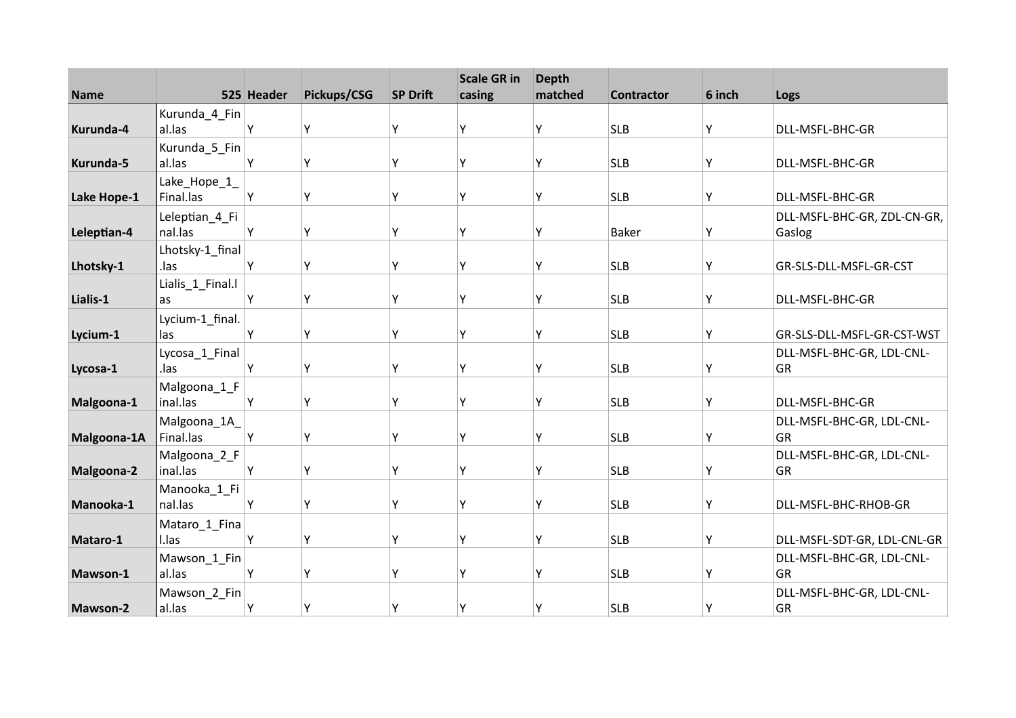| <b>Name</b> |                           | 525 Header | Pickups/CSG | <b>SP Drift</b> | <b>Scale GR in</b><br>casing | <b>Depth</b><br>matched | <b>Contractor</b> | 6 inch | Logs                                  |
|-------------|---------------------------|------------|-------------|-----------------|------------------------------|-------------------------|-------------------|--------|---------------------------------------|
|             | Kurunda_4_Fin             |            |             |                 |                              |                         |                   |        |                                       |
| Kurunda-4   | al.las                    | Y          | Y           | Y               | ٧                            | Υ                       | <b>SLB</b>        | Y      | DLL-MSFL-BHC-GR                       |
|             | Kurunda_5_Fin             |            |             |                 |                              |                         |                   |        |                                       |
| Kurunda-5   | al.las                    | Y          | Υ           | Υ               | Υ                            | Υ                       | <b>SLB</b>        | Y      | DLL-MSFL-BHC-GR                       |
| Lake Hope-1 | Lake_Hope_1_<br>Final.las | Y          | Υ           | Υ               | γ                            | Υ                       | <b>SLB</b>        | Υ      | DLL-MSFL-BHC-GR                       |
| Leleptian-4 | Leleptian 4 Fi<br>nal.las | Y          | Υ           | Y               | γ                            | Υ                       | <b>Baker</b>      | Υ      | DLL-MSFL-BHC-GR, ZDL-CN-GR,<br>Gaslog |
| Lhotsky-1   | Lhotsky-1_final<br>.las   | Y          | Υ           | Y               | γ                            | Υ                       | <b>SLB</b>        | Υ      | GR-SLS-DLL-MSFL-GR-CST                |
| Lialis-1    | Lialis_1_Final.l<br>as    | Y          | Υ           | γ               | Υ                            | Υ                       | <b>SLB</b>        | Υ      | DLL-MSFL-BHC-GR                       |
| Lycium-1    | Lycium-1_final.<br>las    | Y          | Υ           | Υ               | ٧                            | γ                       | <b>SLB</b>        | Y      | GR-SLS-DLL-MSFL-GR-CST-WST            |
| Lycosa-1    | Lycosa_1_Final<br>.las    | Y          | Y           | γ               | γ                            | γ                       | <b>SLB</b>        | Y      | DLL-MSFL-BHC-GR, LDL-CNL-<br>GR       |
| Malgoona-1  | Malgoona_1_F<br>inal.las  | Y          | Υ           | Y               | γ                            | γ                       | <b>SLB</b>        | Y      | DLL-MSFL-BHC-GR                       |
| Malgoona-1A | Malgoona_1A_<br>Final.las | Y          | Υ           | Y               | γ                            | γ                       | <b>SLB</b>        | Y      | DLL-MSFL-BHC-GR, LDL-CNL-<br>GR       |
| Malgoona-2  | Malgoona_2_F<br>inal.las  | Y          | Υ           | Υ               | γ                            | Υ                       | <b>SLB</b>        | Y      | DLL-MSFL-BHC-GR, LDL-CNL-<br>GR       |
| Manooka-1   | Manooka_1_Fi<br>nal.las   | Υ          | Υ           | Υ               | Υ                            | Υ                       | <b>SLB</b>        | Υ      | DLL-MSFL-BHC-RHOB-GR                  |
| Mataro-1    | Mataro_1_Fina<br>I.las    | Y          | Υ           | Y               | γ                            | Υ                       | <b>SLB</b>        | Υ      | DLL-MSFL-SDT-GR, LDL-CNL-GR           |
|             | Mawson_1_Fin              |            |             |                 |                              |                         |                   |        | DLL-MSFL-BHC-GR, LDL-CNL-             |
| Mawson-1    | al.las                    | Y          | Y           | γ               | ٧                            | Y                       | <b>SLB</b>        | Υ      | GR                                    |
| Mawson-2    | Mawson_2_Fin<br>al.las    | Y          | Y           | Υ               | Υ                            | Υ                       | <b>SLB</b>        | Y      | DLL-MSFL-BHC-GR, LDL-CNL-<br>GR       |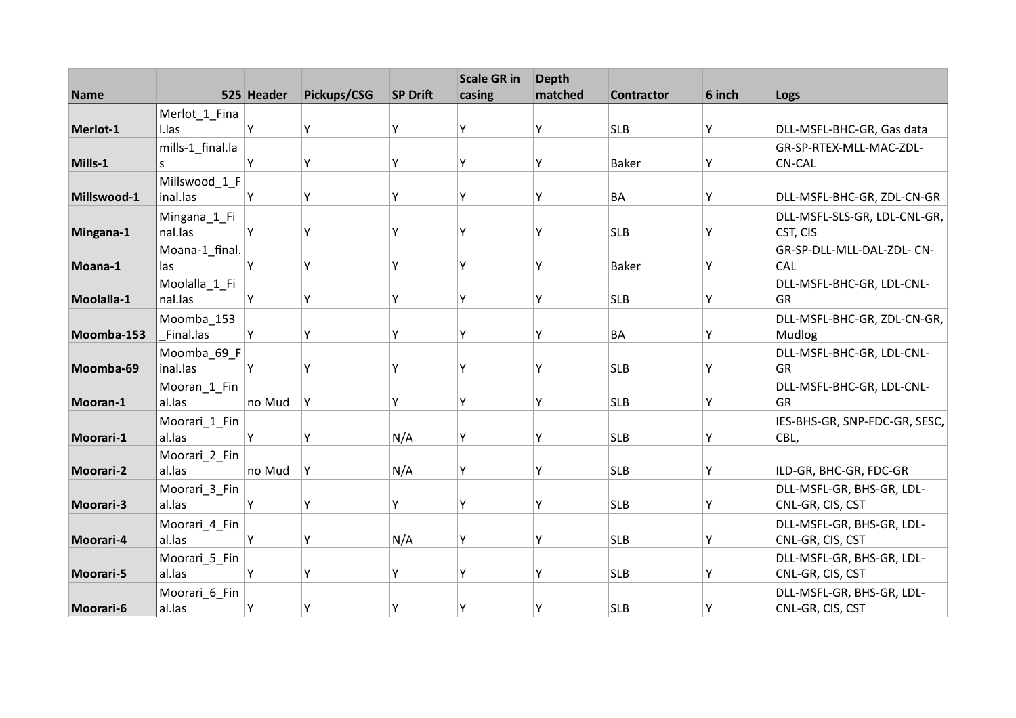| <b>Name</b>      |                           | 525 Header | Pickups/CSG | <b>SP Drift</b> | <b>Scale GR in</b><br>casing | <b>Depth</b><br>matched | <b>Contractor</b> | 6 inch | Logs                                          |
|------------------|---------------------------|------------|-------------|-----------------|------------------------------|-------------------------|-------------------|--------|-----------------------------------------------|
|                  | Merlot_1_Fina             |            |             |                 |                              |                         |                   |        |                                               |
| Merlot-1         | I.las                     | Υ          | Y           | Υ               | ۷                            | Υ                       | <b>SLB</b>        | Υ      | DLL-MSFL-BHC-GR, Gas data                     |
|                  | mills-1_final.la          |            |             |                 |                              |                         |                   |        | GR-SP-RTEX-MLL-MAC-ZDL-                       |
| Mills-1          | S.                        | Y          | Y           | Υ               | γ                            | Υ                       | <b>Baker</b>      | Y      | <b>CN-CAL</b>                                 |
| Millswood-1      | Millswood 1 F<br>inal.las | Υ          | Υ           | Υ               | γ                            | Υ                       | <b>BA</b>         | Υ      | DLL-MSFL-BHC-GR, ZDL-CN-GR                    |
| Mingana-1        | Mingana_1_Fi<br>nal.las   | Y          | Υ           | Y               | ۷                            | Υ                       | <b>SLB</b>        | Υ      | DLL-MSFL-SLS-GR, LDL-CNL-GR,<br>CST, CIS      |
| Moana-1          | Moana-1_final.<br>las     | Υ          | Y           | Υ               | γ                            | Υ                       | <b>Baker</b>      | Υ      | GR-SP-DLL-MLL-DAL-ZDL- CN-<br>CAL             |
| Moolalla-1       | Moolalla_1_Fi<br>nal.las  | Υ          | Υ           | γ               | γ                            | Υ                       | <b>SLB</b>        | Υ      | DLL-MSFL-BHC-GR, LDL-CNL-<br>GR               |
| Moomba-153       | Moomba 153<br>Final.las   | Y          | Υ           | Υ               | ٧                            | Υ                       | <b>BA</b>         | Y      | DLL-MSFL-BHC-GR, ZDL-CN-GR,<br>Mudlog         |
| Moomba-69        | Moomba_69_F<br>inal.las   | Y          | Y           | γ               | ٧                            | Υ                       | <b>SLB</b>        | Y      | DLL-MSFL-BHC-GR, LDL-CNL-<br>GR               |
| Mooran-1         | Mooran_1_Fin<br>al.las    | no Mud     | Y           | Υ               | γ                            | Υ                       | <b>SLB</b>        | Y      | DLL-MSFL-BHC-GR, LDL-CNL-<br><b>GR</b>        |
| Moorari-1        | Moorari_1_Fin<br>al.las   | Y          | Y           | N/A             | Υ                            | Υ                       | <b>SLB</b>        | Υ      | IES-BHS-GR, SNP-FDC-GR, SESC,<br>CBL,         |
| <b>Moorari-2</b> | Moorari_2_Fin<br>al.las   | no Mud     | Y           | N/A             | γ                            | Υ                       | <b>SLB</b>        | Y      | ILD-GR, BHC-GR, FDC-GR                        |
| <b>Moorari-3</b> | Moorari 3 Fin<br>al.las   | Υ          | Υ           | Y               | γ                            | Υ                       | <b>SLB</b>        | Υ      | DLL-MSFL-GR, BHS-GR, LDL-<br>CNL-GR, CIS, CST |
| Moorari-4        | Moorari_4_Fin<br>al.las   | Υ          | Υ           | N/A             | ٧                            | Υ                       | <b>SLB</b>        | Υ      | DLL-MSFL-GR, BHS-GR, LDL-<br>CNL-GR, CIS, CST |
| Moorari-5        | Moorari_5_Fin<br>al.las   | Υ          | Y           | Υ               | ۷                            | Υ                       | <b>SLB</b>        | Υ      | DLL-MSFL-GR, BHS-GR, LDL-<br>CNL-GR, CIS, CST |
| Moorari-6        | Moorari_6_Fin<br>al.las   | Υ          | Υ           | Υ               | ۷                            | Υ                       | <b>SLB</b>        | Y      | DLL-MSFL-GR, BHS-GR, LDL-<br>CNL-GR, CIS, CST |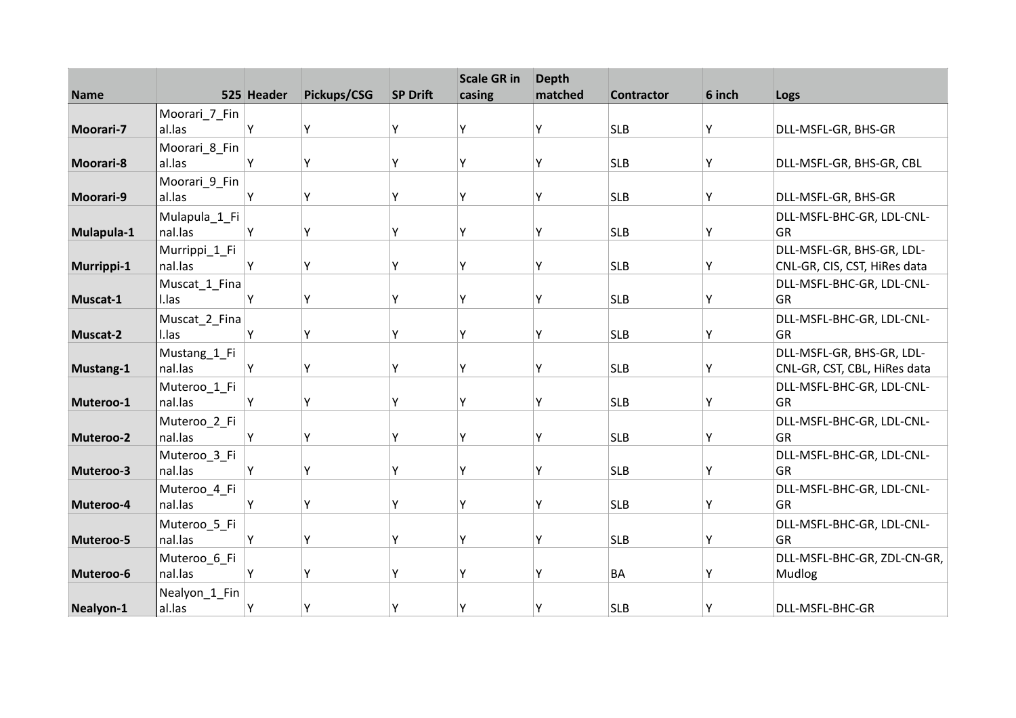| <b>Name</b>      |                         | 525 Header | Pickups/CSG | <b>SP Drift</b> | <b>Scale GR in</b><br>casing | <b>Depth</b><br>matched | <b>Contractor</b> | 6 inch | Logs                                   |
|------------------|-------------------------|------------|-------------|-----------------|------------------------------|-------------------------|-------------------|--------|----------------------------------------|
|                  | Moorari_7_Fin           |            |             |                 |                              |                         |                   |        |                                        |
| Moorari-7        | al.las                  | Υ          | Y           | Υ               | Y                            | Υ                       | <b>SLB</b>        | Υ      | DLL-MSFL-GR, BHS-GR                    |
|                  | Moorari_8_Fin           |            |             |                 |                              |                         |                   |        |                                        |
| Moorari-8        | al.las                  | Y          | Υ           | Y               | Y                            | Υ                       | <b>SLB</b>        | Υ      | DLL-MSFL-GR, BHS-GR, CBL               |
|                  | Moorari_9_Fin           |            |             |                 |                              |                         |                   |        |                                        |
| <b>Moorari-9</b> | al.las                  | Y          | Υ           | Y               | ٧                            | Υ                       | <b>SLB</b>        | Υ      | DLL-MSFL-GR, BHS-GR                    |
|                  | Mulapula_1_Fi           |            |             |                 |                              |                         |                   |        | DLL-MSFL-BHC-GR, LDL-CNL-              |
| Mulapula-1       | nal.las                 | Y          | Υ           | Y               | ٧                            | γ                       | <b>SLB</b>        | Υ      | GR                                     |
|                  | Murrippi_1_Fi           |            |             |                 |                              |                         |                   |        | DLL-MSFL-GR, BHS-GR, LDL-              |
| Murrippi-1       | nal.las                 | Y          | Υ           | Υ               | Υ                            | Υ                       | <b>SLB</b>        | Υ      | CNL-GR, CIS, CST, HiRes data           |
|                  | Muscat_1_Fina           |            |             |                 |                              |                         |                   |        | DLL-MSFL-BHC-GR, LDL-CNL-              |
| Muscat-1         | I.las                   | Υ          | Υ           | γ               | γ                            | Υ                       | <b>SLB</b>        | Υ      | GR                                     |
|                  | Muscat_2_Fina           |            |             |                 |                              |                         |                   |        | DLL-MSFL-BHC-GR, LDL-CNL-              |
| Muscat-2         | I.las                   | Y          | Y           | Υ               | ٧                            | γ                       | <b>SLB</b>        | Y      | GR                                     |
|                  | Mustang_1_Fi            |            |             |                 |                              |                         |                   |        | DLL-MSFL-GR, BHS-GR, LDL-              |
| Mustang-1        | nal.las                 | Y          | Y           | γ               | γ                            | γ                       | <b>SLB</b>        | Υ      | CNL-GR, CST, CBL, HiRes data           |
|                  | Muteroo_1_Fi            |            |             |                 |                              |                         |                   |        | DLL-MSFL-BHC-GR, LDL-CNL-              |
| Muteroo-1        | nal.las                 | Υ          | Υ           | Υ               | Υ                            | Υ                       | <b>SLB</b>        | Υ      | GR                                     |
|                  | Muteroo 2 Fi            |            |             |                 |                              |                         |                   |        | DLL-MSFL-BHC-GR, LDL-CNL-              |
| Muteroo-2        | nal.las                 | Υ          | Υ           | Y               | γ                            | γ                       | <b>SLB</b>        | Υ      | GR                                     |
| Muteroo-3        | Muteroo_3_Fi<br>nal.las | Y          | Y           | γ               | ٧                            | γ                       | <b>SLB</b>        | Y      | DLL-MSFL-BHC-GR, LDL-CNL-<br>GR        |
|                  |                         |            |             |                 |                              |                         |                   |        |                                        |
| Muteroo-4        | Muteroo_4_Fi<br>nal.las | Y          | Y           | γ               | γ                            | γ                       | <b>SLB</b>        | Y      | DLL-MSFL-BHC-GR, LDL-CNL-<br><b>GR</b> |
|                  |                         |            |             |                 |                              |                         |                   |        |                                        |
| Muteroo-5        | Muteroo_5_Fi<br>nal.las | Y          | Υ           | Υ               | γ                            | γ                       | <b>SLB</b>        | Υ      | DLL-MSFL-BHC-GR, LDL-CNL-<br><b>GR</b> |
|                  |                         |            |             |                 |                              |                         |                   |        |                                        |
| Muteroo-6        | Muteroo_6_Fi<br>nal.las | Y          | Y           | γ               | ٧                            | Υ                       | <b>BA</b>         | Υ      | DLL-MSFL-BHC-GR, ZDL-CN-GR,<br>Mudlog  |
|                  |                         |            |             |                 |                              |                         |                   |        |                                        |
| Nealyon-1        | Nealyon_1_Fin<br>al.las | Y          | Υ           | Υ               | ٧                            | Υ                       | <b>SLB</b>        | Y      | DLL-MSFL-BHC-GR                        |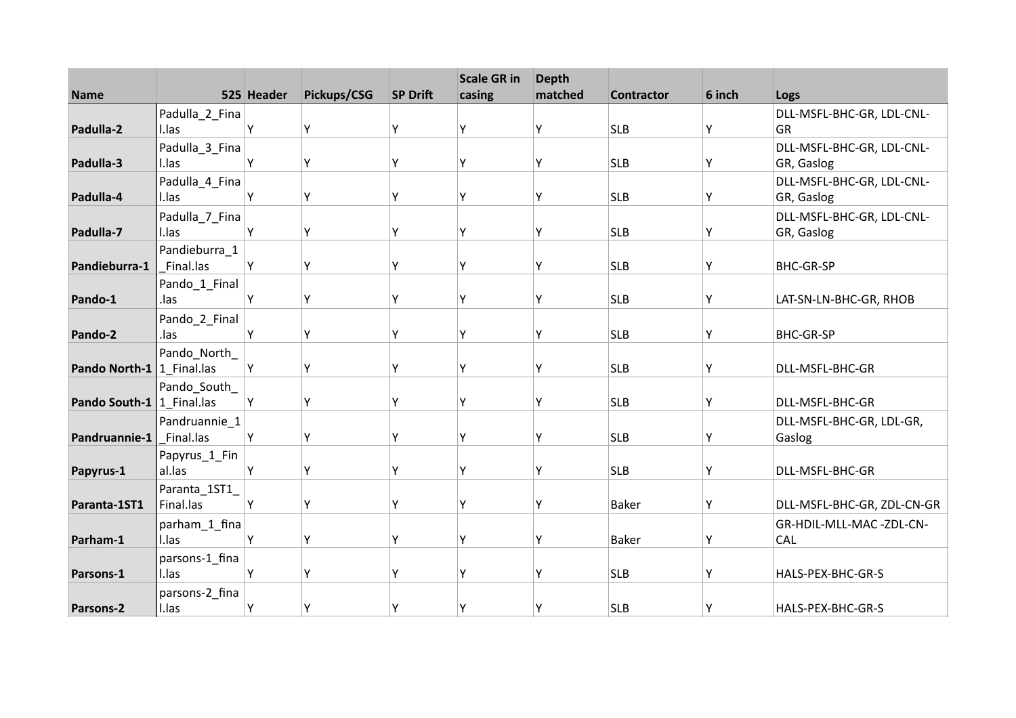| <b>Name</b>                 |                         | 525 Header | Pickups/CSG | <b>SP Drift</b> | <b>Scale GR in</b><br>casing | <b>Depth</b><br>matched | <b>Contractor</b> | 6 inch |                                 |
|-----------------------------|-------------------------|------------|-------------|-----------------|------------------------------|-------------------------|-------------------|--------|---------------------------------|
|                             |                         |            |             |                 |                              |                         |                   |        | Logs                            |
| Padulla-2                   | Padulla_2_Fina<br>I.las | Y          | Υ           | Y               | ٧                            | Υ                       | <b>SLB</b>        | Y      | DLL-MSFL-BHC-GR, LDL-CNL-<br>GR |
|                             | Padulla_3_Fina          |            |             |                 |                              |                         |                   |        | DLL-MSFL-BHC-GR, LDL-CNL-       |
| Padulla-3                   | I.las                   | Y          | Y           | Υ               | Υ                            | Υ                       | <b>SLB</b>        | Υ      | GR, Gaslog                      |
|                             | Padulla_4_Fina          |            |             |                 |                              |                         |                   |        | DLL-MSFL-BHC-GR, LDL-CNL-       |
| Padulla-4                   | I.las                   | Y          | Υ           | Y               | γ                            | Υ                       | <b>SLB</b>        | Υ      | GR, Gaslog                      |
|                             | Padulla_7_Fina          |            |             |                 |                              |                         |                   |        | DLL-MSFL-BHC-GR, LDL-CNL-       |
| Padulla-7                   | I.las                   | Y          | Υ           | Y               | ٧                            | Υ                       | <b>SLB</b>        | Υ      | GR, Gaslog                      |
|                             | Pandieburra 1           |            |             |                 |                              |                         |                   |        |                                 |
| Pandieburra-1               | Final.las               | Y          | Y           | Υ               | Υ                            | Y                       | <b>SLB</b>        | Y      | <b>BHC-GR-SP</b>                |
|                             | Pando_1_Final           |            |             |                 |                              |                         |                   |        |                                 |
| Pando-1                     | .las                    | Υ          | Υ           | Υ               | γ                            | Υ                       | <b>SLB</b>        | Υ      | LAT-SN-LN-BHC-GR, RHOB          |
|                             | Pando_2_Final           |            |             |                 |                              |                         |                   |        |                                 |
| Pando-2                     | .las                    | Υ          | Υ           | Y               | ٧                            | Υ                       | <b>SLB</b>        | Y      | <b>BHC-GR-SP</b>                |
|                             | Pando_North_            |            |             |                 |                              |                         |                   |        |                                 |
| Pando North-1   1 Final.las |                         | Y          | Υ           | Υ               | γ                            | Υ                       | <b>SLB</b>        | Y      | DLL-MSFL-BHC-GR                 |
|                             | Pando_South_            |            |             |                 |                              |                         |                   |        |                                 |
| Pando South-1   1 Final.las |                         | Y          | Υ           | γ               | ۷                            | Υ                       | <b>SLB</b>        | Y      | DLL-MSFL-BHC-GR                 |
|                             | Pandruannie_1           |            |             |                 |                              |                         |                   |        | DLL-MSFL-BHC-GR, LDL-GR,        |
| Pandruannie-1               | Final.las               | Υ          | Υ           | Υ               | ٧                            | Υ                       | <b>SLB</b>        | Υ      | Gaslog                          |
|                             | Papyrus_1_Fin           |            |             |                 |                              |                         |                   |        |                                 |
| Papyrus-1                   | al.las                  | Y          | Y           | Υ               | ٧                            | Υ                       | <b>SLB</b>        | Y      | DLL-MSFL-BHC-GR                 |
|                             | Paranta_1ST1_           |            |             |                 |                              |                         |                   |        |                                 |
| Paranta-1ST1                | Final.las               | Υ          | Υ           | Υ               | γ                            | Υ                       | <b>Baker</b>      | Υ      | DLL-MSFL-BHC-GR, ZDL-CN-GR      |
|                             | parham_1_fina           |            |             |                 |                              |                         |                   |        | GR-HDIL-MLL-MAC-ZDL-CN-         |
| Parham-1                    | I.las                   | Y          | Υ           | Υ               | ٧                            | Υ                       | <b>Baker</b>      | Υ      | CAL                             |
|                             | parsons-1_fina          |            |             |                 |                              |                         |                   |        |                                 |
| Parsons-1                   | I.las                   | Y          | Υ           | Υ               | ۷                            | Υ                       | <b>SLB</b>        | Υ      | HALS-PEX-BHC-GR-S               |
|                             | parsons-2_fina          |            |             |                 |                              |                         |                   |        |                                 |
| Parsons-2                   | I.las                   | Y          | Y           | Υ               | γ                            | Υ                       | <b>SLB</b>        | Y      | HALS-PEX-BHC-GR-S               |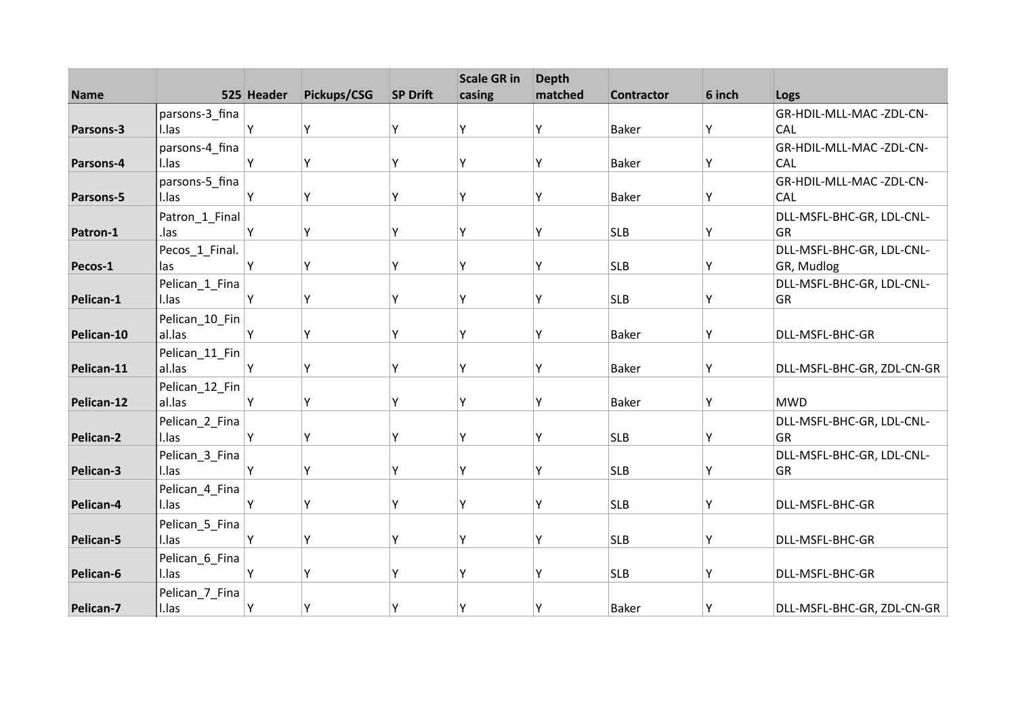| <b>Name</b> |                | 525 Header | Pickups/CSG | <b>SP Drift</b> | <b>Scale GR in</b><br>casing | <b>Depth</b><br>matched | <b>Contractor</b> | 6 inch | Logs                       |
|-------------|----------------|------------|-------------|-----------------|------------------------------|-------------------------|-------------------|--------|----------------------------|
|             | parsons-3_fina |            |             |                 |                              |                         |                   |        | GR-HDIL-MLL-MAC-ZDL-CN-    |
| Parsons-3   | I.las          | Υ          | Υ           | Y               | Υ                            | Υ                       | <b>Baker</b>      | Υ      | <b>CAL</b>                 |
|             | parsons-4_fina |            |             |                 |                              |                         |                   |        | GR-HDIL-MLL-MAC-ZDL-CN-    |
| Parsons-4   | I.las          | Y          | Y           | Υ               | Y                            | Υ                       | <b>Baker</b>      | Y      | CAL                        |
|             | parsons-5_fina |            |             |                 |                              |                         |                   |        | GR-HDIL-MLL-MAC-ZDL-CN-    |
| Parsons-5   | I.las          | Υ          | Υ           | Υ               | Υ                            | Υ                       | <b>Baker</b>      | Υ      | <b>CAL</b>                 |
|             | Patron_1_Final |            |             |                 |                              |                         |                   |        | DLL-MSFL-BHC-GR, LDL-CNL-  |
| Patron-1    | .las           | Υ          | Υ           | Y               | Υ                            | Υ                       | <b>SLB</b>        | Υ      | GR                         |
|             | Pecos_1_Final. |            |             |                 |                              |                         |                   |        | DLL-MSFL-BHC-GR, LDL-CNL-  |
| Pecos-1     | las            | Y          | Υ           | Y               | Y                            | Υ                       | <b>SLB</b>        | Υ      | GR, Mudlog                 |
|             | Pelican_1_Fina |            |             |                 |                              |                         |                   |        | DLL-MSFL-BHC-GR, LDL-CNL-  |
| Pelican-1   | I.las          | Υ          | Υ           | Y               | Υ                            | Υ                       | <b>SLB</b>        | Υ      | GR                         |
|             | Pelican_10_Fin |            |             |                 |                              |                         |                   |        |                            |
| Pelican-10  | al.las         | Y          | Υ           | Υ               | Y                            | Υ                       | <b>Baker</b>      | Y      | DLL-MSFL-BHC-GR            |
|             | Pelican_11_Fin |            |             |                 |                              |                         |                   |        |                            |
| Pelican-11  | al.las         | Y          | Y           | Y               | γ                            | Υ                       | <b>Baker</b>      | Y      | DLL-MSFL-BHC-GR, ZDL-CN-GR |
|             | Pelican_12_Fin |            |             |                 |                              |                         |                   |        |                            |
| Pelican-12  | al.las         | Y          | Υ           | Y               | Υ                            | Υ                       | <b>Baker</b>      | Y      | <b>MWD</b>                 |
|             | Pelican_2_Fina |            |             |                 |                              |                         |                   |        | DLL-MSFL-BHC-GR, LDL-CNL-  |
| Pelican-2   | I.las          | Y          | Υ           | Y               | Υ                            | Υ                       | <b>SLB</b>        | Υ      | GR                         |
|             | Pelican_3_Fina |            |             |                 |                              |                         |                   |        | DLL-MSFL-BHC-GR, LDL-CNL-  |
| Pelican-3   | I.las          | Y          | Y           | Υ               | Y                            | Υ                       | <b>SLB</b>        | Y      | GR                         |
|             | Pelican_4_Fina |            |             |                 |                              |                         |                   |        |                            |
| Pelican-4   | I.las          | Υ          | Υ           | Υ               | Υ                            | Υ                       | <b>SLB</b>        | Y      | DLL-MSFL-BHC-GR            |
|             | Pelican_5_Fina |            |             |                 |                              |                         |                   |        |                            |
| Pelican-5   | I.las          | Y          | Υ           | Y               | Υ                            | Υ                       | <b>SLB</b>        | Υ      | DLL-MSFL-BHC-GR            |
|             | Pelican_6_Fina |            |             | Υ               | Y                            |                         |                   |        |                            |
| Pelican-6   | I.las          | Υ          | Υ           |                 |                              | Υ                       | <b>SLB</b>        | Υ      | DLL-MSFL-BHC-GR            |
| Pelican-7   | Pelican_7_Fina | Y          | Υ           | Υ               | Υ                            | Υ                       | <b>Baker</b>      |        |                            |
|             | I.las          |            |             |                 |                              |                         |                   | Υ      | DLL-MSFL-BHC-GR, ZDL-CN-GR |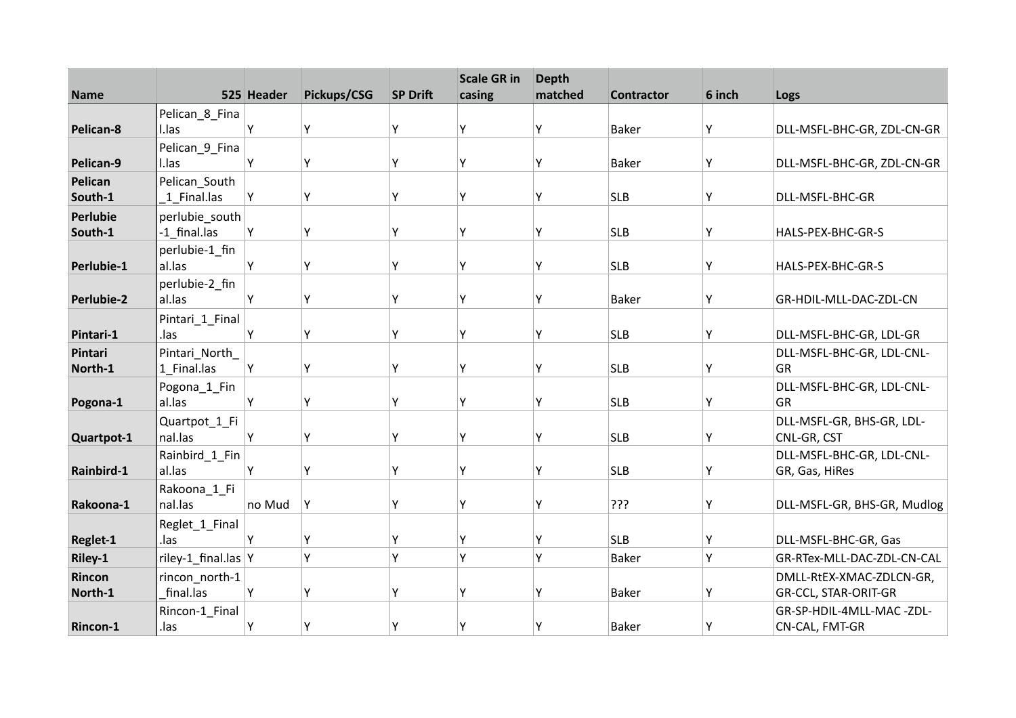|                   |                     |            |             |                 | <b>Scale GR in</b> | <b>Depth</b> |                   |        |                             |
|-------------------|---------------------|------------|-------------|-----------------|--------------------|--------------|-------------------|--------|-----------------------------|
| <b>Name</b>       |                     | 525 Header | Pickups/CSG | <b>SP Drift</b> | casing             | matched      | <b>Contractor</b> | 6 inch | Logs                        |
|                   | Pelican_8_Fina      |            |             |                 |                    |              |                   |        |                             |
| Pelican-8         | I.las               | Y          | Y           | Υ               | γ                  | Υ            | <b>Baker</b>      | Υ      | DLL-MSFL-BHC-GR, ZDL-CN-GR  |
|                   | Pelican_9_Fina      |            |             |                 |                    |              |                   |        |                             |
| Pelican-9         | I.las               | Υ          | Υ           | Υ               | γ                  | Υ            | <b>Baker</b>      | Υ      | DLL-MSFL-BHC-GR, ZDL-CN-GR  |
| Pelican           | Pelican South       |            |             |                 |                    |              |                   |        |                             |
| South-1           | 1 Final.las         | Y          | Υ           | Υ               | γ                  | Υ            | <b>SLB</b>        | Y      | DLL-MSFL-BHC-GR             |
| Perlubie          | perlubie south      |            |             |                 |                    |              |                   |        |                             |
| South-1           | -1 final.las        | Y          | Υ           | Υ               | γ                  | Υ            | <b>SLB</b>        | Υ      | HALS-PEX-BHC-GR-S           |
|                   | perlubie-1_fin      |            |             |                 |                    |              |                   |        |                             |
| Perlubie-1        | al.las              | Y          | Y           | Υ               | γ                  | Υ            | <b>SLB</b>        | Υ      | HALS-PEX-BHC-GR-S           |
|                   | perlubie-2_fin      |            |             |                 |                    |              |                   |        |                             |
| <b>Perlubie-2</b> | al.las              | Y          | Υ           | Y               | Υ                  | Υ            | <b>Baker</b>      | Y      | GR-HDIL-MLL-DAC-ZDL-CN      |
|                   | Pintari_1_Final     |            |             |                 |                    |              |                   |        |                             |
| Pintari-1         | .las                | Y          | Υ           | Υ               | ٧                  | Υ            | <b>SLB</b>        | Υ      | DLL-MSFL-BHC-GR, LDL-GR     |
| Pintari           | Pintari_North_      |            |             |                 |                    |              |                   |        | DLL-MSFL-BHC-GR, LDL-CNL-   |
| North-1           | 1 Final.las         | Υ          | Υ           | Υ               | ۷                  | Υ            | <b>SLB</b>        | Y      | GR                          |
|                   | Pogona_1_Fin        |            |             |                 |                    |              |                   |        | DLL-MSFL-BHC-GR, LDL-CNL-   |
| Pogona-1          | al.las              | Y          | Y           | Υ               | ٧                  | Y            | <b>SLB</b>        | Y      | GR                          |
|                   | Quartpot_1_Fi       |            |             |                 |                    |              |                   |        | DLL-MSFL-GR, BHS-GR, LDL-   |
| Quartpot-1        | nal.las             | Y          | Υ           | Υ               | Υ                  | Υ            | <b>SLB</b>        | Υ      | CNL-GR, CST                 |
|                   | Rainbird_1_Fin      |            |             |                 |                    |              |                   |        | DLL-MSFL-BHC-GR, LDL-CNL-   |
| Rainbird-1        | al.las              | Y          | Υ           | γ               | ٧                  | Υ            | <b>SLB</b>        | Y      | GR, Gas, HiRes              |
|                   | Rakoona_1_Fi        |            |             |                 |                    |              |                   |        |                             |
| Rakoona-1         | nal.las             | no Mud     | Υ           | γ               | ٧                  | Υ            | ???               | Y      | DLL-MSFL-GR, BHS-GR, Mudlog |
|                   | Reglet_1_Final      |            |             |                 |                    |              |                   |        |                             |
| Reglet-1          | .las                | Υ          | Υ           | Υ               | γ                  | Y            | <b>SLB</b>        | Υ      | DLL-MSFL-BHC-GR, Gas        |
| Riley-1           | riley-1_final.las Y |            | Y           | Y               | Υ                  | Y            | <b>Baker</b>      | Y      | GR-RTex-MLL-DAC-ZDL-CN-CAL  |
| Rincon            | rincon north-1      |            |             |                 |                    |              |                   |        | DMLL-RtEX-XMAC-ZDLCN-GR,    |
| North-1           | final.las           | Υ          | Υ           | Y               |                    | Υ            | <b>Baker</b>      | Υ      | <b>GR-CCL, STAR-ORIT-GR</b> |
|                   | Rincon-1_Final      |            |             |                 |                    |              |                   |        | GR-SP-HDIL-4MLL-MAC-ZDL-    |
| Rincon-1          | .las                | Υ          | Y           | Υ               | Υ                  | Υ            | <b>Baker</b>      | Υ      | CN-CAL, FMT-GR              |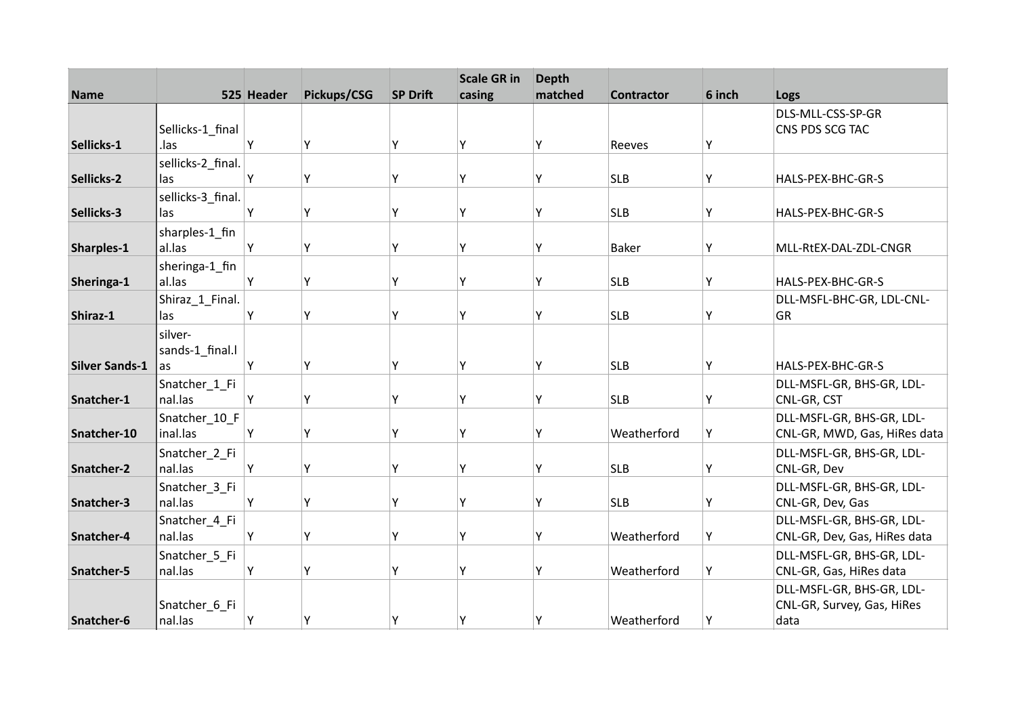| <b>Name</b>           |                   | 525 Header | Pickups/CSG | <b>SP Drift</b> | <b>Scale GR in</b><br>casing | <b>Depth</b><br>matched | <b>Contractor</b> | 6 inch | Logs                         |
|-----------------------|-------------------|------------|-------------|-----------------|------------------------------|-------------------------|-------------------|--------|------------------------------|
|                       |                   |            |             |                 |                              |                         |                   |        | DLS-MLL-CSS-SP-GR            |
|                       | Sellicks-1_final  |            |             |                 |                              |                         |                   |        | CNS PDS SCG TAC              |
| Sellicks-1            | .las              | Υ          | Y           | Υ               | v                            |                         | Reeves            | Υ      |                              |
|                       | sellicks-2 final. |            |             |                 |                              |                         |                   |        |                              |
| Sellicks-2            | las               | Υ          | Υ           | γ               | γ                            | Υ                       | <b>SLB</b>        | Υ      | HALS-PEX-BHC-GR-S            |
|                       | sellicks-3_final. |            |             |                 |                              |                         |                   |        |                              |
| Sellicks-3            | las               | Υ          | Y           | Υ               | Υ                            | γ                       | <b>SLB</b>        | Y      | HALS-PEX-BHC-GR-S            |
|                       | sharples-1_fin    |            |             |                 |                              |                         |                   |        |                              |
| Sharples-1            | al.las            | Y          | Υ           | γ               | ٧                            | Υ                       | <b>Baker</b>      | Y      | MLL-RtEX-DAL-ZDL-CNGR        |
|                       | sheringa-1_fin    |            |             |                 |                              |                         |                   |        |                              |
| Sheringa-1            | al.las            | Υ          | Υ           | Υ               | ٧                            | Υ                       | <b>SLB</b>        | Υ      | HALS-PEX-BHC-GR-S            |
|                       | Shiraz_1_Final.   |            |             |                 |                              |                         |                   |        | DLL-MSFL-BHC-GR, LDL-CNL-    |
| Shiraz-1              | las               | Y          | Y           | γ               | γ                            | γ                       | <b>SLB</b>        | Y      | GR                           |
|                       | silver-           |            |             |                 |                              |                         |                   |        |                              |
|                       | sands-1_final.l   |            |             |                 |                              |                         |                   |        |                              |
| <b>Silver Sands-1</b> | as                | Y          | Υ           | γ               | γ                            | γ                       | <b>SLB</b>        | Y      | HALS-PEX-BHC-GR-S            |
|                       | Snatcher_1_Fi     |            |             |                 |                              |                         |                   |        | DLL-MSFL-GR, BHS-GR, LDL-    |
| Snatcher-1            | nal.las           | Υ          | Υ           | γ               | ٧                            | ٧                       | <b>SLB</b>        | Y      | CNL-GR, CST                  |
|                       | Snatcher 10 F     |            |             |                 |                              |                         |                   |        | DLL-MSFL-GR, BHS-GR, LDL-    |
| Snatcher-10           | inal.las          | Υ          | Y           | Y               | γ                            | Υ                       | Weatherford       | Y      | CNL-GR, MWD, Gas, HiRes data |
|                       | Snatcher_2_Fi     |            |             |                 |                              |                         |                   |        | DLL-MSFL-GR, BHS-GR, LDL-    |
| Snatcher-2            | nal.las           | Υ          | Υ           | Y               | γ                            | γ                       | <b>SLB</b>        | Y      | CNL-GR, Dev                  |
|                       | Snatcher_3_Fi     |            |             |                 |                              |                         |                   |        | DLL-MSFL-GR, BHS-GR, LDL-    |
| Snatcher-3            | nal.las           | Y          | Y           | γ               | Υ                            | Υ                       | <b>SLB</b>        | Υ      | CNL-GR, Dev, Gas             |
|                       | Snatcher_4_Fi     |            |             |                 |                              |                         |                   |        | DLL-MSFL-GR, BHS-GR, LDL-    |
| Snatcher-4            | nal.las           | Y          | Υ           | Y               | v                            | γ                       | Weatherford       | Y      | CNL-GR, Dev, Gas, HiRes data |
|                       | Snatcher_5_Fi     |            |             |                 |                              |                         |                   |        | DLL-MSFL-GR, BHS-GR, LDL-    |
| Snatcher-5            | nal.las           | Υ          | Y           | γ               | ٧                            | ٧                       | Weatherford       | Υ      | CNL-GR, Gas, HiRes data      |
|                       |                   |            |             |                 |                              |                         |                   |        | DLL-MSFL-GR, BHS-GR, LDL-    |
|                       | Snatcher_6_Fi     |            |             |                 |                              |                         |                   |        | CNL-GR, Survey, Gas, HiRes   |
| Snatcher-6            | nal.las           | Υ          | Y           | Υ               | Υ                            | Υ                       | Weatherford       | Υ      | data                         |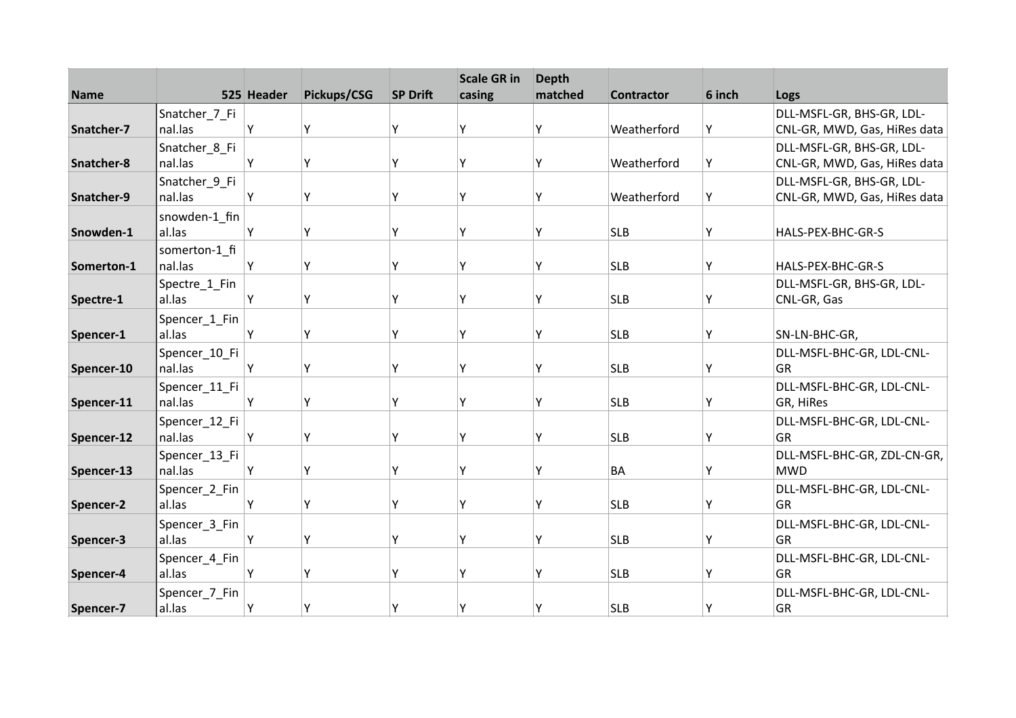| <b>Name</b> |                          | 525 Header | Pickups/CSG | <b>SP Drift</b> | <b>Scale GR in</b><br>casing | <b>Depth</b><br>matched | <b>Contractor</b> | 6 inch | Logs                                                      |
|-------------|--------------------------|------------|-------------|-----------------|------------------------------|-------------------------|-------------------|--------|-----------------------------------------------------------|
|             | Snatcher_7_Fi            |            |             |                 |                              |                         |                   |        | DLL-MSFL-GR, BHS-GR, LDL-                                 |
| Snatcher-7  | nal.las                  | Y          | Y           | Υ               | ٧                            | γ                       | Weatherford       | Υ      | CNL-GR, MWD, Gas, HiRes data                              |
|             | Snatcher_8_Fi            |            |             |                 |                              |                         |                   |        | DLL-MSFL-GR, BHS-GR, LDL-                                 |
| Snatcher-8  | nal.las                  | Y          | Υ           | γ               | γ                            | γ                       | Weatherford       | Υ      | CNL-GR, MWD, Gas, HiRes data                              |
| Snatcher-9  | Snatcher_9_Fi<br>nal.las | Υ          | Y           | Υ               | γ                            | Υ                       | Weatherford       | Υ      | DLL-MSFL-GR, BHS-GR, LDL-<br>CNL-GR, MWD, Gas, HiRes data |
|             | snowden-1 fin            |            |             |                 |                              |                         |                   |        |                                                           |
| Snowden-1   | al.las                   | Y          | Υ           | Y               | γ                            | Υ                       | <b>SLB</b>        | Υ      | HALS-PEX-BHC-GR-S                                         |
| Somerton-1  | somerton-1 fi<br>nal.las | Y          | Υ           | Υ               | ٧                            | Υ                       | <b>SLB</b>        | Υ      | HALS-PEX-BHC-GR-S                                         |
|             | Spectre_1_Fin            |            |             |                 |                              |                         |                   |        | DLL-MSFL-GR, BHS-GR, LDL-                                 |
| Spectre-1   | al.las                   | Y          | Υ           | Υ               | γ                            | Υ                       | <b>SLB</b>        | Υ      | CNL-GR, Gas                                               |
|             | Spencer_1_Fin            |            |             |                 |                              |                         |                   |        |                                                           |
| Spencer-1   | al.las                   | Y          | Υ           | Υ               | ٧                            | γ                       | <b>SLB</b>        | Y      | SN-LN-BHC-GR,                                             |
| Spencer-10  | Spencer_10_Fi<br>nal.las | Y          | Y           | γ               | γ                            | γ                       | <b>SLB</b>        | Y      | DLL-MSFL-BHC-GR, LDL-CNL-<br>GR                           |
| Spencer-11  | Spencer_11_Fi<br>nal.las | Y          | Υ           | Y               | γ                            | γ                       | <b>SLB</b>        | Υ      | DLL-MSFL-BHC-GR, LDL-CNL-<br>GR, HiRes                    |
|             |                          |            |             |                 |                              |                         |                   |        |                                                           |
| Spencer-12  | Spencer_12_Fi<br>nal.las | Y          | Υ           | Y               | ٧                            | γ                       | <b>SLB</b>        | Υ      | DLL-MSFL-BHC-GR, LDL-CNL-<br><b>GR</b>                    |
| Spencer-13  | Spencer_13_Fi<br>nal.las | Y          | Υ           | Υ               | γ                            | Υ                       | <b>BA</b>         | Υ      | DLL-MSFL-BHC-GR, ZDL-CN-GR,<br><b>MWD</b>                 |
|             | Spencer_2_Fin            |            |             |                 |                              |                         |                   |        | DLL-MSFL-BHC-GR, LDL-CNL-                                 |
| Spencer-2   | al.las                   | Y          | Υ           | Υ               | Υ                            | Υ                       | <b>SLB</b>        | Υ      | GR                                                        |
|             | Spencer_3_Fin            |            |             |                 |                              |                         |                   |        | DLL-MSFL-BHC-GR, LDL-CNL-                                 |
| Spencer-3   | al.las                   | Υ          | Υ           | Y               | γ                            | γ                       | <b>SLB</b>        | Υ      | GR                                                        |
| Spencer-4   | Spencer_4_Fin<br>al.las  | Y          | Y           | γ               | ٧                            | ٧                       | <b>SLB</b>        | Υ      | DLL-MSFL-BHC-GR, LDL-CNL-<br>GR                           |
| Spencer-7   | Spencer_7_Fin<br>al.las  | Y          | Y           | Υ               | γ                            |                         | <b>SLB</b>        | Y      | DLL-MSFL-BHC-GR, LDL-CNL-<br>GR                           |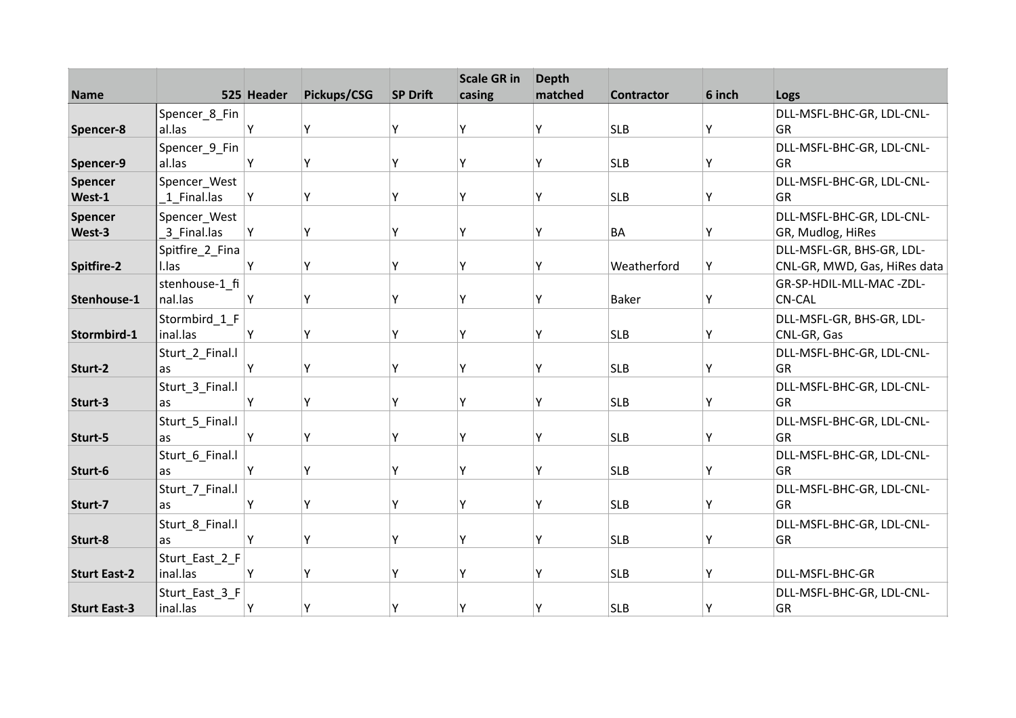| <b>Name</b>         |                 | 525 Header | Pickups/CSG | <b>SP Drift</b> | <b>Scale GR in</b><br>casing | <b>Depth</b><br>matched | <b>Contractor</b> | 6 inch |                                 |
|---------------------|-----------------|------------|-------------|-----------------|------------------------------|-------------------------|-------------------|--------|---------------------------------|
|                     |                 |            |             |                 |                              |                         |                   |        | Logs                            |
|                     | Spencer_8_Fin   |            |             |                 | ۷                            |                         |                   |        | DLL-MSFL-BHC-GR, LDL-CNL-       |
| Spencer-8           | al.las          | Υ          | Υ           | Υ               |                              | Υ                       | <b>SLB</b>        | Υ      | GR                              |
|                     | Spencer_9_Fin   |            |             |                 |                              |                         |                   |        | DLL-MSFL-BHC-GR, LDL-CNL-       |
| Spencer-9           | al.las          | Υ          | Y           | Y               | γ                            | Υ                       | <b>SLB</b>        | Y      | GR                              |
| <b>Spencer</b>      | Spencer_West    |            |             |                 |                              |                         |                   |        | DLL-MSFL-BHC-GR, LDL-CNL-       |
| West-1              | 1 Final.las     | Y          | Υ           | Υ               | Υ                            | Υ                       | <b>SLB</b>        | Υ      | GR                              |
| <b>Spencer</b>      | Spencer_West    |            |             |                 |                              |                         |                   |        | DLL-MSFL-BHC-GR, LDL-CNL-       |
| West-3              | 3 Final.las     | Υ          | Y           | Y               | ٧                            | Υ                       | <b>BA</b>         | Υ      | GR, Mudlog, HiRes               |
|                     | Spitfire_2_Fina |            |             |                 |                              |                         |                   |        | DLL-MSFL-GR, BHS-GR, LDL-       |
| Spitfire-2          | I.las           | Υ          | Υ           | γ               | ٧                            | Υ                       | Weatherford       | Υ      | CNL-GR, MWD, Gas, HiRes data    |
|                     | stenhouse-1_fi  |            |             |                 |                              |                         |                   |        | GR-SP-HDIL-MLL-MAC-ZDL-         |
| Stenhouse-1         | nal.las         | Υ          | Υ           | Υ               | Υ                            | Υ                       | <b>Baker</b>      | Y      | <b>CN-CAL</b>                   |
|                     | Stormbird_1_F   |            |             |                 |                              |                         |                   |        | DLL-MSFL-GR, BHS-GR, LDL-       |
| Stormbird-1         | inal.las        | Υ          | Υ           | Y               | γ                            | Υ                       | <b>SLB</b>        | Υ      | CNL-GR, Gas                     |
|                     | Sturt_2_Final.l |            |             |                 |                              |                         |                   |        | DLL-MSFL-BHC-GR, LDL-CNL-       |
| Sturt-2             | as              | Υ          | Y           | Υ               | γ                            | Υ                       | <b>SLB</b>        | Υ      | <b>GR</b>                       |
|                     | Sturt_3_Final.l |            |             |                 |                              |                         |                   |        | DLL-MSFL-BHC-GR, LDL-CNL-       |
| Sturt-3             | as              | Υ          | Υ           | Υ               | γ                            | Υ                       | <b>SLB</b>        | Υ      | GR                              |
|                     | Sturt_5_Final.l |            |             |                 |                              |                         |                   |        | DLL-MSFL-BHC-GR, LDL-CNL-       |
| Sturt-5             | as              | Υ          | Υ           | Υ               | ٧                            | Υ                       | <b>SLB</b>        | Υ      | GR                              |
|                     | Sturt_6_Final.l |            |             |                 |                              |                         |                   |        | DLL-MSFL-BHC-GR, LDL-CNL-       |
| Sturt-6             | as              | Υ          | Y           | Υ               | Y                            | Υ                       | <b>SLB</b>        | Υ      | GR                              |
|                     |                 |            |             |                 |                              |                         |                   |        |                                 |
| Sturt-7             | Sturt_7_Final.l | Υ          | Y           | Y               | Υ                            | Υ                       | <b>SLB</b>        | Υ      | DLL-MSFL-BHC-GR, LDL-CNL-<br>GR |
|                     | as              |            |             |                 |                              |                         |                   |        |                                 |
|                     | Sturt_8_Final.l |            |             |                 |                              |                         |                   |        | DLL-MSFL-BHC-GR, LDL-CNL-       |
| Sturt-8             | as              | Υ          | Υ           | Υ               | ٧                            | Υ                       | <b>SLB</b>        | Υ      | GR                              |
|                     | Sturt_East_2_F  |            |             |                 |                              |                         |                   |        |                                 |
| <b>Sturt East-2</b> | inal.las        | Υ          | Y           | γ               | ۷                            | Υ                       | <b>SLB</b>        | Y      | DLL-MSFL-BHC-GR                 |
|                     | Sturt_East_3_F  |            |             |                 |                              |                         |                   |        | DLL-MSFL-BHC-GR, LDL-CNL-       |
| <b>Sturt East-3</b> | inal.las        | Υ          | Υ           | γ               | γ                            | Υ                       | <b>SLB</b>        | Y      | GR                              |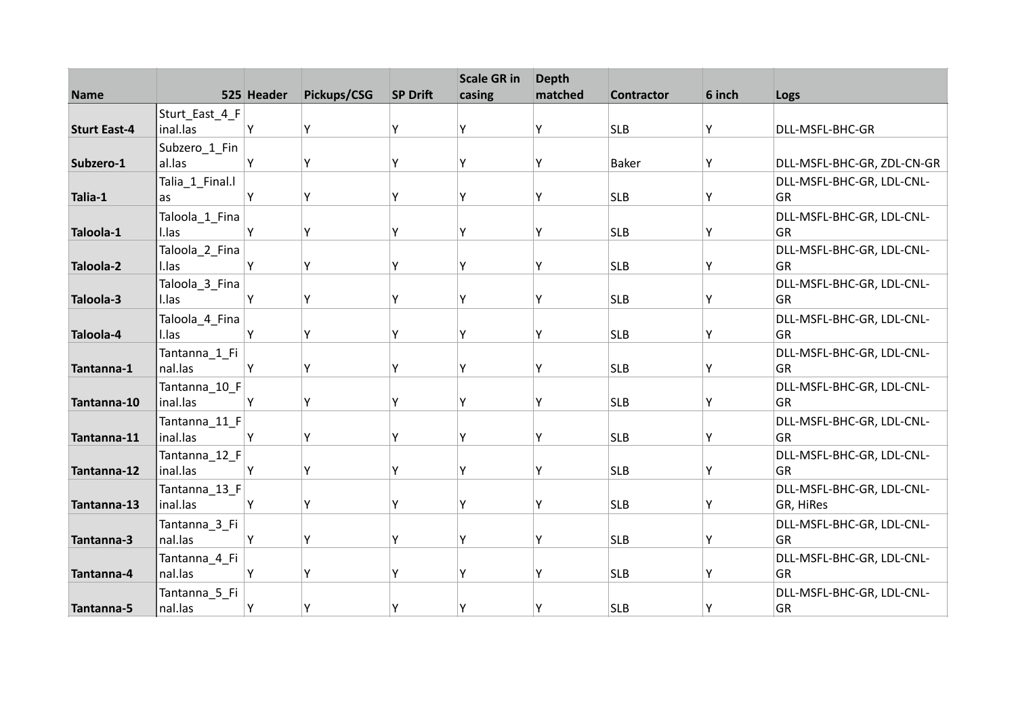| <b>Name</b>         |                           | 525 Header | Pickups/CSG | <b>SP Drift</b> | <b>Scale GR in</b><br>casing | <b>Depth</b><br>matched | <b>Contractor</b> | 6 inch | Logs                            |
|---------------------|---------------------------|------------|-------------|-----------------|------------------------------|-------------------------|-------------------|--------|---------------------------------|
|                     | Sturt_East_4_F            |            |             |                 |                              |                         |                   |        |                                 |
| <b>Sturt East-4</b> | inal.las                  | Υ          | Y           | Y               | Υ                            | Υ                       | <b>SLB</b>        | Y      | DLL-MSFL-BHC-GR                 |
|                     | Subzero_1_Fin             |            |             |                 |                              |                         |                   |        |                                 |
| Subzero-1           | al.las                    | Y          | Y           | Υ               | Υ                            | γ                       | <b>Baker</b>      | Υ      | DLL-MSFL-BHC-GR, ZDL-CN-GR      |
|                     | Talia_1_Final.l           |            |             |                 |                              |                         |                   |        | DLL-MSFL-BHC-GR, LDL-CNL-       |
| Talia-1             | as                        | Y          | Υ           | Y               | Υ                            | Υ                       | <b>SLB</b>        | Υ      | GR                              |
|                     | Taloola_1_Fina            |            |             |                 |                              |                         |                   |        | DLL-MSFL-BHC-GR, LDL-CNL-       |
| Taloola-1           | I.las                     | Y          | Y           | Υ               | Υ                            | γ                       | <b>SLB</b>        | Y      | GR                              |
|                     | Taloola_2_Fina            |            |             |                 |                              |                         |                   |        | DLL-MSFL-BHC-GR, LDL-CNL-       |
| Taloola-2           | I.las                     | Y          | Y           | Y               | Y                            | Υ                       | <b>SLB</b>        | Υ      | GR                              |
|                     | Taloola_3_Fina            |            |             |                 |                              |                         |                   |        | DLL-MSFL-BHC-GR, LDL-CNL-       |
| Taloola-3           | I.las                     | Υ          | Y           | Υ               | Υ                            | Υ                       | <b>SLB</b>        | Υ      | GR                              |
|                     | Taloola_4_Fina            |            |             |                 |                              |                         |                   |        | DLL-MSFL-BHC-GR, LDL-CNL-       |
| Taloola-4           | I.las                     | Y          | Υ           | Y               | Υ                            | Υ                       | <b>SLB</b>        | Y      | GR                              |
|                     | Tantanna_1_Fi             |            |             |                 |                              |                         |                   |        | DLL-MSFL-BHC-GR, LDL-CNL-       |
| Tantanna-1          | nal.las                   | Y          | Y           | Υ               | γ                            | ٧                       | <b>SLB</b>        | Υ      | GR                              |
|                     | Tantanna_10_F             |            |             |                 |                              |                         |                   |        | DLL-MSFL-BHC-GR, LDL-CNL-       |
| Tantanna-10         | inal.las                  | Υ          | Y           | Υ               | γ                            | γ                       | <b>SLB</b>        | Υ      | GR                              |
|                     | Tantanna_11_F             |            |             |                 |                              |                         |                   |        | DLL-MSFL-BHC-GR, LDL-CNL-       |
| Tantanna-11         | inal.las                  | Υ          | Y           | Y               | Υ                            | γ                       | <b>SLB</b>        | Y      | GR                              |
|                     | Tantanna_12_F             |            |             |                 |                              |                         |                   |        | DLL-MSFL-BHC-GR, LDL-CNL-       |
| Tantanna-12         | inal.las                  | Y          | Y           | Υ               | γ                            | γ                       | <b>SLB</b>        | Υ      | GR                              |
|                     | Tantanna_13_F<br>inal.las |            |             | Y               | Υ                            |                         |                   |        | DLL-MSFL-BHC-GR, LDL-CNL-       |
| Tantanna-13         |                           | Υ          | Υ           |                 |                              | Υ                       | <b>SLB</b>        | Υ      | GR, HiRes                       |
|                     | Tantanna_3_Fi             |            |             |                 | Υ                            | Υ                       |                   |        | DLL-MSFL-BHC-GR, LDL-CNL-<br>GR |
| Tantanna-3          | nal.las                   | Y          | Υ           | Υ               |                              |                         | <b>SLB</b>        | Υ      |                                 |
|                     | Tantanna_4_Fi<br>nal.las  | Y          | Y           | Υ               | ٧                            | γ                       | <b>SLB</b>        | Υ      | DLL-MSFL-BHC-GR, LDL-CNL-<br>GR |
| Tantanna-4          |                           |            |             |                 |                              |                         |                   |        |                                 |
|                     | Tantanna_5_Fi             |            |             | Υ               | Υ                            | γ                       |                   |        | DLL-MSFL-BHC-GR, LDL-CNL-       |
| Tantanna-5          | nal.las                   | Y          | Y           |                 |                              |                         | <b>SLB</b>        | Υ      | GR                              |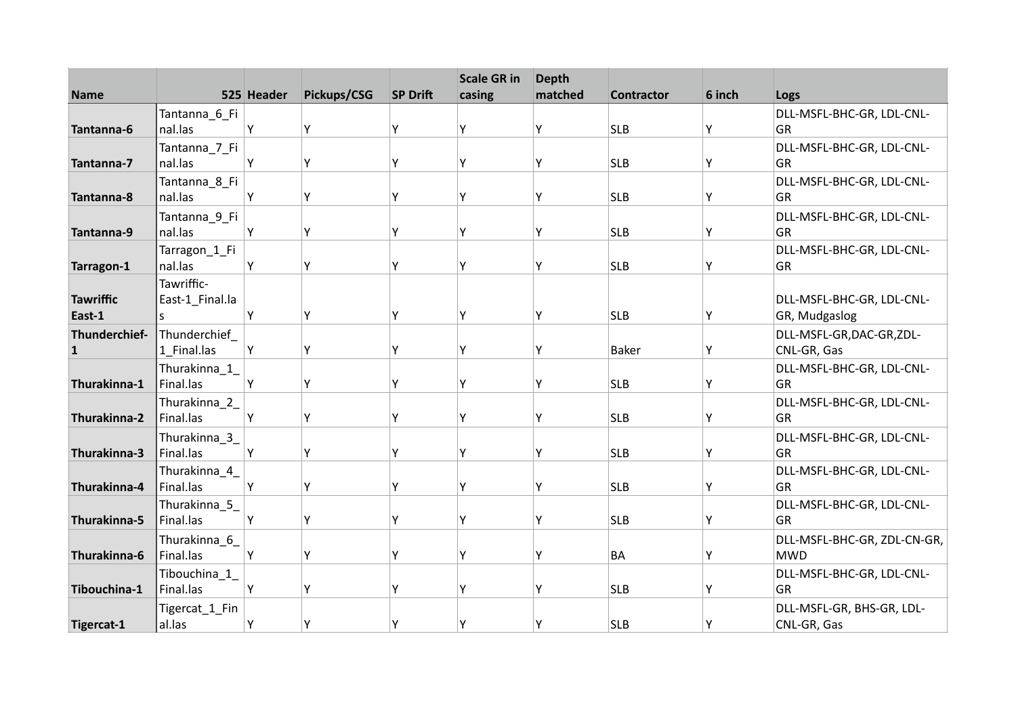|                  |                         |            |             |                 | <b>Scale GR in</b> | <b>Depth</b> |                   |        |                             |
|------------------|-------------------------|------------|-------------|-----------------|--------------------|--------------|-------------------|--------|-----------------------------|
| <b>Name</b>      |                         | 525 Header | Pickups/CSG | <b>SP Drift</b> | casing             | matched      | <b>Contractor</b> | 6 inch | Logs                        |
|                  | Tantanna_6_Fi           |            |             |                 |                    |              |                   |        | DLL-MSFL-BHC-GR, LDL-CNL-   |
| Tantanna-6       | nal.las                 | Υ          | Y           | Υ               | Υ                  | Υ            | <b>SLB</b>        | Υ      | GR                          |
|                  | Tantanna_7_Fi           |            |             |                 |                    |              |                   |        | DLL-MSFL-BHC-GR, LDL-CNL-   |
| Tantanna-7       | nal.las                 | Υ          | Υ           | Υ               | Υ                  | Υ            | <b>SLB</b>        | Υ      | GR                          |
|                  | Tantanna_8_Fi           |            |             |                 |                    |              |                   |        | DLL-MSFL-BHC-GR, LDL-CNL-   |
| Tantanna-8       | nal.las                 | Υ          | Y           | γ               | ٧                  | Υ            | <b>SLB</b>        | Υ      | GR                          |
|                  | Tantanna_9_Fi           |            |             |                 |                    |              |                   |        | DLL-MSFL-BHC-GR, LDL-CNL-   |
| Tantanna-9       | nal.las                 | Υ          | Y           | Y               | Υ                  | γ            | <b>SLB</b>        | Υ      | GR                          |
|                  | Tarragon_1_Fi           |            |             |                 |                    |              |                   |        | DLL-MSFL-BHC-GR, LDL-CNL-   |
| Tarragon-1       | nal.las                 | Υ          | Y           | γ               | ٧                  | γ            | <b>SLB</b>        | Y      | <b>GR</b>                   |
|                  | Tawriffic-              |            |             |                 |                    |              |                   |        |                             |
| <b>Tawriffic</b> | East-1_Final.la         |            |             |                 |                    |              |                   |        | DLL-MSFL-BHC-GR, LDL-CNL-   |
| East-1           | S.                      | Υ          | Υ           | Υ               | Υ                  | Υ            | <b>SLB</b>        | Y      | GR, Mudgaslog               |
| Thunderchief-    | Thunderchief            |            |             |                 |                    |              |                   |        | DLL-MSFL-GR,DAC-GR,ZDL-     |
| 1                | 1 Final.las             | Υ          | Υ           | Υ               | ٧                  | γ            | <b>Baker</b>      | Y      | CNL-GR, Gas                 |
|                  | Thurakinna_1_           |            |             |                 |                    |              |                   |        | DLL-MSFL-BHC-GR, LDL-CNL-   |
| Thurakinna-1     | Final.las               | Y          | Υ           | Υ               | ٧                  | Υ            | <b>SLB</b>        | Y      | <b>GR</b>                   |
|                  | Thurakinna_2_           |            |             |                 |                    |              |                   |        | DLL-MSFL-BHC-GR, LDL-CNL-   |
| Thurakinna-2     | Final.las               | Υ          | Υ           | Y               | Υ                  | γ            | <b>SLB</b>        | Y      | <b>GR</b>                   |
|                  | Thurakinna_3_           |            |             |                 |                    |              |                   |        | DLL-MSFL-BHC-GR, LDL-CNL-   |
| Thurakinna-3     | Final.las               | Y          | Y           | γ               | ٧                  | γ            | <b>SLB</b>        | Y      | GR                          |
|                  | Thurakinna_4_           |            |             |                 |                    |              |                   |        | DLL-MSFL-BHC-GR, LDL-CNL-   |
| Thurakinna-4     | Final.las               | Y          | Υ           | Υ               | Υ                  | γ            | <b>SLB</b>        | Y      | GR                          |
|                  | Thurakinna_5_           |            |             |                 |                    |              |                   |        | DLL-MSFL-BHC-GR, LDL-CNL-   |
| Thurakinna-5     | Final.las               | Y          | Υ           | Υ               | Υ                  | Υ            | <b>SLB</b>        | Υ      | GR                          |
|                  | Thurakinna <sub>6</sub> |            |             |                 |                    |              |                   |        | DLL-MSFL-BHC-GR, ZDL-CN-GR, |
| Thurakinna-6     | Final.las               | Y          | Y           | γ               | γ                  | γ            | <b>BA</b>         | Υ      | <b>MWD</b>                  |
|                  | Tibouchina_1_           |            |             |                 |                    |              |                   |        | DLL-MSFL-BHC-GR, LDL-CNL-   |
| Tibouchina-1     | Final.las               | Υ          | Υ           | γ               | ٧                  | Υ            | <b>SLB</b>        | Y      | GR                          |
|                  | Tigercat_1_Fin          |            |             |                 |                    |              |                   |        | DLL-MSFL-GR, BHS-GR, LDL-   |
| Tigercat-1       | al.las                  | Υ          | Y           | Υ               | γ                  | Υ            | <b>SLB</b>        | Υ      | CNL-GR, Gas                 |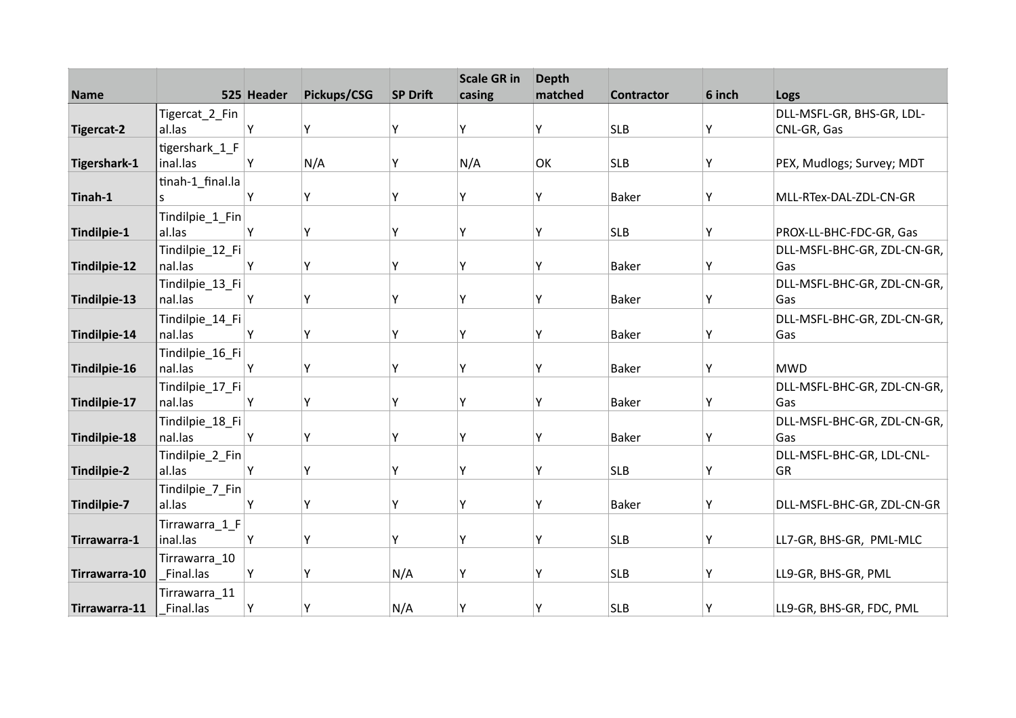| <b>Name</b>        |                            | 525 Header | Pickups/CSG | <b>SP Drift</b> | <b>Scale GR in</b><br>casing | <b>Depth</b><br>matched | <b>Contractor</b> | 6 inch | Logs                               |
|--------------------|----------------------------|------------|-------------|-----------------|------------------------------|-------------------------|-------------------|--------|------------------------------------|
|                    | Tigercat_2_Fin             |            |             |                 |                              |                         |                   |        | DLL-MSFL-GR, BHS-GR, LDL-          |
| <b>Tigercat-2</b>  | al.las                     | Υ          | Υ           | Y               | Υ                            | Υ                       | <b>SLB</b>        | Υ      | CNL-GR, Gas                        |
|                    | tigershark_1_F             |            |             |                 |                              |                         |                   |        |                                    |
| Tigershark-1       | inal.las                   | Υ          | N/A         | Υ               | N/A                          | OK                      | <b>SLB</b>        | Υ      | PEX, Mudlogs; Survey; MDT          |
|                    | tinah-1_final.la           |            |             |                 |                              |                         |                   |        |                                    |
| Tinah-1            |                            | Υ          | Υ           | Y               | Υ                            | Υ                       | <b>Baker</b>      | Υ      | MLL-RTex-DAL-ZDL-CN-GR             |
|                    | Tindilpie_1_Fin            |            |             |                 |                              |                         |                   |        |                                    |
| Tindilpie-1        | al.las                     | Υ          | Υ           | Y               | ٧                            | Υ                       | <b>SLB</b>        | Υ      | PROX-LL-BHC-FDC-GR, Gas            |
|                    | Tindilpie_12_Fi            |            |             |                 |                              |                         |                   |        | DLL-MSFL-BHC-GR, ZDL-CN-GR,        |
| Tindilpie-12       | nal.las                    | Y          | Y           | Υ               | ٧                            | Υ                       | <b>Baker</b>      | Υ      | Gas                                |
|                    | Tindilpie_13_Fi            |            |             |                 |                              |                         |                   |        | DLL-MSFL-BHC-GR, ZDL-CN-GR,        |
| Tindilpie-13       | nal.las                    | Υ          | Υ           | γ               | γ                            | Υ                       | Baker             | Υ      | Gas                                |
|                    | Tindilpie_14_Fi            |            |             |                 |                              |                         |                   |        | DLL-MSFL-BHC-GR, ZDL-CN-GR,        |
| Tindilpie-14       | nal.las                    | Υ          | Υ           | Υ               | ٧                            | Υ                       | <b>Baker</b>      | Υ      | Gas                                |
|                    | Tindilpie_16_Fi            |            |             |                 |                              |                         |                   |        |                                    |
| Tindilpie-16       | nal.las                    | Υ          | Υ           | γ               | ٧                            | Υ                       | <b>Baker</b>      | Y      | <b>MWD</b>                         |
|                    | Tindilpie_17_Fi            |            | Υ           | Y               | ۷                            |                         |                   |        | DLL-MSFL-BHC-GR, ZDL-CN-GR,        |
| Tindilpie-17       | nal.las                    | Υ          |             |                 |                              | Υ                       | <b>Baker</b>      | Y      | Gas                                |
|                    | Tindilpie_18_Fi<br>nal.las | Υ          | Υ           | Y               | ٧                            | Υ                       | <b>Baker</b>      |        | DLL-MSFL-BHC-GR, ZDL-CN-GR,<br>Gas |
| Tindilpie-18       |                            |            |             |                 |                              |                         |                   | Υ      |                                    |
| <b>Tindilpie-2</b> | Tindilpie_2_Fin<br>al.las  | Υ          | Υ           | Y               | ۷                            | Υ                       | <b>SLB</b>        | Y      | DLL-MSFL-BHC-GR, LDL-CNL-<br>GR    |
|                    | Tindilpie_7_Fin            |            |             |                 |                              |                         |                   |        |                                    |
| Tindilpie-7        | al.las                     | Υ          | Υ           | Υ               | γ                            | Υ                       | <b>Baker</b>      | Υ      | DLL-MSFL-BHC-GR, ZDL-CN-GR         |
|                    | Tirrawarra_1_F             |            |             |                 |                              |                         |                   |        |                                    |
| Tirrawarra-1       | inal.las                   | Υ          | Υ           | Υ               | ٧                            | Υ                       | <b>SLB</b>        | Υ      | LL7-GR, BHS-GR, PML-MLC            |
|                    | Tirrawarra_10              |            |             |                 |                              |                         |                   |        |                                    |
| Tirrawarra-10      | Final.las                  | Υ          | Y           | N/A             | ۷                            | Υ                       | <b>SLB</b>        | Υ      | LL9-GR, BHS-GR, PML                |
|                    | Tirrawarra_11              |            |             |                 |                              |                         |                   |        |                                    |
| Tirrawarra-11      | Final.las                  | Υ          | Υ           | N/A             | γ                            | Y                       | <b>SLB</b>        | Υ      | LL9-GR, BHS-GR, FDC, PML           |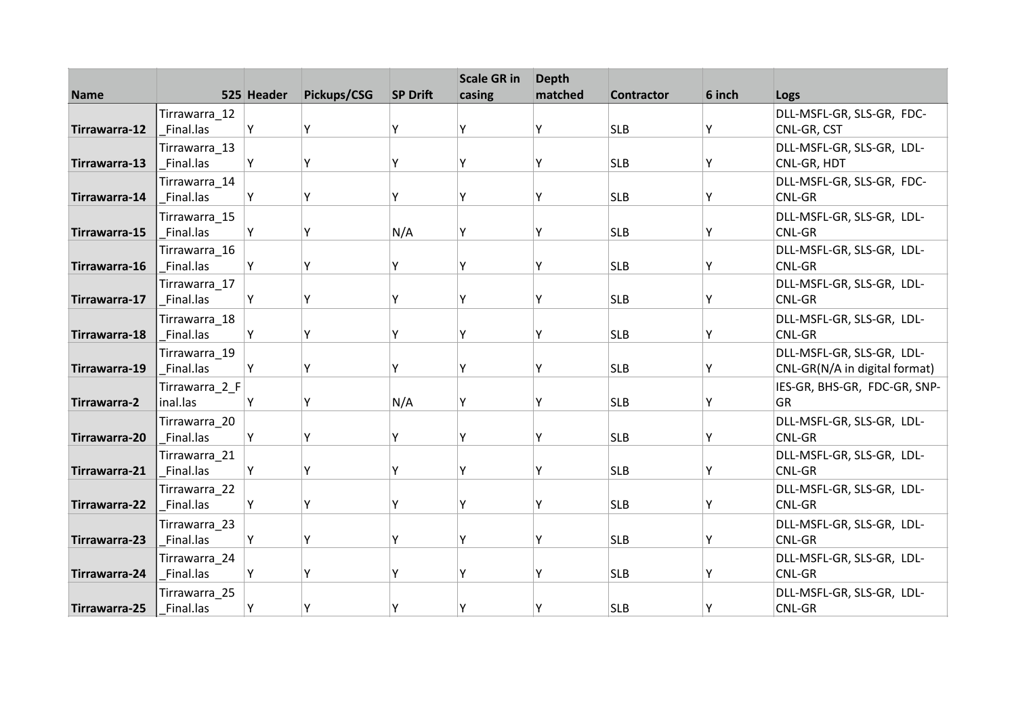| <b>Name</b>   |                            | 525 Header | Pickups/CSG | <b>SP Drift</b> | <b>Scale GR in</b><br>casing | <b>Depth</b><br>matched | <b>Contractor</b> | 6 inch | Logs                                     |
|---------------|----------------------------|------------|-------------|-----------------|------------------------------|-------------------------|-------------------|--------|------------------------------------------|
|               |                            |            |             |                 |                              |                         |                   |        |                                          |
| Tirrawarra-12 | Tirrawarra_12<br>Final.las | Υ          | Υ           | Y               | ٧                            | Υ                       | <b>SLB</b>        | Υ      | DLL-MSFL-GR, SLS-GR, FDC-<br>CNL-GR, CST |
|               | Tirrawarra_13              |            |             |                 |                              |                         |                   |        | DLL-MSFL-GR, SLS-GR, LDL-                |
| Tirrawarra-13 | Final.las                  | Y          | Υ           | γ               | ٧                            | Υ                       | <b>SLB</b>        | Y      | CNL-GR, HDT                              |
|               | Tirrawarra_14              |            |             |                 |                              |                         |                   |        | DLL-MSFL-GR, SLS-GR, FDC-                |
| Tirrawarra-14 | Final.las                  | Υ          | Υ           | Y               | ۷                            | Υ                       | <b>SLB</b>        | Y      | CNL-GR                                   |
|               | Tirrawarra_15              |            |             |                 |                              |                         |                   |        | DLL-MSFL-GR, SLS-GR, LDL-                |
| Tirrawarra-15 | Final.las                  | Y          | Υ           | N/A             | ٧                            | Υ                       | <b>SLB</b>        | Υ      | CNL-GR                                   |
|               | Tirrawarra_16              |            |             |                 |                              |                         |                   |        | DLL-MSFL-GR, SLS-GR, LDL-                |
| Tirrawarra-16 | Final.las                  | Y          | Υ           | Y               | ۷                            | Υ                       | <b>SLB</b>        | Y      | CNL-GR                                   |
|               | Tirrawarra_17              |            |             |                 |                              |                         |                   |        | DLL-MSFL-GR, SLS-GR, LDL-                |
| Tirrawarra-17 | Final.las                  | Y          | Υ           | Υ               | γ                            | Υ                       | <b>SLB</b>        | Υ      | CNL-GR                                   |
|               | Tirrawarra_18              |            |             |                 |                              |                         |                   |        | DLL-MSFL-GR, SLS-GR, LDL-                |
| Tirrawarra-18 | Final.las                  | Y          | Υ           | Υ               | v                            | Y                       | <b>SLB</b>        | Υ      | CNL-GR                                   |
|               | Tirrawarra 19              |            |             |                 |                              |                         |                   |        | DLL-MSFL-GR, SLS-GR, LDL-                |
| Tirrawarra-19 | Final.las                  | Y          | Υ           | Υ               | ٧                            | Υ                       | <b>SLB</b>        | Υ      | CNL-GR(N/A in digital format)            |
|               | Tirrawarra_2_F             |            |             |                 |                              |                         |                   |        | IES-GR, BHS-GR, FDC-GR, SNP-             |
| Tirrawarra-2  | inal.las                   | Υ          | Υ           | N/A             | γ                            | Υ                       | <b>SLB</b>        | Υ      | GR                                       |
|               | Tirrawarra 20              |            |             |                 |                              |                         |                   |        | DLL-MSFL-GR, SLS-GR, LDL-                |
| Tirrawarra-20 | Final.las                  | Υ          | Υ           | Y               | ۷                            | Υ                       | <b>SLB</b>        | Υ      | CNL-GR                                   |
|               | Tirrawarra 21              |            |             |                 |                              |                         |                   |        | DLL-MSFL-GR, SLS-GR, LDL-                |
| Tirrawarra-21 | Final.las                  | Y          | Y           | Υ               | ٧                            | Υ                       | <b>SLB</b>        | Υ      | CNL-GR                                   |
|               | Tirrawarra_22              |            |             |                 |                              |                         |                   |        | DLL-MSFL-GR, SLS-GR, LDL-                |
| Tirrawarra-22 | Final.las                  | Y          | Υ           | γ               | γ                            | Υ                       | <b>SLB</b>        | Υ      | CNL-GR                                   |
|               | Tirrawarra 23              |            |             |                 |                              |                         |                   |        | DLL-MSFL-GR, SLS-GR, LDL-                |
| Tirrawarra-23 | Final.las                  | Υ          | Υ           | Υ               | ٧                            | Υ                       | <b>SLB</b>        | Υ      | CNL-GR                                   |
|               | Tirrawarra 24              |            |             |                 |                              |                         |                   |        | DLL-MSFL-GR, SLS-GR, LDL-                |
| Tirrawarra-24 | Final.las                  | Υ          | γ           | Y               | ٧                            | Υ                       | <b>SLB</b>        | Y      | CNL-GR                                   |
|               | Tirrawarra_25              |            |             |                 |                              |                         |                   |        | DLL-MSFL-GR, SLS-GR, LDL-                |
| Tirrawarra-25 | Final.las                  | Υ          |             | Υ               |                              | Υ                       | <b>SLB</b>        | Y      | CNL-GR                                   |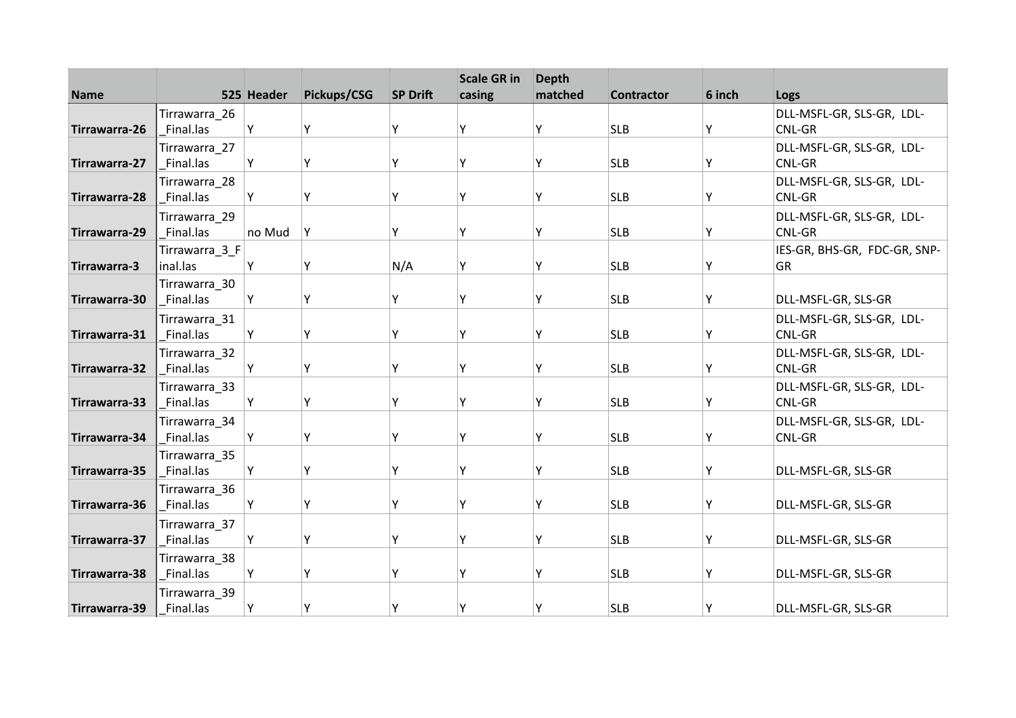| <b>Name</b>   |                            | 525 Header | Pickups/CSG | <b>SP Drift</b> | <b>Scale GR in</b><br>casing | <b>Depth</b><br>matched | <b>Contractor</b> | 6 inch |                                     |
|---------------|----------------------------|------------|-------------|-----------------|------------------------------|-------------------------|-------------------|--------|-------------------------------------|
|               |                            |            |             |                 |                              |                         |                   |        | Logs                                |
|               | Tirrawarra_26              |            |             |                 | Υ                            |                         |                   |        | DLL-MSFL-GR, SLS-GR, LDL-           |
| Tirrawarra-26 | Final.las                  | Υ          | Y           | Y               |                              | γ                       | <b>SLB</b>        | Y      | <b>CNL-GR</b>                       |
|               | Tirrawarra_27              |            |             | Υ               | γ                            |                         |                   |        | DLL-MSFL-GR, SLS-GR, LDL-           |
| Tirrawarra-27 | Final.las                  | Y          | Υ           |                 |                              | Υ                       | <b>SLB</b>        | Υ      | CNL-GR                              |
|               | Tirrawarra_28<br>Final.las |            | Υ           | Υ               | Υ                            | Υ                       | <b>SLB</b>        |        | DLL-MSFL-GR, SLS-GR, LDL-<br>CNL-GR |
| Tirrawarra-28 |                            | Y          |             |                 |                              |                         |                   | Y      |                                     |
|               | Tirrawarra_29              |            |             |                 |                              |                         |                   |        | DLL-MSFL-GR, SLS-GR, LDL-           |
| Tirrawarra-29 | Final.las                  | no Mud     | Y           | Y               | Υ                            | γ                       | <b>SLB</b>        | Υ      | CNL-GR                              |
|               | Tirrawarra 3 F             |            |             |                 |                              |                         |                   |        | IES-GR, BHS-GR, FDC-GR, SNP-        |
| Tirrawarra-3  | inal.las                   | Y          | Υ           | N/A             | Ý                            | Υ                       | <b>SLB</b>        | Υ      | <b>GR</b>                           |
|               | Tirrawarra_30              |            |             |                 |                              |                         |                   |        |                                     |
| Tirrawarra-30 | Final.las                  | Υ          | Υ           | Υ               | γ                            | Υ                       | <b>SLB</b>        | Υ      | DLL-MSFL-GR, SLS-GR                 |
|               | Tirrawarra_31              |            |             |                 |                              |                         |                   |        | DLL-MSFL-GR, SLS-GR, LDL-           |
| Tirrawarra-31 | Final.las                  | Υ          | Υ           | Υ               | v                            | γ                       | <b>SLB</b>        | Y      | <b>CNL-GR</b>                       |
|               | Tirrawarra_32              |            |             |                 |                              |                         |                   |        | DLL-MSFL-GR, SLS-GR, LDL-           |
| Tirrawarra-32 | Final.las                  | Y          | Υ           | γ               | ٧                            | γ                       | <b>SLB</b>        | Y      | CNL-GR                              |
|               | Tirrawarra_33              |            |             |                 |                              |                         |                   |        | DLL-MSFL-GR, SLS-GR, LDL-           |
| Tirrawarra-33 | Final.las                  | Y          | Υ           | Y               | Υ                            | Υ                       | <b>SLB</b>        | Y      | <b>CNL-GR</b>                       |
|               | Tirrawarra_34              |            |             |                 |                              |                         |                   |        | DLL-MSFL-GR, SLS-GR, LDL-           |
| Tirrawarra-34 | Final.las                  | Υ          | Υ           | Υ               | ٧                            | γ                       | <b>SLB</b>        | Y      | <b>CNL-GR</b>                       |
|               | Tirrawarra_35              |            |             |                 |                              |                         |                   |        |                                     |
| Tirrawarra-35 | Final.las                  | Y          | Υ           | Υ               | γ                            | Υ                       | <b>SLB</b>        | Υ      | DLL-MSFL-GR, SLS-GR                 |
|               | Tirrawarra 36              |            |             |                 |                              |                         |                   |        |                                     |
| Tirrawarra-36 | Final.las                  | Υ          | Υ           | Υ               | γ                            | Υ                       | <b>SLB</b>        | Υ      | DLL-MSFL-GR, SLS-GR                 |
|               | Tirrawarra 37              |            |             |                 |                              |                         |                   |        |                                     |
| Tirrawarra-37 | Final.las                  | Υ          | Υ           | Y               | γ                            | Υ                       | <b>SLB</b>        | Υ      | DLL-MSFL-GR, SLS-GR                 |
|               | Tirrawarra_38              |            |             |                 |                              |                         |                   |        |                                     |
| Tirrawarra-38 | Final.las                  | Υ          | Y           | γ               | ٧                            | Υ                       | <b>SLB</b>        | Υ      | DLL-MSFL-GR, SLS-GR                 |
|               | Tirrawarra_39              |            |             |                 |                              |                         |                   |        |                                     |
| Tirrawarra-39 | Final.las                  | Υ          | Υ           | Υ               | ٧                            |                         | <b>SLB</b>        | Y      | DLL-MSFL-GR, SLS-GR                 |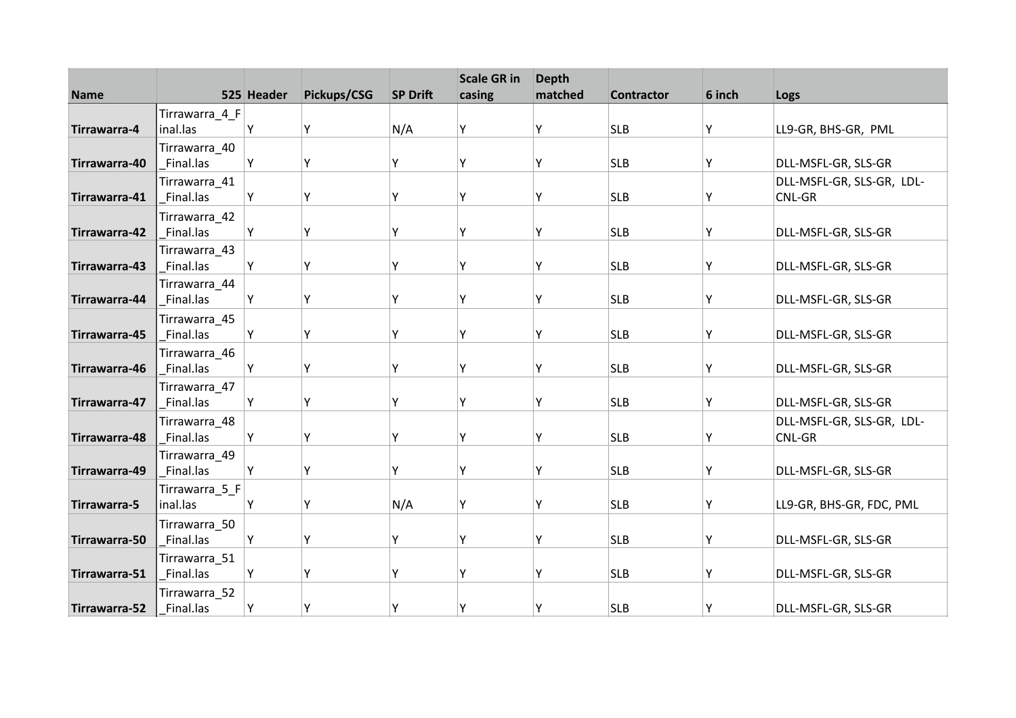| <b>Name</b>   |                            | 525 Header | Pickups/CSG | <b>SP Drift</b> | <b>Scale GR in</b><br>casing | <b>Depth</b><br>matched | <b>Contractor</b> | 6 inch | Logs                      |
|---------------|----------------------------|------------|-------------|-----------------|------------------------------|-------------------------|-------------------|--------|---------------------------|
|               | Tirrawarra_4_F             |            |             |                 |                              |                         |                   |        |                           |
| Tirrawarra-4  | inal.las                   | Υ          | Y           | N/A             | Υ                            | Υ                       | <b>SLB</b>        | Υ      | LL9-GR, BHS-GR, PML       |
|               | Tirrawarra_40              |            |             |                 |                              |                         |                   |        |                           |
| Tirrawarra-40 | Final.las                  | Y          | Υ           | Υ               | Υ                            | Υ                       | <b>SLB</b>        | Υ      | DLL-MSFL-GR, SLS-GR       |
|               | Tirrawarra_41              |            |             |                 |                              |                         |                   |        | DLL-MSFL-GR, SLS-GR, LDL- |
| Tirrawarra-41 | Final.las                  | Y          | Υ           | Υ               | Υ                            | Υ                       | <b>SLB</b>        | Y      | CNL-GR                    |
|               | Tirrawarra_42              |            |             |                 |                              |                         |                   |        |                           |
| Tirrawarra-42 | Final.las                  | Υ          | Υ           | Y               | Υ                            | Υ                       | <b>SLB</b>        | Υ      | DLL-MSFL-GR, SLS-GR       |
|               | Tirrawarra 43              |            |             |                 |                              |                         |                   |        |                           |
| Tirrawarra-43 | Final.las                  | Y          | Υ           | Υ               | Y                            | Υ                       | <b>SLB</b>        | Υ      | DLL-MSFL-GR, SLS-GR       |
|               | Tirrawarra_44              |            |             |                 |                              |                         |                   |        |                           |
| Tirrawarra-44 | Final.las                  | Υ          | Υ           | γ               | Υ                            | Υ                       | <b>SLB</b>        | Υ      | DLL-MSFL-GR, SLS-GR       |
| Tirrawarra-45 | Tirrawarra_45<br>Final.las | Υ          | Υ           | Υ               | v                            | γ                       | <b>SLB</b>        | Y      | DLL-MSFL-GR, SLS-GR       |
|               |                            |            |             |                 |                              |                         |                   |        |                           |
| Tirrawarra-46 | Tirrawarra_46<br>Final.las | Y          | Y           | Υ               | γ                            | γ                       | <b>SLB</b>        | Y      | DLL-MSFL-GR, SLS-GR       |
|               | Tirrawarra_47              |            |             |                 |                              |                         |                   |        |                           |
| Tirrawarra-47 | Final.las                  | Υ          | Υ           | Υ               | Υ                            | Υ                       | <b>SLB</b>        | Υ      | DLL-MSFL-GR, SLS-GR       |
|               | Tirrawarra_48              |            |             |                 |                              |                         |                   |        | DLL-MSFL-GR, SLS-GR, LDL- |
| Tirrawarra-48 | Final.las                  | Υ          | Υ           | Y               | v                            | γ                       | <b>SLB</b>        | Y      | CNL-GR                    |
|               | Tirrawarra_49              |            |             |                 |                              |                         |                   |        |                           |
| Tirrawarra-49 | Final.las                  | Υ          | Υ           | Y               | γ                            | Υ                       | <b>SLB</b>        | Υ      | DLL-MSFL-GR, SLS-GR       |
|               | Tirrawarra_5_F             |            |             |                 |                              |                         |                   |        |                           |
| Tirrawarra-5  | inal.las                   | Υ          | Υ           | N/A             | Υ                            | Υ                       | <b>SLB</b>        | Υ      | LL9-GR, BHS-GR, FDC, PML  |
|               | Tirrawarra_50              |            |             |                 |                              |                         |                   |        |                           |
| Tirrawarra-50 | Final.las                  | Υ          | Υ           | Y               | γ                            | Υ                       | <b>SLB</b>        | Υ      | DLL-MSFL-GR, SLS-GR       |
|               | Tirrawarra_51              |            |             |                 |                              |                         |                   |        |                           |
| Tirrawarra-51 | Final.las                  | Υ          | Y           | Υ               | ٧                            | Υ                       | <b>SLB</b>        | Υ      | DLL-MSFL-GR, SLS-GR       |
|               | Tirrawarra_52              |            |             |                 |                              |                         |                   |        |                           |
| Tirrawarra-52 | Final.las                  | Υ          | Υ           | Υ               | γ                            | Υ                       | <b>SLB</b>        | Y      | DLL-MSFL-GR, SLS-GR       |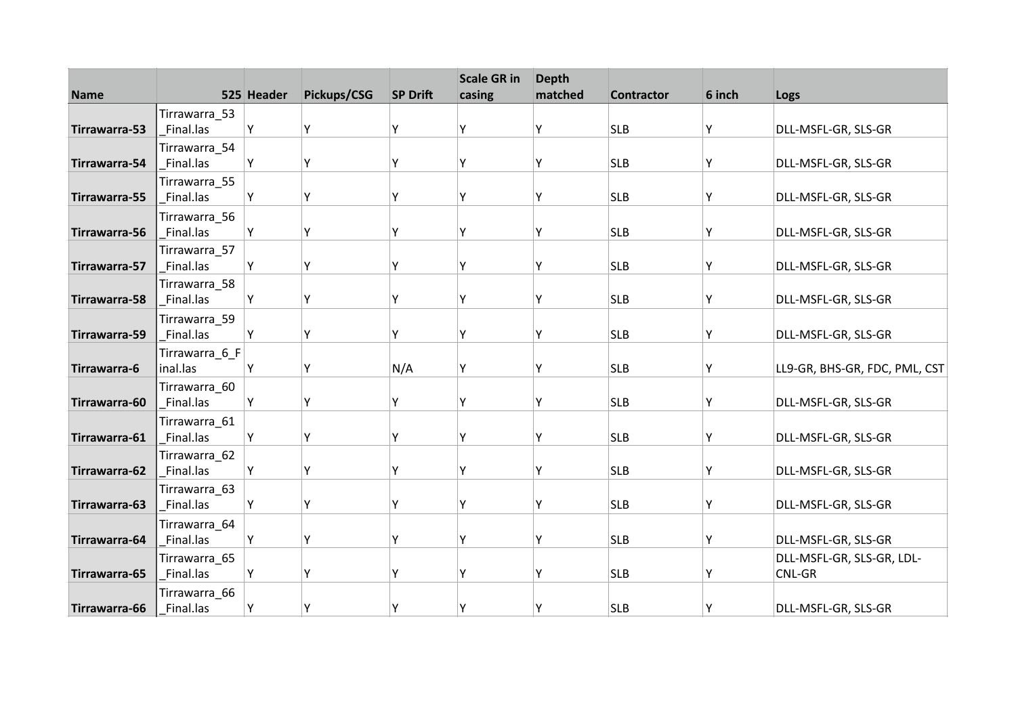| <b>Name</b>   |                            | 525 Header | Pickups/CSG | <b>SP Drift</b> | <b>Scale GR in</b><br>casing | <b>Depth</b><br>matched | <b>Contractor</b> | 6 inch | Logs                          |
|---------------|----------------------------|------------|-------------|-----------------|------------------------------|-------------------------|-------------------|--------|-------------------------------|
|               | Tirrawarra_53              |            |             |                 |                              |                         |                   |        |                               |
| Tirrawarra-53 | Final.las                  | Y          | Y           | Y               | ۷                            | Υ                       | <b>SLB</b>        | Υ      | DLL-MSFL-GR, SLS-GR           |
|               | Tirrawarra_54              |            |             |                 |                              |                         |                   |        |                               |
| Tirrawarra-54 | Final.las                  | Y          | Y           | Υ               | ۷                            | Υ                       | <b>SLB</b>        | Υ      | DLL-MSFL-GR, SLS-GR           |
|               | Tirrawarra_55              |            |             |                 |                              |                         |                   |        |                               |
| Tirrawarra-55 | Final.las                  | Υ          | Υ           | Y               | γ                            | Υ                       | <b>SLB</b>        | Υ      | DLL-MSFL-GR, SLS-GR           |
|               | Tirrawarra 56              |            |             |                 |                              |                         |                   |        |                               |
| Tirrawarra-56 | Final.las                  | Υ          | Υ           | Y               | ٧                            | Υ                       | <b>SLB</b>        | Υ      | DLL-MSFL-GR, SLS-GR           |
|               | Tirrawarra 57              |            |             |                 |                              |                         |                   |        |                               |
| Tirrawarra-57 | Final.las                  | Y          | Υ           | Υ               | γ                            | Υ                       | <b>SLB</b>        | Υ      | DLL-MSFL-GR, SLS-GR           |
|               | Tirrawarra_58              |            |             |                 |                              |                         |                   |        |                               |
| Tirrawarra-58 | Final.las                  | Υ          | Υ           | Υ               | Υ                            | Υ                       | <b>SLB</b>        | Υ      | DLL-MSFL-GR, SLS-GR           |
| Tirrawarra-59 | Tirrawarra_59<br>Final.las | Υ          | Y           | Y               | v                            | Υ                       | <b>SLB</b>        | Υ      | DLL-MSFL-GR, SLS-GR           |
|               |                            |            |             |                 |                              |                         |                   |        |                               |
| Tirrawarra-6  | Tirrawarra_6_F<br>inal.las | Y          | Y           | N/A             | ٧                            | Υ                       | <b>SLB</b>        | Y      | LL9-GR, BHS-GR, FDC, PML, CST |
|               | Tirrawarra_60              |            |             |                 |                              |                         |                   |        |                               |
| Tirrawarra-60 | Final.las                  | Υ          | Υ           | Υ               | γ                            | Υ                       | <b>SLB</b>        | Υ      | DLL-MSFL-GR, SLS-GR           |
|               | Tirrawarra_61              |            |             |                 |                              |                         |                   |        |                               |
| Tirrawarra-61 | Final.las                  | Υ          | Y           | Y               | ٧                            | Υ                       | <b>SLB</b>        | Υ      | DLL-MSFL-GR, SLS-GR           |
|               | Tirrawarra_62              |            |             |                 |                              |                         |                   |        |                               |
| Tirrawarra-62 | Final.las                  | Y          | Y           | Υ               | ۷                            | Υ                       | <b>SLB</b>        | Υ      | DLL-MSFL-GR, SLS-GR           |
|               | Tirrawarra 63              |            |             |                 |                              |                         |                   |        |                               |
| Tirrawarra-63 | Final.las                  | Υ          | Υ           | Y               | γ                            | Υ                       | <b>SLB</b>        | Υ      | DLL-MSFL-GR, SLS-GR           |
|               | Tirrawarra 64              |            |             |                 |                              |                         |                   |        |                               |
| Tirrawarra-64 | Final.las                  | Υ          | Υ           | Y               | ٧                            | Υ                       | <b>SLB</b>        | Υ      | DLL-MSFL-GR, SLS-GR           |
|               | Tirrawarra_65              |            |             |                 |                              |                         |                   |        | DLL-MSFL-GR, SLS-GR, LDL-     |
| Tirrawarra-65 | Final.las                  | Υ          | Y           | Υ               | ٧                            | Υ                       | <b>SLB</b>        | Υ      | CNL-GR                        |
|               | Tirrawarra_66              |            |             |                 |                              |                         |                   |        |                               |
| Tirrawarra-66 | Final.las                  | Υ          | Υ           | Υ               | ۷                            | Υ                       | <b>SLB</b>        | Υ      | DLL-MSFL-GR, SLS-GR           |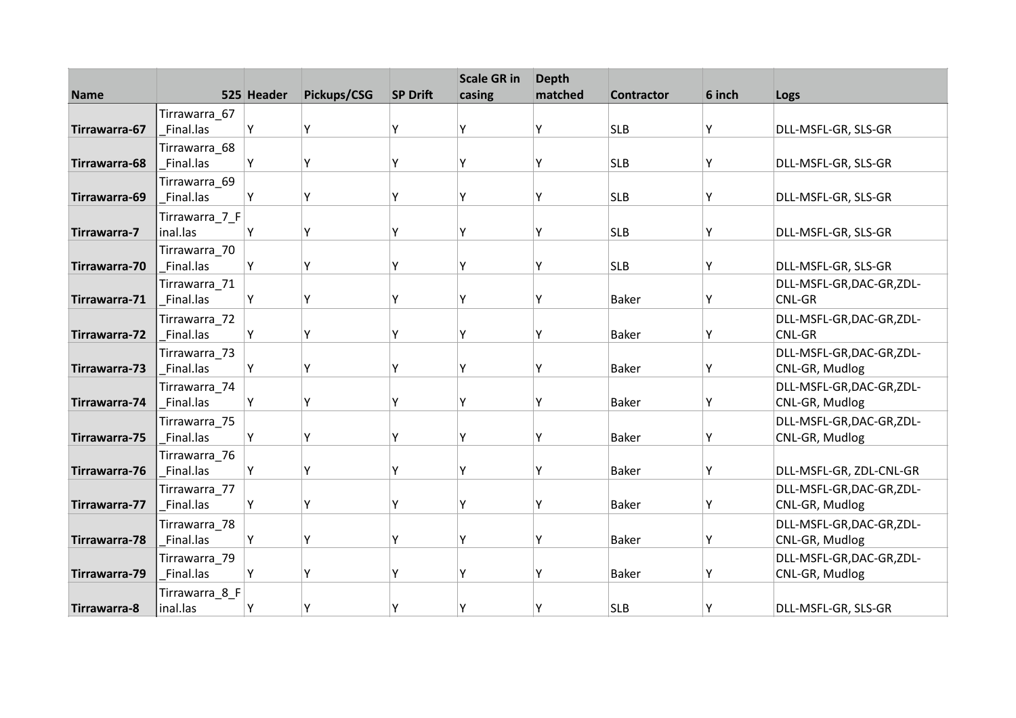| <b>Name</b>   |                            | 525 Header | Pickups/CSG | <b>SP Drift</b> | <b>Scale GR in</b><br>casing | <b>Depth</b><br>matched | <b>Contractor</b> | 6 inch | Logs                                      |
|---------------|----------------------------|------------|-------------|-----------------|------------------------------|-------------------------|-------------------|--------|-------------------------------------------|
|               |                            |            |             |                 |                              |                         |                   |        |                                           |
| Tirrawarra-67 | Tirrawarra_67<br>Final.las | Υ          | Y           | Y               | Y                            | Υ                       | <b>SLB</b>        | Υ      | DLL-MSFL-GR, SLS-GR                       |
|               | Tirrawarra_68              |            |             |                 |                              |                         |                   |        |                                           |
| Tirrawarra-68 | Final.las                  | Υ          | Υ           | Υ               | Υ                            | Υ                       | <b>SLB</b>        | Υ      | DLL-MSFL-GR, SLS-GR                       |
|               | Tirrawarra 69              |            |             |                 |                              |                         |                   |        |                                           |
| Tirrawarra-69 | Final.las                  | Υ          | Υ           | Υ               | γ                            | Υ                       | <b>SLB</b>        | Υ      | DLL-MSFL-GR, SLS-GR                       |
|               | Tirrawarra_7_F             |            |             |                 |                              |                         |                   |        |                                           |
| Tirrawarra-7  | inal.las                   | Υ          | Υ           | Υ               | ٧                            | γ                       | <b>SLB</b>        | Υ      | DLL-MSFL-GR, SLS-GR                       |
|               | Tirrawarra_70              |            |             |                 |                              |                         |                   |        |                                           |
| Tirrawarra-70 | Final.las                  | Y          | Υ           | Υ               | γ                            | γ                       | <b>SLB</b>        | Υ      | DLL-MSFL-GR, SLS-GR                       |
|               | Tirrawarra_71              |            |             |                 |                              |                         |                   |        | DLL-MSFL-GR,DAC-GR,ZDL-                   |
| Tirrawarra-71 | Final.las                  | Y          | Y           | Υ               | ٧                            | Υ                       | <b>Baker</b>      | Υ      | <b>CNL-GR</b>                             |
|               | Tirrawarra_72              |            |             |                 |                              |                         |                   |        | DLL-MSFL-GR, DAC-GR, ZDL-                 |
| Tirrawarra-72 | Final.las                  | Υ          | Υ           | Υ               | ٧                            | Υ                       | <b>Baker</b>      | Υ      | <b>CNL-GR</b>                             |
|               | Tirrawarra 73              |            |             |                 | γ                            |                         |                   |        | DLL-MSFL-GR,DAC-GR,ZDL-                   |
| Tirrawarra-73 | Final.las                  | Υ          | Υ           | Υ               |                              | Υ                       | <b>Baker</b>      | Υ      | CNL-GR, Mudlog                            |
| Tirrawarra-74 | Tirrawarra_74<br>Final.las | Υ          | Υ           | Υ               | γ                            | Υ                       | <b>Baker</b>      | Υ      | DLL-MSFL-GR,DAC-GR,ZDL-<br>CNL-GR, Mudlog |
|               |                            |            |             |                 |                              |                         |                   |        |                                           |
| Tirrawarra-75 | Tirrawarra 75<br>Final.las | Y          | Υ           | Υ               | ٧                            | γ                       | <b>Baker</b>      | Υ      | DLL-MSFL-GR,DAC-GR,ZDL-<br>CNL-GR, Mudlog |
|               | Tirrawarra_76              |            |             |                 |                              |                         |                   |        |                                           |
| Tirrawarra-76 | Final.las                  | Y          | Υ           | Υ               | γ                            | γ                       | <b>Baker</b>      | Υ      | DLL-MSFL-GR, ZDL-CNL-GR                   |
|               | Tirrawarra_77              |            |             |                 |                              |                         |                   |        | DLL-MSFL-GR, DAC-GR, ZDL-                 |
| Tirrawarra-77 | Final.las                  | Y          | Υ           | Υ               | γ                            | Υ                       | <b>Baker</b>      | Υ      | CNL-GR, Mudlog                            |
|               | Tirrawarra 78              |            |             |                 |                              |                         |                   |        | DLL-MSFL-GR,DAC-GR,ZDL-                   |
| Tirrawarra-78 | Final.las                  | Y          | Υ           | Υ               | ٧                            | γ                       | <b>Baker</b>      | Υ      | CNL-GR, Mudlog                            |
|               | Tirrawarra_79              |            |             |                 |                              |                         |                   |        | DLL-MSFL-GR,DAC-GR,ZDL-                   |
| Tirrawarra-79 | Final.las                  | Υ          | Υ           | γ               | ٧                            | γ                       | <b>Baker</b>      | Υ      | CNL-GR, Mudlog                            |
|               | Tirrawarra_8_F             |            |             |                 |                              |                         |                   |        |                                           |
| Tirrawarra-8  | inal.las                   | Y          | Υ           |                 | ٧                            |                         | <b>SLB</b>        | Y      | DLL-MSFL-GR, SLS-GR                       |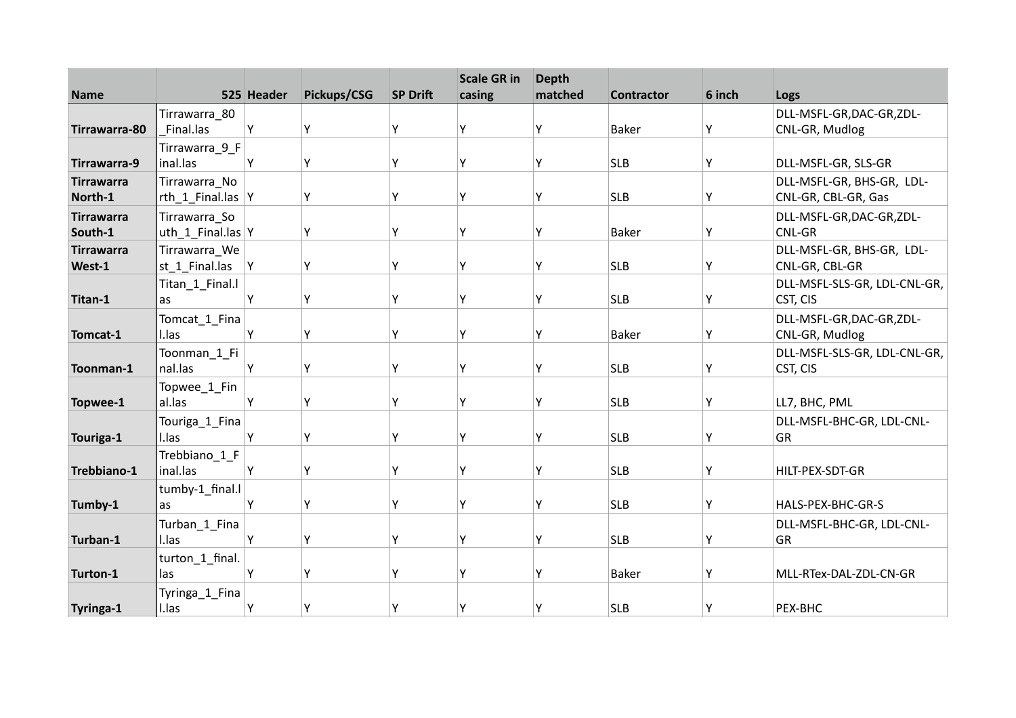| <b>Name</b>                  |                                    | 525 Header | Pickups/CSG | <b>SP Drift</b> | <b>Scale GR in</b><br>casing | <b>Depth</b><br>matched | <b>Contractor</b> | 6 inch | Logs                                             |
|------------------------------|------------------------------------|------------|-------------|-----------------|------------------------------|-------------------------|-------------------|--------|--------------------------------------------------|
|                              | Tirrawarra_80                      |            |             |                 |                              |                         |                   |        | DLL-MSFL-GR, DAC-GR, ZDL-                        |
| Tirrawarra-80                | Final.las                          | Y          | Υ           | Y               | ٧                            | Υ                       | <b>Baker</b>      | Υ      | CNL-GR, Mudlog                                   |
| Tirrawarra-9                 | Tirrawarra_9_F<br>inal.las         | Y          | Y           | Υ               | Υ                            | Υ                       | <b>SLB</b>        | Υ      | DLL-MSFL-GR, SLS-GR                              |
| <b>Tirrawarra</b><br>North-1 | Tirrawarra No<br>rth_1_Final.las Y |            | Υ           | Υ               | Υ                            | Υ                       | <b>SLB</b>        | Υ      | DLL-MSFL-GR, BHS-GR, LDL-<br>CNL-GR, CBL-GR, Gas |
| <b>Tirrawarra</b><br>South-1 | Tirrawarra_So<br>uth_1_Final.las Y |            | Υ           | Υ               | ٧                            | Υ                       | <b>Baker</b>      | Υ      | DLL-MSFL-GR,DAC-GR,ZDL-<br>CNL-GR                |
| <b>Tirrawarra</b><br>West-1  | Tirrawarra_We<br>st_1_Final.las    | Y          | Υ           | Υ               | γ                            | Υ                       | <b>SLB</b>        | Y      | DLL-MSFL-GR, BHS-GR, LDL-<br>CNL-GR, CBL-GR      |
| Titan-1                      | Titan_1_Final.l<br>as              | Υ          | Υ           | γ               | ۷                            | Υ                       | <b>SLB</b>        | Y      | DLL-MSFL-SLS-GR, LDL-CNL-GR,<br>CST, CIS         |
| Tomcat-1                     | Tomcat_1_Fina<br>I.las             | Y          | Υ           | Y               | ۷                            | Υ                       | <b>Baker</b>      | Υ      | DLL-MSFL-GR,DAC-GR,ZDL-<br>CNL-GR, Mudlog        |
| Toonman-1                    | Toonman 1 Fi<br>nal.las            | Y          | Y           | Υ               | γ                            | Υ                       | <b>SLB</b>        | Υ      | DLL-MSFL-SLS-GR, LDL-CNL-GR,<br>CST, CIS         |
| Topwee-1                     | Topwee_1_Fin<br>al.las             | Υ          | Y           | Υ               | γ                            | Υ                       | <b>SLB</b>        | Υ      | LL7, BHC, PML                                    |
| Touriga-1                    | Touriga_1_Fina<br>I.las            | Υ          | Υ           | γ               | ٧                            | γ                       | <b>SLB</b>        | Y      | DLL-MSFL-BHC-GR, LDL-CNL-<br><b>GR</b>           |
| Trebbiano-1                  | Trebbiano_1_F<br>inal.las          | Y          | γ           | Υ               | ٧                            | Υ                       | <b>SLB</b>        | Y      | HILT-PEX-SDT-GR                                  |
| Tumby-1                      | tumby-1_final.l<br>as              | Y          | Υ           | γ               | ۷                            | Υ                       | <b>SLB</b>        | Y      | HALS-PEX-BHC-GR-S                                |
| Turban-1                     | Turban_1_Fina<br>I.las             | Y          | Υ           | Y               | ٧                            | Υ                       | <b>SLB</b>        | Υ      | DLL-MSFL-BHC-GR, LDL-CNL-<br><b>GR</b>           |
| Turton-1                     | turton_1_final.<br>las             | Y          | Y           | Υ               | ٧                            | Υ                       | <b>Baker</b>      | Y      | MLL-RTex-DAL-ZDL-CN-GR                           |
| Tyringa-1                    | Tyringa_1_Fina<br>I.las            | Y          | Υ           | Υ               | γ                            | Υ                       | <b>SLB</b>        | Y      | PEX-BHC                                          |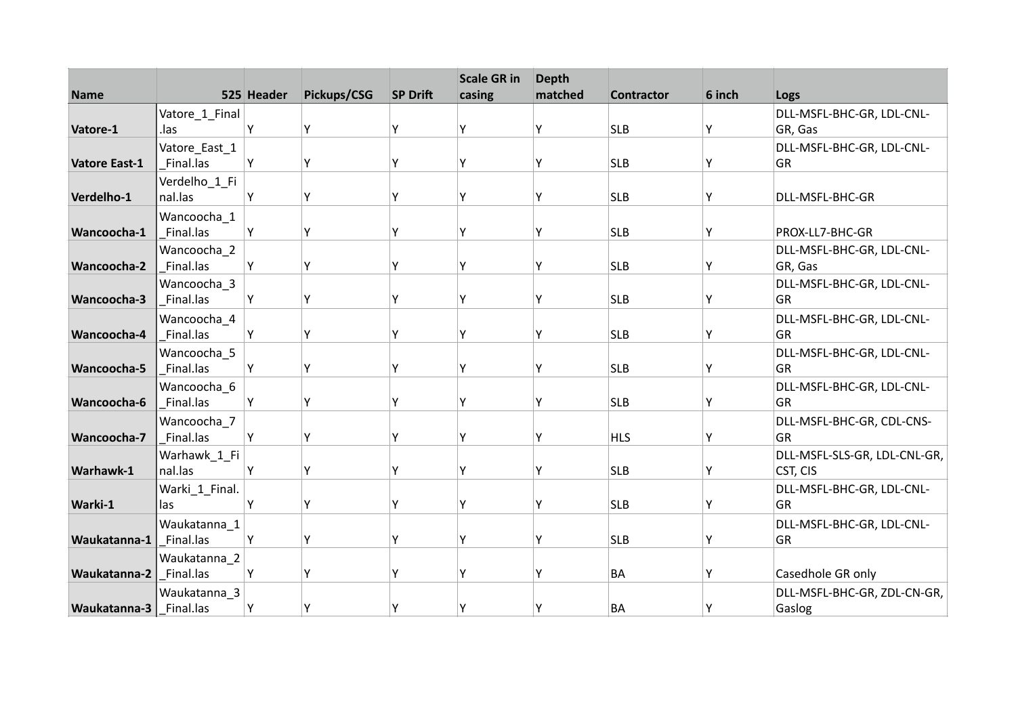| <b>Name</b>          |                          | 525 Header | Pickups/CSG | <b>SP Drift</b> | <b>Scale GR in</b><br>casing | <b>Depth</b><br>matched | <b>Contractor</b> | 6 inch | Logs                            |
|----------------------|--------------------------|------------|-------------|-----------------|------------------------------|-------------------------|-------------------|--------|---------------------------------|
|                      | Vatore_1_Final           |            |             |                 |                              |                         |                   |        | DLL-MSFL-BHC-GR, LDL-CNL-       |
| Vatore-1             | .las                     | Υ          | Y           | Y               | ٧                            | γ                       | <b>SLB</b>        | Y      | GR, Gas                         |
|                      | Vatore_East_1            |            |             |                 |                              |                         |                   |        | DLL-MSFL-BHC-GR, LDL-CNL-       |
| <b>Vatore East-1</b> | Final.las                | Y          | Υ           | Υ               | γ                            | Υ                       | <b>SLB</b>        | Y      | <b>GR</b>                       |
|                      | Verdelho_1_Fi            |            |             |                 |                              |                         |                   |        |                                 |
| Verdelho-1           | nal.las                  | Υ          | Υ           | Y               | Υ                            | Υ                       | <b>SLB</b>        | Y      | DLL-MSFL-BHC-GR                 |
|                      | Wancoocha 1              |            |             |                 |                              |                         |                   |        |                                 |
| Wancoocha-1          | Final.las                | Υ          | Υ           | Y               | ٧                            | γ                       | <b>SLB</b>        | Υ      | PROX-LL7-BHC-GR                 |
|                      | Wancoocha 2              |            |             |                 |                              |                         |                   |        | DLL-MSFL-BHC-GR, LDL-CNL-       |
| Wancoocha-2          | Final.las                | Y          | Υ           | Υ               | ٧                            | Υ                       | <b>SLB</b>        | Y      | GR, Gas                         |
|                      | Wancoocha 3              |            |             |                 |                              |                         |                   |        | DLL-MSFL-BHC-GR, LDL-CNL-       |
| Wancoocha-3          | Final.las                | Υ          | Υ           | Υ               | γ                            | Υ                       | <b>SLB</b>        | Y      | <b>GR</b>                       |
| Wancoocha-4          | Wancoocha 4<br>Final.las | Υ          | Υ           | Υ               | v                            | γ                       | <b>SLB</b>        | Y      | DLL-MSFL-BHC-GR, LDL-CNL-<br>GR |
|                      |                          |            |             |                 |                              |                         |                   |        |                                 |
| Wancoocha-5          | Wancoocha 5<br>Final.las | Y          | Y           | γ               | ٧                            | γ                       | <b>SLB</b>        | Y      | DLL-MSFL-BHC-GR, LDL-CNL-<br>GR |
|                      | Wancoocha_6              |            |             |                 |                              |                         |                   |        | DLL-MSFL-BHC-GR, LDL-CNL-       |
| Wancoocha-6          | Final.las                | Υ          | Υ           | Y               | Υ                            | γ                       | <b>SLB</b>        | Y      | <b>GR</b>                       |
|                      | Wancoocha 7              |            |             |                 |                              |                         |                   |        | DLL-MSFL-BHC-GR, CDL-CNS-       |
| Wancoocha-7          | Final.las                | Υ          | Υ           | Υ               | ٧                            | γ                       | <b>HLS</b>        | Y      | GR                              |
|                      | Warhawk_1_Fi             |            |             |                 |                              |                         |                   |        | DLL-MSFL-SLS-GR, LDL-CNL-GR,    |
| Warhawk-1            | nal.las                  | Υ          | Υ           | Υ               | ٧                            | Υ                       | <b>SLB</b>        | Υ      | CST, CIS                        |
|                      | Warki_1_Final.           |            |             |                 |                              |                         |                   |        | DLL-MSFL-BHC-GR, LDL-CNL-       |
| Warki-1              | las                      | Υ          | Υ           | Υ               | γ                            | Υ                       | <b>SLB</b>        | Y      | <b>GR</b>                       |
|                      | Waukatanna_1             |            |             |                 |                              |                         |                   |        | DLL-MSFL-BHC-GR, LDL-CNL-       |
| Waukatanna-1         | Final.las                | Υ          | Υ           | Y               | γ                            | γ                       | <b>SLB</b>        | Υ      | GR                              |
|                      | Waukatanna_2             |            |             |                 |                              |                         |                   |        |                                 |
| Waukatanna-2         | Final.las                | Υ          | Y           | γ               | ٧                            | ٧                       | <b>BA</b>         | Υ      | Casedhole GR only               |
|                      | Waukatanna_3             |            |             |                 |                              |                         |                   |        | DLL-MSFL-BHC-GR, ZDL-CN-GR,     |
| Waukatanna-3         | Final.las                | Y          | Υ           | Υ               | ٧                            |                         | <b>BA</b>         | Y      | Gaslog                          |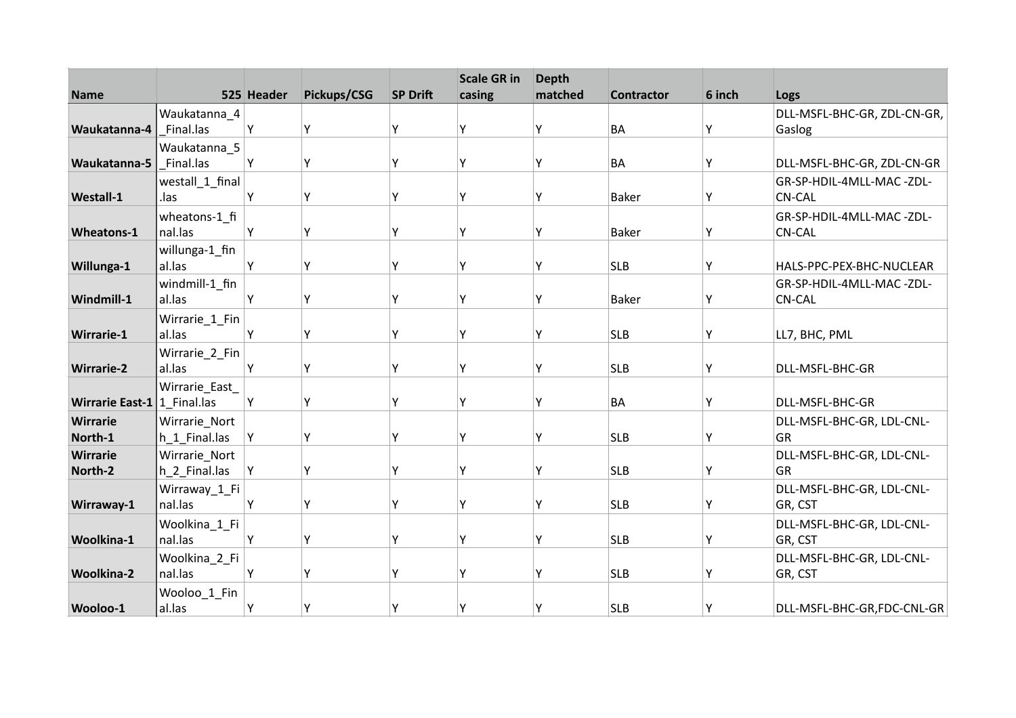| <b>Name</b>                   |                                | 525 Header | Pickups/CSG | <b>SP Drift</b> | <b>Scale GR in</b><br>casing | <b>Depth</b><br>matched | <b>Contractor</b> | 6 inch |                                 |
|-------------------------------|--------------------------------|------------|-------------|-----------------|------------------------------|-------------------------|-------------------|--------|---------------------------------|
|                               |                                |            |             |                 |                              |                         |                   |        | Logs                            |
|                               | Waukatanna_4                   |            |             |                 |                              |                         |                   |        | DLL-MSFL-BHC-GR, ZDL-CN-GR,     |
| Waukatanna-4                  | Final.las                      | Υ          | Υ           | Y               | ٧                            | Υ                       | <b>BA</b>         | Υ      | Gaslog                          |
|                               | Waukatanna_5                   |            |             |                 |                              |                         |                   |        |                                 |
| Waukatanna-5                  | Final.las                      | Υ          | Υ           | Y               | γ                            | Υ                       | BA                | Υ      | DLL-MSFL-BHC-GR, ZDL-CN-GR      |
|                               | westall_1_final                |            |             |                 |                              |                         |                   |        | GR-SP-HDIL-4MLL-MAC-ZDL-        |
| Westall-1                     | .las                           | Υ          | Υ           | γ               | γ                            | Υ                       | <b>Baker</b>      | Υ      | <b>CN-CAL</b>                   |
|                               | wheatons-1_fi                  |            |             |                 |                              |                         |                   |        | GR-SP-HDIL-4MLL-MAC-ZDL-        |
| Wheatons-1                    | nal.las                        | Υ          | Υ           | Υ               | ٧                            | Υ                       | <b>Baker</b>      | Υ      | <b>CN-CAL</b>                   |
|                               | willunga-1_fin                 |            |             |                 |                              |                         |                   |        |                                 |
| Willunga-1                    | al.las                         | Y          | Y           | γ               | ٧                            | Υ                       | <b>SLB</b>        | Y      | HALS-PPC-PEX-BHC-NUCLEAR        |
|                               | windmill-1_fin                 |            |             |                 |                              |                         |                   |        | GR-SP-HDIL-4MLL-MAC-ZDL-        |
| Windmill-1                    | al.las                         | Υ          | Υ           | Y               | γ                            | Υ                       | <b>Baker</b>      | Y      | <b>CN-CAL</b>                   |
|                               | Wirrarie_1_Fin                 |            |             |                 |                              |                         |                   |        |                                 |
| <b>Wirrarie-1</b>             | al.las                         | Υ          | Υ           | Y               | ۷                            | Υ                       | <b>SLB</b>        | Υ      | LL7, BHC, PML                   |
|                               | Wirrarie_2_Fin                 |            |             |                 |                              |                         |                   |        |                                 |
| <b>Wirrarie-2</b>             | al.las                         | Υ          | Υ           | Y               | ۷                            | Υ                       | <b>SLB</b>        | Y      | DLL-MSFL-BHC-GR                 |
|                               | Wirrarie_East_                 |            |             |                 |                              |                         |                   |        |                                 |
| Wirrarie East-1   1 Final.las |                                | Υ          | Y           | γ               | γ                            | Υ                       | <b>BA</b>         | Υ      | DLL-MSFL-BHC-GR                 |
| <b>Wirrarie</b>               |                                |            |             |                 |                              |                         |                   |        |                                 |
| North-1                       | Wirrarie_Nort<br>h 1 Final.las | Υ          | Υ           | Y               | ٧                            | γ                       | <b>SLB</b>        | Y      | DLL-MSFL-BHC-GR, LDL-CNL-<br>GR |
|                               |                                |            |             |                 |                              |                         |                   |        |                                 |
| <b>Wirrarie</b>               | Wirrarie_Nort                  |            | Υ           | Υ               | ٧                            |                         | <b>SLB</b>        |        | DLL-MSFL-BHC-GR, LDL-CNL-       |
| North-2                       | h_2_Final.las                  | Y          |             |                 |                              | Υ                       |                   | Y      | GR                              |
|                               | Wirraway_1_Fi                  |            |             |                 |                              |                         |                   |        | DLL-MSFL-BHC-GR, LDL-CNL-       |
| Wirraway-1                    | nal.las                        | Υ          | Υ           | Υ               | ۷                            | Υ                       | <b>SLB</b>        | Y      | GR, CST                         |
|                               | Woolkina 1 Fi                  |            |             |                 |                              |                         |                   |        | DLL-MSFL-BHC-GR, LDL-CNL-       |
| Woolkina-1                    | nal.las                        | Υ          | Υ           | Y               | ۷                            | Υ                       | <b>SLB</b>        | Υ      | GR, CST                         |
|                               | Woolkina_2_Fi                  |            |             |                 |                              |                         |                   |        | DLL-MSFL-BHC-GR, LDL-CNL-       |
| <b>Woolkina-2</b>             | nal.las                        | Υ          | Y           | γ               | ٧                            | Υ                       | <b>SLB</b>        | Υ      | GR, CST                         |
|                               | Wooloo_1_Fin                   |            |             |                 |                              |                         |                   |        |                                 |
| Wooloo-1                      | al.las                         | Υ          | Y           | Υ               | γ                            | Υ                       | <b>SLB</b>        | Y      | DLL-MSFL-BHC-GR,FDC-CNL-GR      |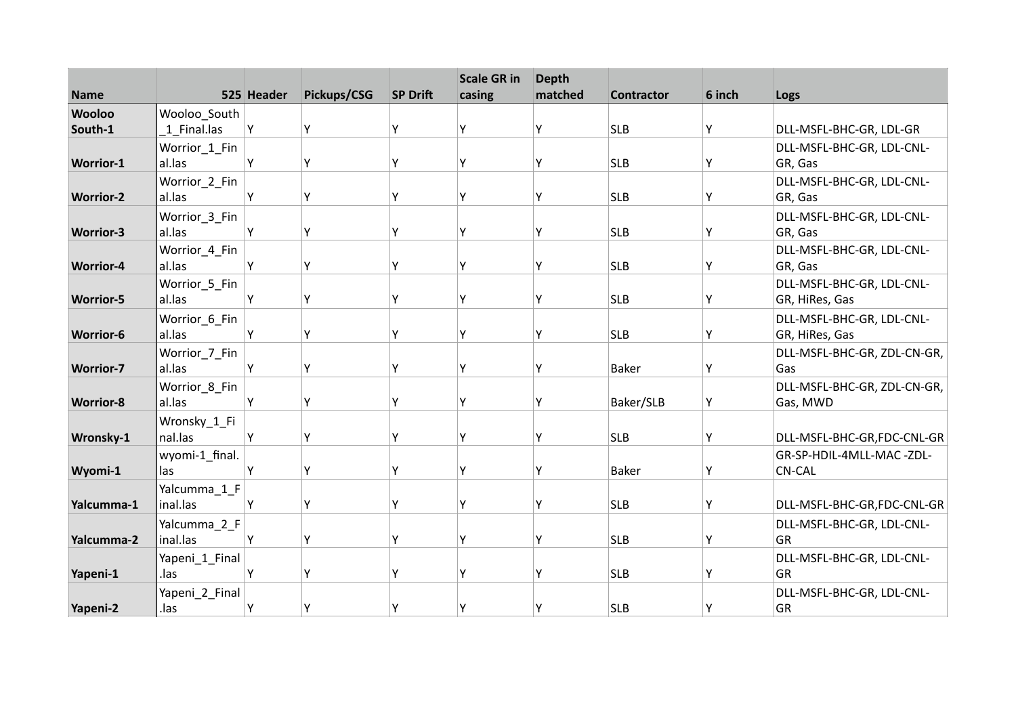| <b>Name</b>      |                          | 525 Header | Pickups/CSG | <b>SP Drift</b> | <b>Scale GR in</b><br>casing | <b>Depth</b><br>matched | <b>Contractor</b> | 6 inch | Logs                                   |
|------------------|--------------------------|------------|-------------|-----------------|------------------------------|-------------------------|-------------------|--------|----------------------------------------|
| <b>Wooloo</b>    | Wooloo_South             |            |             |                 |                              |                         |                   |        |                                        |
| South-1          | 1 Final.las              | Υ          | Υ           | Y               | Υ                            | γ                       | <b>SLB</b>        | Υ      | DLL-MSFL-BHC-GR, LDL-GR                |
|                  | Worrior_1_Fin            |            |             |                 |                              |                         |                   |        | DLL-MSFL-BHC-GR, LDL-CNL-              |
| <b>Worrior-1</b> | al.las                   | Y          | Υ           | Υ               | Υ                            | γ                       | <b>SLB</b>        | Υ      | GR, Gas                                |
|                  | Worrior_2_Fin            |            |             |                 |                              |                         |                   |        | DLL-MSFL-BHC-GR, LDL-CNL-              |
| <b>Worrior-2</b> | al.las                   | Y          | Υ           | Υ               | Υ                            | Υ                       | <b>SLB</b>        | Υ      | GR, Gas                                |
|                  | Worrior_3_Fin            |            |             |                 |                              |                         |                   |        | DLL-MSFL-BHC-GR, LDL-CNL-              |
| <b>Worrior-3</b> | al.las                   | Y          | Υ           | Y               | Υ                            | Υ                       | <b>SLB</b>        | Y      | GR, Gas                                |
|                  | Worrior_4_Fin            |            |             |                 |                              |                         |                   |        | DLL-MSFL-BHC-GR, LDL-CNL-              |
| <b>Worrior-4</b> | al.las                   | Υ          | Υ           | Υ               | Y                            | Υ                       | <b>SLB</b>        | Y      | GR, Gas                                |
|                  | Worrior_5_Fin            |            |             |                 |                              |                         |                   |        | DLL-MSFL-BHC-GR, LDL-CNL-              |
| <b>Worrior-5</b> | al.las                   | Υ          | Υ           | Y               | Υ                            | Υ                       | <b>SLB</b>        | Y      | GR, HiRes, Gas                         |
|                  | Worrior_6_Fin            |            |             |                 |                              |                         |                   |        | DLL-MSFL-BHC-GR, LDL-CNL-              |
| <b>Worrior-6</b> | al.las                   | Y          | Υ           | Y               | Υ                            | Υ                       | <b>SLB</b>        | Y      | GR, HiRes, Gas                         |
|                  | Worrior_7_Fin            |            |             |                 |                              |                         |                   |        | DLL-MSFL-BHC-GR, ZDL-CN-GR,            |
| <b>Worrior-7</b> | al.las                   | Y          | Υ           | Υ               | γ                            | Υ                       | <b>Baker</b>      | Y      | Gas                                    |
|                  | Worrior_8_Fin            |            |             | Y               | Υ                            |                         |                   |        | DLL-MSFL-BHC-GR, ZDL-CN-GR,            |
| <b>Worrior-8</b> | al.las                   | Υ          | Υ           |                 |                              | Υ                       | Baker/SLB         | Υ      | Gas, MWD                               |
|                  | Wronsky_1_Fi             |            |             |                 | Υ                            |                         |                   |        |                                        |
| Wronsky-1        | nal.las                  | Υ          | Υ           | Y               |                              | Υ                       | <b>SLB</b>        | Υ      | DLL-MSFL-BHC-GR,FDC-CNL-GR             |
|                  | wyomi-1_final.           | Y          | Υ           | Υ               | Υ                            | Υ                       |                   | Y      | GR-SP-HDIL-4MLL-MAC-ZDL-               |
| Wyomi-1          | las                      |            |             |                 |                              |                         | <b>Baker</b>      |        | <b>CN-CAL</b>                          |
| Yalcumma-1       | Yalcumma 1 F<br>inal.las | Υ          | Υ           | Υ               | Υ                            | Υ                       | <b>SLB</b>        | Υ      | DLL-MSFL-BHC-GR,FDC-CNL-GR             |
|                  |                          |            |             |                 |                              |                         |                   |        |                                        |
| Yalcumma-2       | Yalcumma 2 F<br>inal.las | Υ          | Υ           | Υ               | Υ                            | γ                       | <b>SLB</b>        | Υ      | DLL-MSFL-BHC-GR, LDL-CNL-<br>GR        |
|                  |                          |            |             |                 |                              |                         |                   |        |                                        |
|                  | Yapeni_1_Final           | Y          | Υ           | ۷               | ٧                            | ۷                       |                   | Υ      | DLL-MSFL-BHC-GR, LDL-CNL-<br><b>GR</b> |
| Yapeni-1         | .las                     |            |             |                 |                              |                         | <b>SLB</b>        |        |                                        |
|                  | Yapeni_2_Final           |            |             |                 |                              |                         |                   |        | DLL-MSFL-BHC-GR, LDL-CNL-              |
| Yapeni-2         | .las                     | Y          | Y           | Υ               | Υ                            | Υ                       | <b>SLB</b>        | Y      | GR                                     |